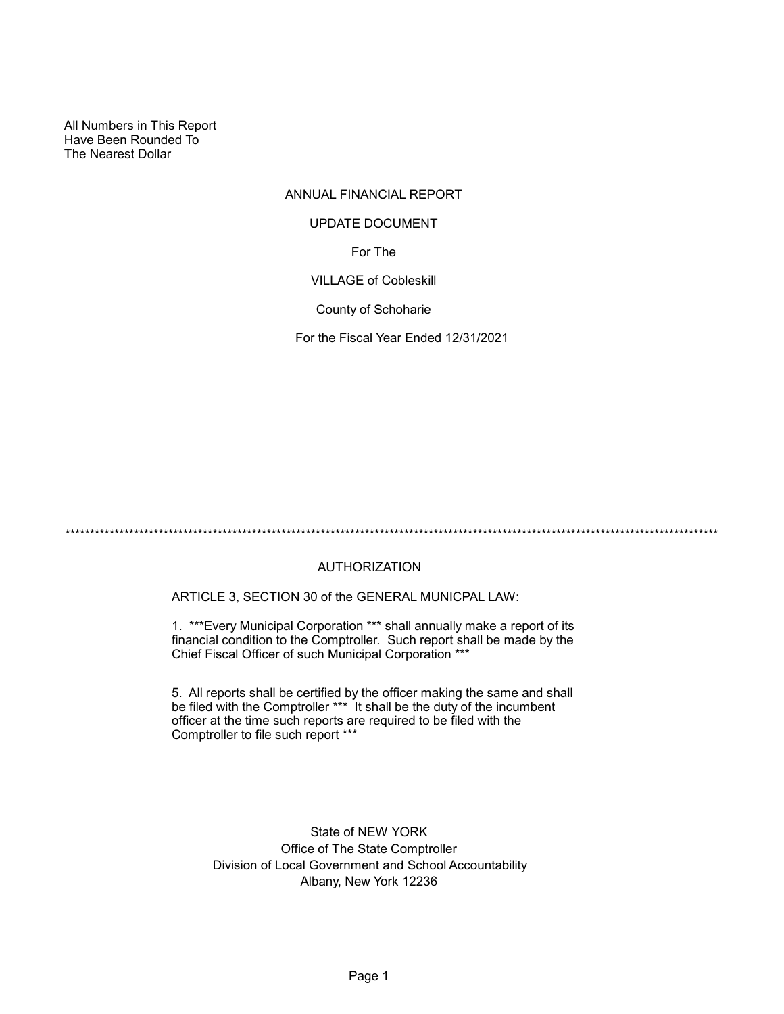All Numbers in This Report Have Been Rounded To The Nearest Dollar

# ANNUAL FINANCIAL REPORT For The UPDATE DOCUMENT

VILLAGE of Cobleskill

County of Schoharie

For the Fiscal Year Ended 12/31/2021

\*\*\*\*\*\*\*\*\*\*\*\*\*\*\*\*\*\*\*\*\*\*\*\*\*\*\*\*\*\*\*\*\*\*\*\*\*\*\*\*\*\*\*\*\*\*\*\*\*\*\*\*\*\*\*\*\*\*\*\*\*\*\*\*\*\*\*\*\*\*\*\*\*\*\*\*\*\*\*\*\*\*\*\*\*\*\*\*\*\*\*\*\*\*\*\*\*\*\*\*\*\*\*\*\*\*\*\*\*\*\*\*\*\*\*\*\*\*\*\*\*\*\*\*\*\*\*\*\*\*\*\*\*

## AUTHORIZATION

ARTICLE 3, SECTION 30 of the GENERAL MUNICPAL LAW:

1. \*\*\*Every Municipal Corporation \*\*\* shall annually make a report of its financial condition to the Comptroller. Such report shall be made by the Chief Fiscal Officer of such Municipal Corporation \*\*\*

5. All reports shall be certified by the officer making the same and shall be filed with the Comptroller \*\*\* It shall be the duty of the incumbent officer at the time such reports are required to be filed with the Comptroller to file such report \*\*\*

> State of NEW YORK Office of The State Comptroller Division of Local Government and School Accountability Albany, New York 12236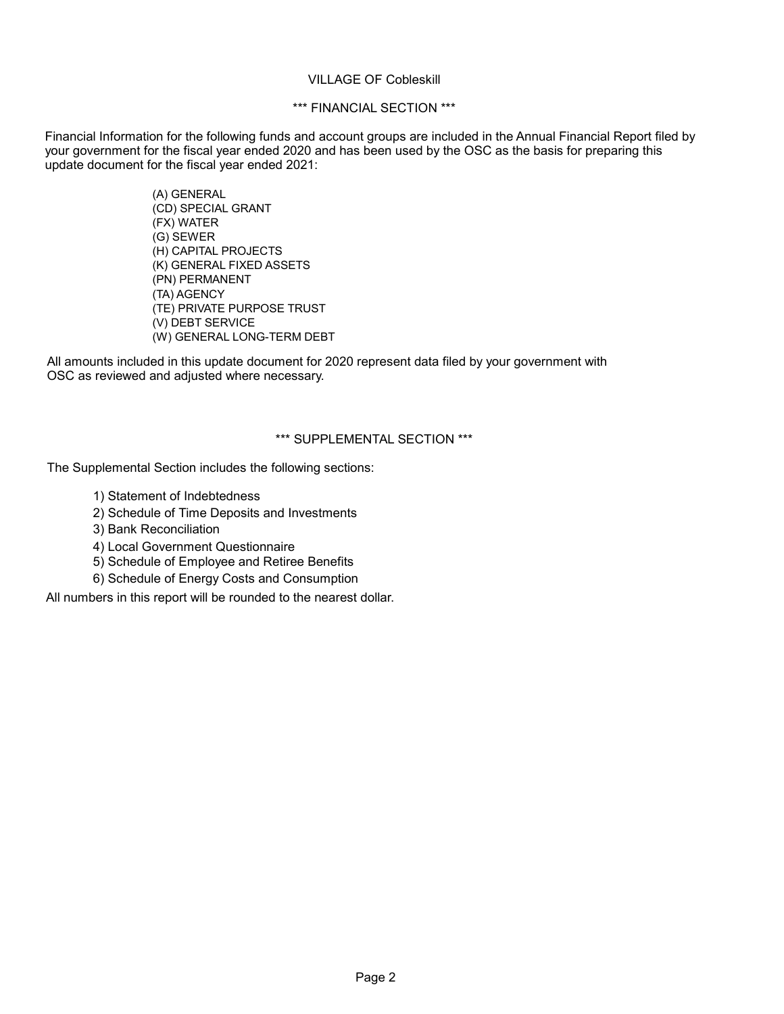#### VILLAGE OF Cobleskill

## \*\*\* FINANCIAL SECTION \*\*\*

Financial Information for the following funds and account groups are included in the Annual Financial Report filed by your government for the fiscal year ended 2020 and has been used by the OSC as the basis for preparing this update document for the fiscal year ended 2021:

> (A) GENERAL (CD) SPECIAL GRANT (FX) WATER (G) SEWER (H) CAPITAL PROJECTS (K) GENERAL FIXED ASSETS (PN) PERMANENT (TA) AGENCY (TE) PRIVATE PURPOSE TRUST (V) DEBT SERVICE (W) GENERAL LONG-TERM DEBT

All amounts included in this update document for 2020 represent data filed by your government with OSC as reviewed and adjusted where necessary.

## \*\*\* SUPPLEMENTAL SECTION \*\*\*

The Supplemental Section includes the following sections:

- 1) Statement of Indebtedness
- 2) Schedule of Time Deposits and Investments
- 3) Bank Reconciliation
- 4) Local Government Questionnaire
- 5) Schedule of Employee and Retiree Benefits
- 6) Schedule of Energy Costs and Consumption

All numbers in this report will be rounded to the nearest dollar.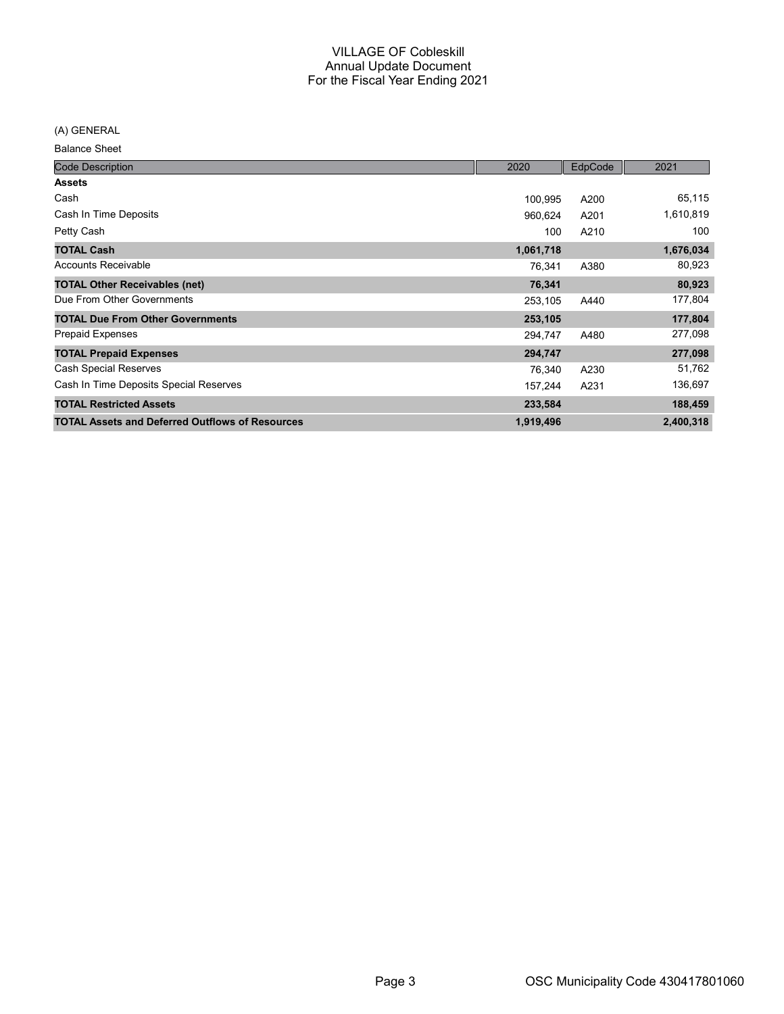(A) GENERAL

Balance Sheet

| <b>Code Description</b>                                | 2020      | EdpCode | 2021      |
|--------------------------------------------------------|-----------|---------|-----------|
| <b>Assets</b>                                          |           |         |           |
| Cash                                                   | 100,995   | A200    | 65,115    |
| Cash In Time Deposits                                  | 960,624   | A201    | 1,610,819 |
| Petty Cash                                             | 100       | A210    | 100       |
| <b>TOTAL Cash</b>                                      | 1,061,718 |         | 1,676,034 |
| <b>Accounts Receivable</b>                             | 76,341    | A380    | 80,923    |
| <b>TOTAL Other Receivables (net)</b>                   | 76,341    |         | 80,923    |
| Due From Other Governments                             | 253,105   | A440    | 177,804   |
| <b>TOTAL Due From Other Governments</b>                | 253,105   |         | 177,804   |
| <b>Prepaid Expenses</b>                                | 294,747   | A480    | 277,098   |
| <b>TOTAL Prepaid Expenses</b>                          | 294,747   |         | 277,098   |
| <b>Cash Special Reserves</b>                           | 76,340    | A230    | 51,762    |
| Cash In Time Deposits Special Reserves                 | 157,244   | A231    | 136,697   |
| <b>TOTAL Restricted Assets</b>                         | 233,584   |         | 188,459   |
| <b>TOTAL Assets and Deferred Outflows of Resources</b> | 1,919,496 |         | 2,400,318 |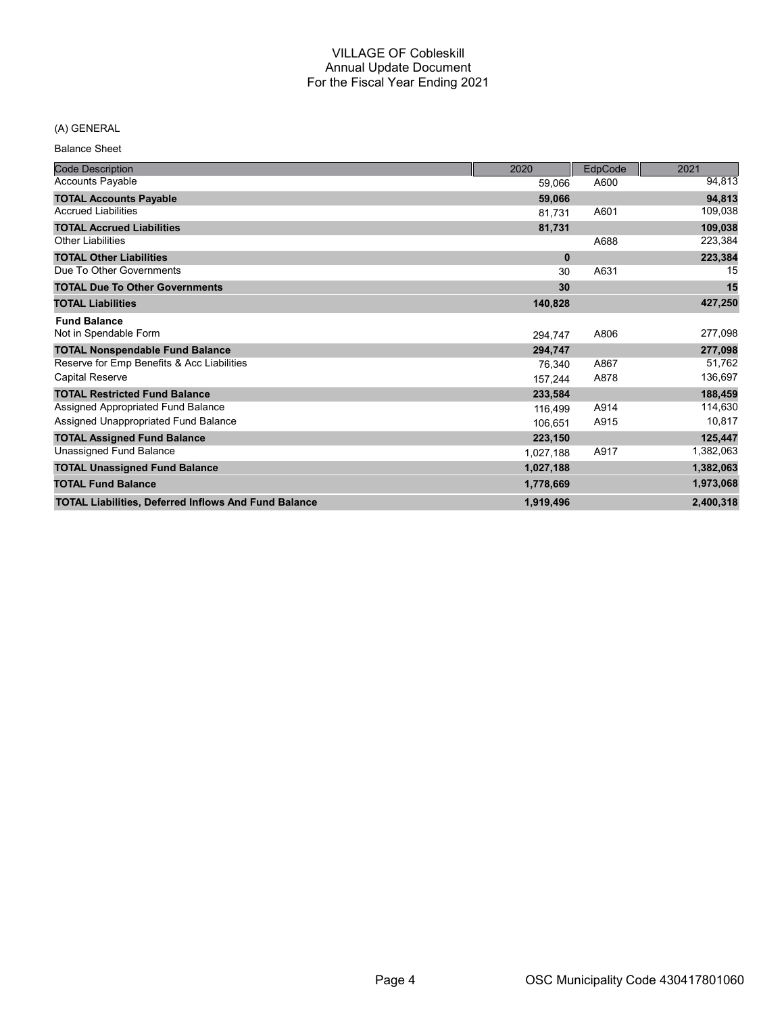## (A) GENERAL

Balance Sheet

| <b>Code Description</b>                                     | 2020      | EdpCode | 2021      |
|-------------------------------------------------------------|-----------|---------|-----------|
| <b>Accounts Payable</b>                                     | 59,066    | A600    | 94,813    |
| <b>TOTAL Accounts Payable</b>                               | 59,066    |         | 94,813    |
| <b>Accrued Liabilities</b>                                  | 81,731    | A601    | 109,038   |
| <b>TOTAL Accrued Liabilities</b>                            | 81,731    |         | 109,038   |
| <b>Other Liabilities</b>                                    |           | A688    | 223,384   |
| <b>TOTAL Other Liabilities</b>                              | $\bf{0}$  |         | 223,384   |
| Due To Other Governments                                    | 30        | A631    | 15        |
| <b>TOTAL Due To Other Governments</b>                       | 30        |         | 15        |
| <b>TOTAL Liabilities</b>                                    | 140,828   |         | 427,250   |
| <b>Fund Balance</b>                                         |           |         |           |
| Not in Spendable Form                                       | 294,747   | A806    | 277,098   |
| <b>TOTAL Nonspendable Fund Balance</b>                      | 294,747   |         | 277,098   |
| Reserve for Emp Benefits & Acc Liabilities                  | 76,340    | A867    | 51,762    |
| <b>Capital Reserve</b>                                      | 157,244   | A878    | 136,697   |
| <b>TOTAL Restricted Fund Balance</b>                        | 233,584   |         | 188,459   |
| Assigned Appropriated Fund Balance                          | 116,499   | A914    | 114,630   |
| Assigned Unappropriated Fund Balance                        | 106.651   | A915    | 10,817    |
| <b>TOTAL Assigned Fund Balance</b>                          | 223,150   |         | 125,447   |
| Unassigned Fund Balance                                     | 1,027,188 | A917    | 1,382,063 |
| <b>TOTAL Unassigned Fund Balance</b>                        | 1,027,188 |         | 1,382,063 |
| <b>TOTAL Fund Balance</b>                                   | 1,778,669 |         | 1,973,068 |
| <b>TOTAL Liabilities, Deferred Inflows And Fund Balance</b> | 1,919,496 |         | 2,400,318 |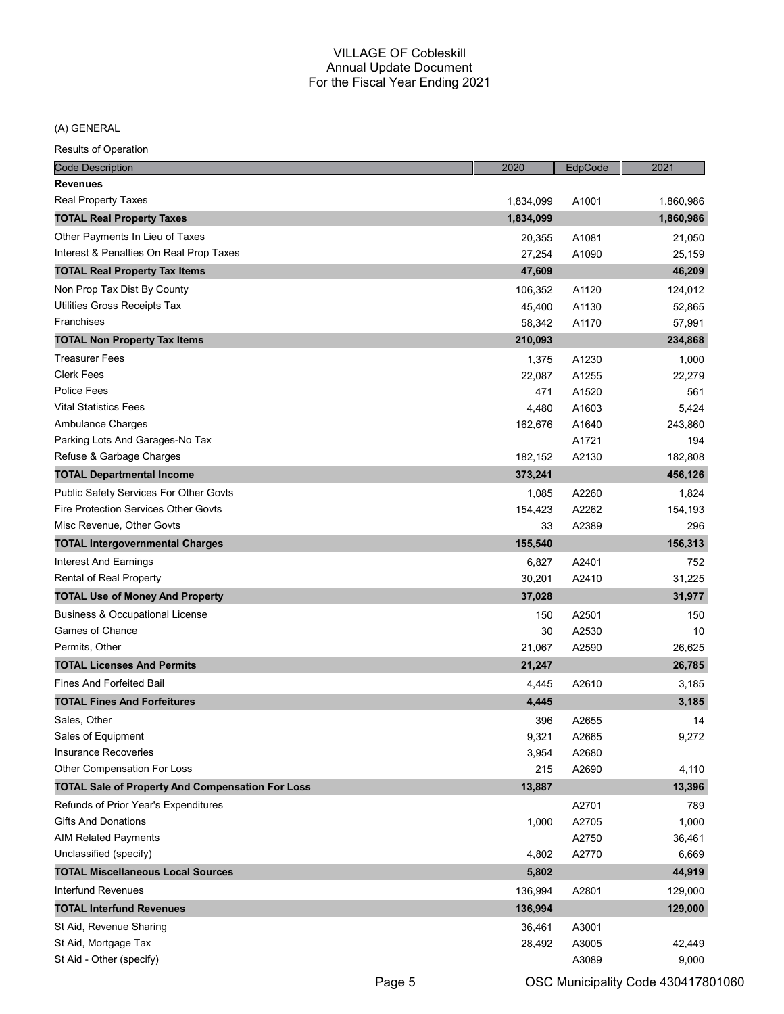(A) GENERAL

| <b>Code Description</b>                                 | 2020      | EdpCode | 2021      |
|---------------------------------------------------------|-----------|---------|-----------|
| <b>Revenues</b>                                         |           |         |           |
| <b>Real Property Taxes</b>                              | 1,834,099 | A1001   | 1,860,986 |
| <b>TOTAL Real Property Taxes</b>                        | 1,834,099 |         | 1,860,986 |
| Other Payments In Lieu of Taxes                         | 20,355    | A1081   | 21,050    |
| Interest & Penalties On Real Prop Taxes                 | 27,254    | A1090   | 25,159    |
| <b>TOTAL Real Property Tax Items</b>                    | 47,609    |         | 46,209    |
| Non Prop Tax Dist By County                             | 106,352   | A1120   | 124,012   |
| Utilities Gross Receipts Tax                            | 45,400    | A1130   | 52,865    |
| Franchises                                              | 58,342    | A1170   | 57,991    |
| <b>TOTAL Non Property Tax Items</b>                     | 210,093   |         | 234,868   |
| <b>Treasurer Fees</b>                                   | 1,375     | A1230   | 1,000     |
| <b>Clerk Fees</b>                                       | 22,087    | A1255   | 22,279    |
| <b>Police Fees</b>                                      | 471       | A1520   | 561       |
| <b>Vital Statistics Fees</b>                            | 4,480     | A1603   | 5,424     |
| Ambulance Charges                                       | 162,676   | A1640   | 243,860   |
| Parking Lots And Garages-No Tax                         |           | A1721   | 194       |
| Refuse & Garbage Charges                                | 182,152   | A2130   | 182,808   |
| <b>TOTAL Departmental Income</b>                        | 373,241   |         | 456,126   |
| Public Safety Services For Other Govts                  | 1,085     | A2260   | 1,824     |
| <b>Fire Protection Services Other Govts</b>             | 154,423   | A2262   | 154,193   |
| Misc Revenue, Other Govts                               | 33        | A2389   | 296       |
| <b>TOTAL Intergovernmental Charges</b>                  | 155,540   |         | 156,313   |
| Interest And Earnings                                   | 6,827     | A2401   | 752       |
| Rental of Real Property                                 | 30,201    | A2410   | 31,225    |
| <b>TOTAL Use of Money And Property</b>                  | 37,028    |         | 31,977    |
| <b>Business &amp; Occupational License</b>              | 150       | A2501   | 150       |
| Games of Chance                                         | 30        | A2530   | 10        |
| Permits, Other                                          | 21,067    | A2590   | 26,625    |
| <b>TOTAL Licenses And Permits</b>                       | 21,247    |         | 26,785    |
| <b>Fines And Forfeited Bail</b>                         | 4,445     | A2610   | 3,185     |
| <b>TOTAL Fines And Forfeitures</b>                      | 4,445     |         | 3,185     |
| Sales, Other                                            | 396       | A2655   | 14        |
| Sales of Equipment                                      | 9,321     | A2665   | 9,272     |
| Insurance Recoveries                                    | 3,954     | A2680   |           |
| Other Compensation For Loss                             | 215       | A2690   | 4,110     |
| <b>TOTAL Sale of Property And Compensation For Loss</b> | 13,887    |         | 13,396    |
| Refunds of Prior Year's Expenditures                    |           | A2701   | 789       |
| <b>Gifts And Donations</b>                              | 1,000     | A2705   | 1,000     |
| <b>AIM Related Payments</b>                             |           | A2750   | 36,461    |
| Unclassified (specify)                                  | 4,802     | A2770   | 6,669     |
| <b>TOTAL Miscellaneous Local Sources</b>                | 5,802     |         | 44,919    |
| Interfund Revenues                                      | 136,994   | A2801   | 129,000   |
| <b>TOTAL Interfund Revenues</b>                         | 136,994   |         | 129,000   |
| St Aid, Revenue Sharing                                 | 36,461    | A3001   |           |
| St Aid, Mortgage Tax                                    | 28,492    | A3005   | 42,449    |
| St Aid - Other (specify)                                |           | A3089   | 9,000     |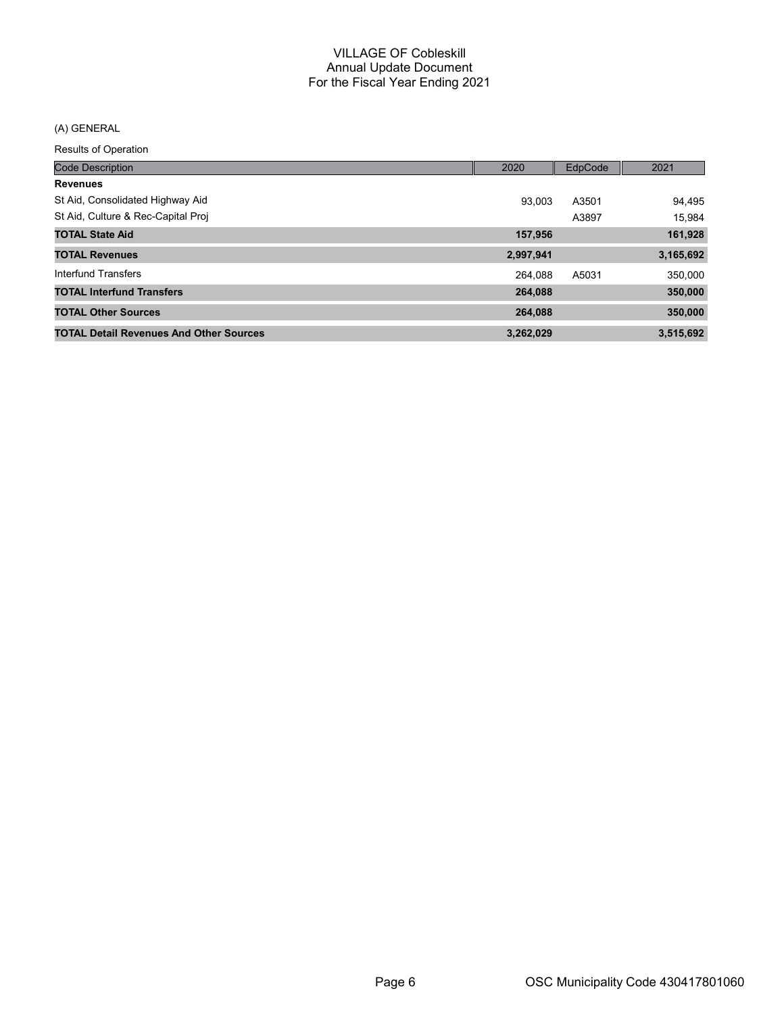## (A) GENERAL

| <b>Code Description</b>                        | 2020      | EdpCode | 2021      |
|------------------------------------------------|-----------|---------|-----------|
| <b>Revenues</b>                                |           |         |           |
| St Aid, Consolidated Highway Aid               | 93.003    | A3501   | 94,495    |
| St Aid, Culture & Rec-Capital Proj             |           | A3897   | 15,984    |
| <b>TOTAL State Aid</b>                         | 157,956   |         | 161,928   |
| <b>TOTAL Revenues</b>                          | 2,997,941 |         | 3,165,692 |
| Interfund Transfers                            | 264.088   | A5031   | 350,000   |
| <b>TOTAL Interfund Transfers</b>               | 264.088   |         | 350,000   |
| <b>TOTAL Other Sources</b>                     | 264.088   |         | 350,000   |
| <b>TOTAL Detail Revenues And Other Sources</b> | 3,262,029 |         | 3,515,692 |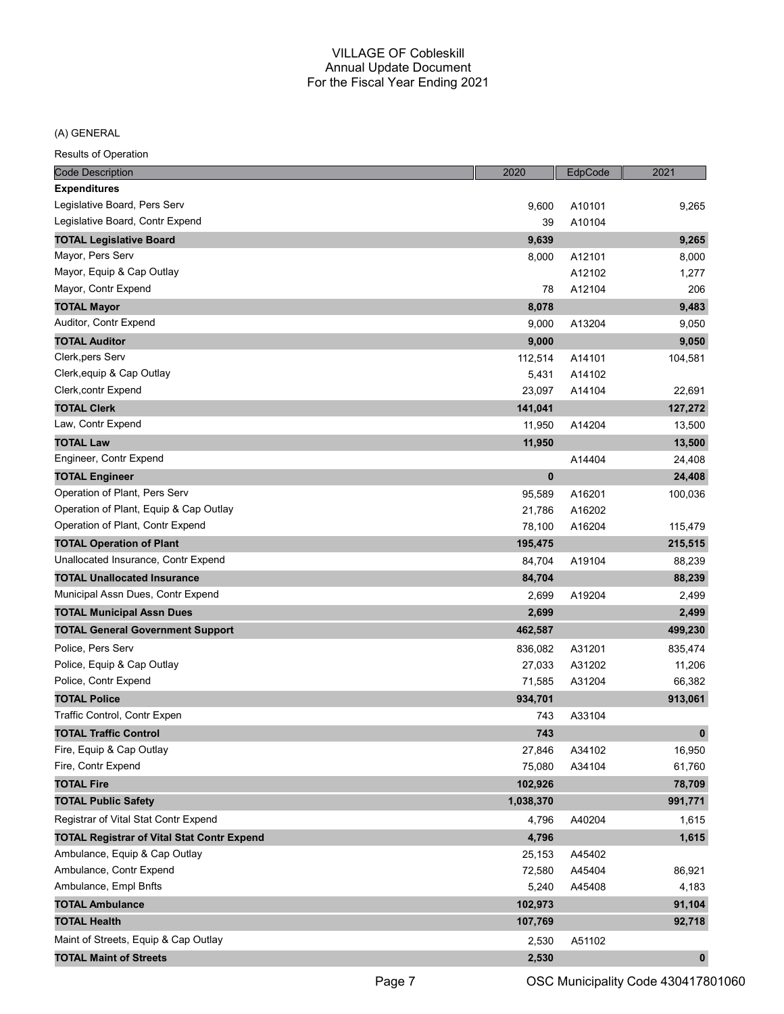(A) GENERAL

| <b>Code Description</b>                           | 2020      | EdpCode | 2021         |
|---------------------------------------------------|-----------|---------|--------------|
| <b>Expenditures</b>                               |           |         |              |
| Legislative Board, Pers Serv                      | 9,600     | A10101  | 9,265        |
| Legislative Board, Contr Expend                   | 39        | A10104  |              |
| <b>TOTAL Legislative Board</b>                    | 9,639     |         | 9,265        |
| Mayor, Pers Serv                                  | 8,000     | A12101  | 8,000        |
| Mayor, Equip & Cap Outlay                         |           | A12102  | 1,277        |
| Mayor, Contr Expend                               | 78        | A12104  | 206          |
| <b>TOTAL Mayor</b>                                | 8,078     |         | 9,483        |
| Auditor, Contr Expend                             | 9,000     | A13204  | 9,050        |
| <b>TOTAL Auditor</b>                              | 9,000     |         | 9,050        |
| Clerk, pers Serv                                  | 112,514   | A14101  | 104,581      |
| Clerk, equip & Cap Outlay                         | 5,431     | A14102  |              |
| Clerk, contr Expend                               | 23,097    | A14104  | 22,691       |
| <b>TOTAL Clerk</b>                                | 141,041   |         | 127,272      |
| Law, Contr Expend                                 | 11,950    | A14204  | 13,500       |
| <b>TOTAL Law</b>                                  | 11,950    |         | 13,500       |
| Engineer, Contr Expend                            |           | A14404  | 24,408       |
| <b>TOTAL Engineer</b>                             | $\bf{0}$  |         | 24,408       |
| Operation of Plant, Pers Serv                     | 95,589    | A16201  | 100,036      |
| Operation of Plant, Equip & Cap Outlay            | 21,786    | A16202  |              |
| Operation of Plant, Contr Expend                  | 78,100    | A16204  | 115,479      |
| <b>TOTAL Operation of Plant</b>                   | 195,475   |         | 215,515      |
| Unallocated Insurance, Contr Expend               | 84,704    | A19104  | 88,239       |
| <b>TOTAL Unallocated Insurance</b>                | 84,704    |         | 88,239       |
| Municipal Assn Dues, Contr Expend                 | 2,699     | A19204  | 2,499        |
| <b>TOTAL Municipal Assn Dues</b>                  | 2,699     |         | 2,499        |
| <b>TOTAL General Government Support</b>           | 462,587   |         | 499,230      |
| Police, Pers Serv                                 | 836,082   | A31201  | 835,474      |
| Police, Equip & Cap Outlay                        | 27,033    | A31202  | 11,206       |
| Police, Contr Expend                              | 71,585    | A31204  | 66,382       |
| <b>TOTAL Police</b>                               | 934,701   |         | 913,061      |
| Traffic Control, Contr Expen                      | 743       | A33104  |              |
| <b>TOTAL Traffic Control</b>                      | 743       |         | $\mathbf{0}$ |
| Fire, Equip & Cap Outlay                          | 27,846    | A34102  | 16,950       |
| Fire, Contr Expend                                | 75,080    | A34104  | 61,760       |
| <b>TOTAL Fire</b>                                 | 102,926   |         | 78,709       |
| <b>TOTAL Public Safety</b>                        | 1,038,370 |         | 991,771      |
| Registrar of Vital Stat Contr Expend              | 4,796     | A40204  | 1,615        |
| <b>TOTAL Registrar of Vital Stat Contr Expend</b> | 4,796     |         | 1,615        |
| Ambulance, Equip & Cap Outlay                     | 25,153    | A45402  |              |
| Ambulance, Contr Expend                           | 72,580    | A45404  | 86,921       |
| Ambulance, Empl Bnfts                             | 5,240     | A45408  | 4,183        |
| <b>TOTAL Ambulance</b>                            | 102,973   |         | 91,104       |
| <b>TOTAL Health</b>                               | 107,769   |         | 92,718       |
| Maint of Streets, Equip & Cap Outlay              | 2,530     | A51102  |              |
| <b>TOTAL Maint of Streets</b>                     | 2,530     |         | $\mathbf 0$  |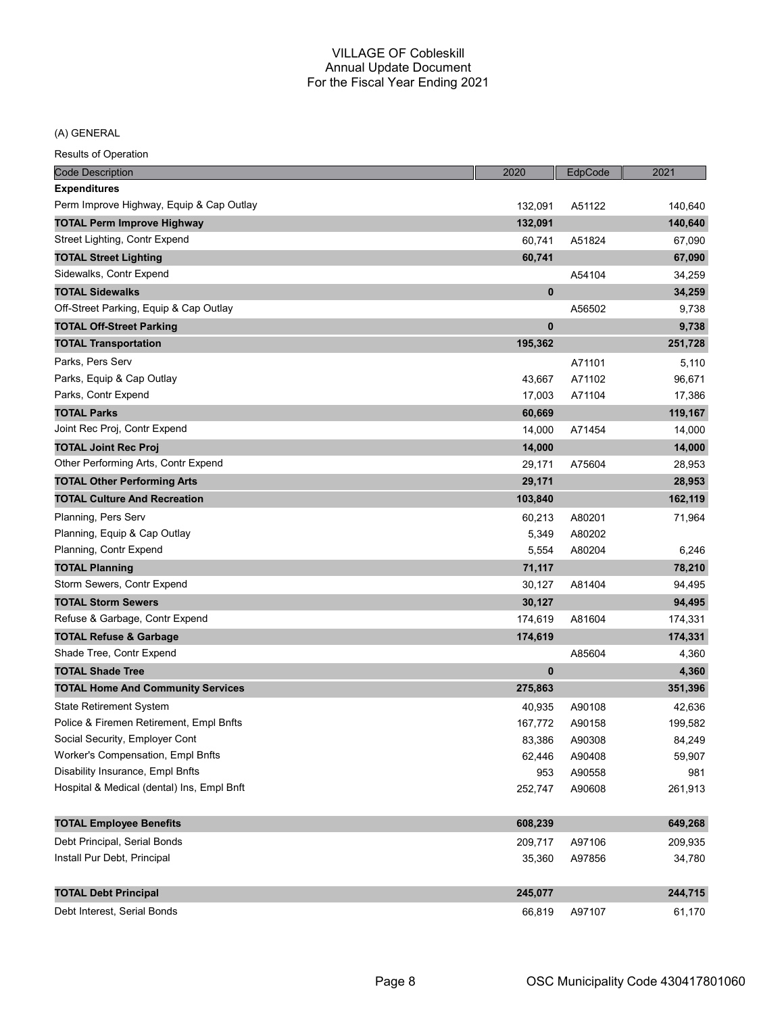(A) GENERAL

| <b>Code Description</b>                    | 2020         | EdpCode | 2021    |
|--------------------------------------------|--------------|---------|---------|
| <b>Expenditures</b>                        |              |         |         |
| Perm Improve Highway, Equip & Cap Outlay   | 132,091      | A51122  | 140,640 |
| <b>TOTAL Perm Improve Highway</b>          | 132,091      |         | 140,640 |
| Street Lighting, Contr Expend              | 60,741       | A51824  | 67,090  |
| <b>TOTAL Street Lighting</b>               | 60,741       |         | 67,090  |
| Sidewalks, Contr Expend                    |              | A54104  | 34,259  |
| <b>TOTAL Sidewalks</b>                     | $\mathbf{0}$ |         | 34,259  |
| Off-Street Parking, Equip & Cap Outlay     |              | A56502  | 9,738   |
| <b>TOTAL Off-Street Parking</b>            | 0            |         | 9,738   |
| <b>TOTAL Transportation</b>                | 195,362      |         | 251,728 |
| Parks, Pers Serv                           |              | A71101  | 5,110   |
| Parks, Equip & Cap Outlay                  | 43,667       | A71102  | 96,671  |
| Parks, Contr Expend                        | 17,003       | A71104  | 17,386  |
| <b>TOTAL Parks</b>                         | 60,669       |         | 119,167 |
| Joint Rec Proj, Contr Expend               | 14,000       | A71454  | 14,000  |
| <b>TOTAL Joint Rec Proj</b>                | 14,000       |         | 14,000  |
| Other Performing Arts, Contr Expend        | 29,171       | A75604  | 28,953  |
| <b>TOTAL Other Performing Arts</b>         | 29,171       |         | 28,953  |
| <b>TOTAL Culture And Recreation</b>        | 103,840      |         | 162,119 |
| Planning, Pers Serv                        | 60,213       | A80201  | 71,964  |
| Planning, Equip & Cap Outlay               | 5,349        | A80202  |         |
| Planning, Contr Expend                     | 5,554        | A80204  | 6,246   |
| <b>TOTAL Planning</b>                      | 71,117       |         | 78,210  |
| Storm Sewers, Contr Expend                 | 30,127       | A81404  | 94,495  |
| <b>TOTAL Storm Sewers</b>                  | 30,127       |         | 94,495  |
| Refuse & Garbage, Contr Expend             | 174,619      | A81604  | 174,331 |
| <b>TOTAL Refuse &amp; Garbage</b>          | 174,619      |         | 174,331 |
| Shade Tree, Contr Expend                   |              | A85604  | 4,360   |
| <b>TOTAL Shade Tree</b>                    | 0            |         | 4,360   |
| <b>TOTAL Home And Community Services</b>   | 275,863      |         | 351,396 |
| <b>State Retirement System</b>             | 40,935       | A90108  | 42,636  |
| Police & Firemen Retirement, Empl Bnfts    | 167,772      | A90158  | 199,582 |
| Social Security, Employer Cont             | 83,386       | A90308  | 84,249  |
| Worker's Compensation, Empl Bnfts          | 62,446       | A90408  | 59,907  |
| Disability Insurance, Empl Bnfts           | 953          | A90558  | 981     |
| Hospital & Medical (dental) Ins, Empl Bnft | 252,747      | A90608  | 261,913 |
|                                            |              |         |         |
| <b>TOTAL Employee Benefits</b>             | 608,239      |         | 649,268 |
| Debt Principal, Serial Bonds               | 209,717      | A97106  | 209,935 |
| Install Pur Debt, Principal                | 35,360       | A97856  | 34,780  |
| <b>TOTAL Debt Principal</b>                | 245,077      |         | 244,715 |
| Debt Interest, Serial Bonds                | 66,819       | A97107  | 61,170  |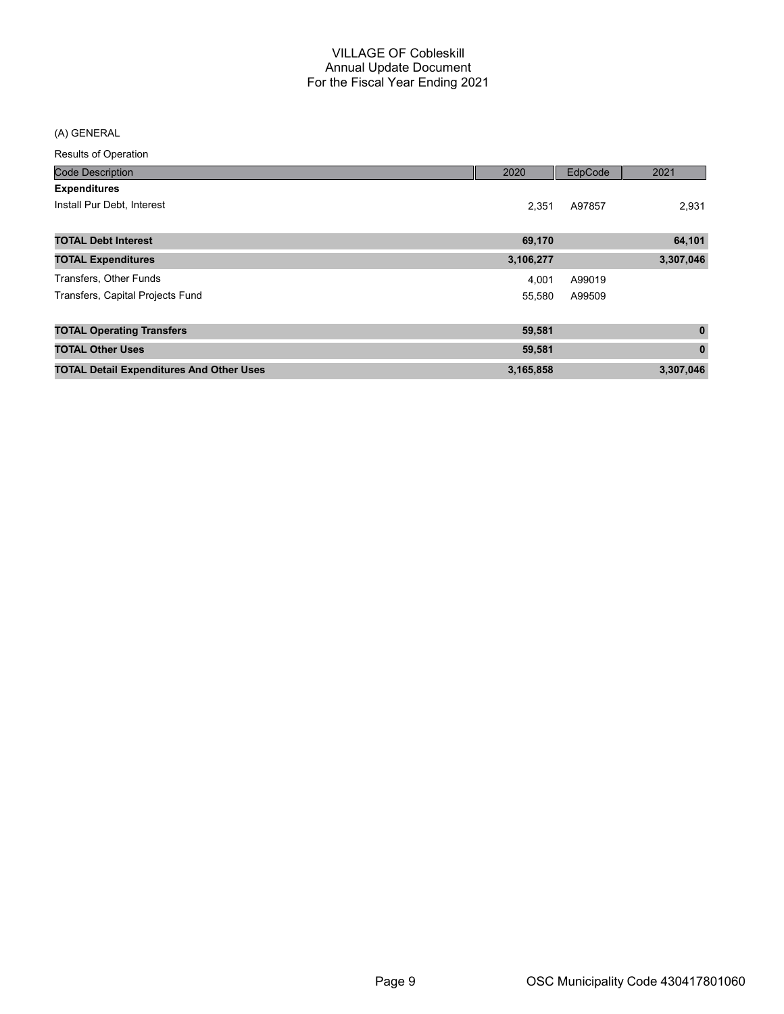#### (A) GENERAL

| <b>Code Description</b>                         | 2020      | EdpCode | 2021         |
|-------------------------------------------------|-----------|---------|--------------|
| <b>Expenditures</b>                             |           |         |              |
| Install Pur Debt, Interest                      | 2.351     | A97857  | 2,931        |
| <b>TOTAL Debt Interest</b>                      | 69,170    |         | 64,101       |
| <b>TOTAL Expenditures</b>                       | 3,106,277 |         | 3,307,046    |
| Transfers, Other Funds                          | 4.001     | A99019  |              |
| Transfers, Capital Projects Fund                | 55.580    | A99509  |              |
| <b>TOTAL Operating Transfers</b>                | 59,581    |         | $\mathbf 0$  |
| <b>TOTAL Other Uses</b>                         | 59,581    |         | $\mathbf{0}$ |
| <b>TOTAL Detail Expenditures And Other Uses</b> | 3,165,858 |         | 3,307,046    |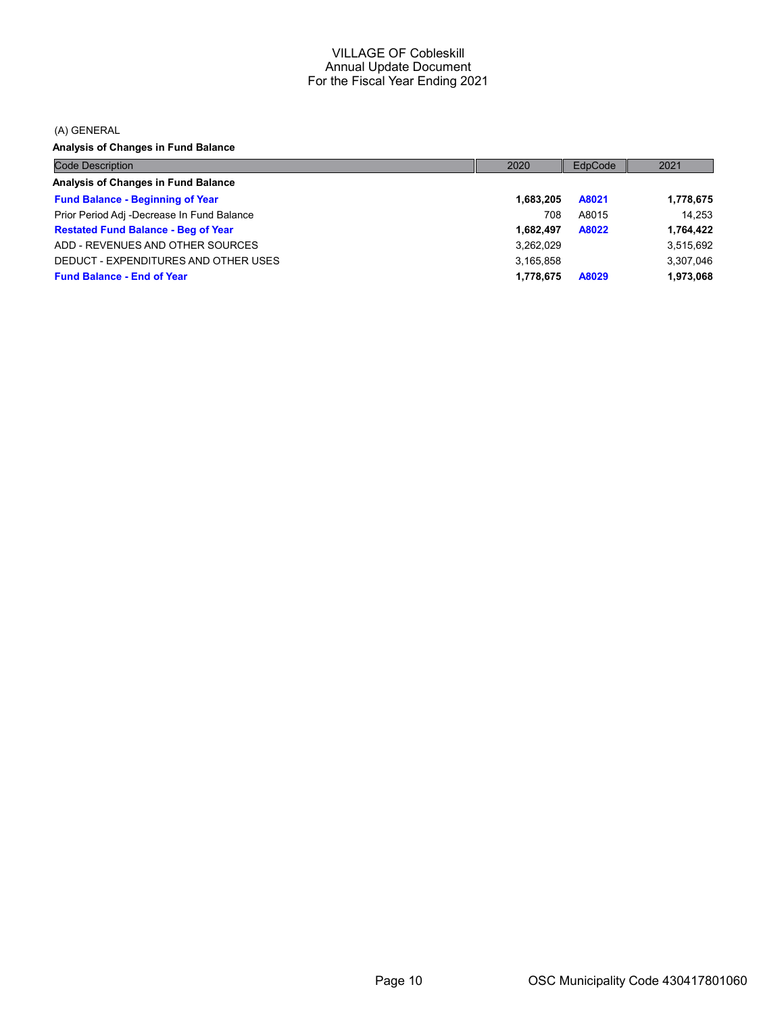(A) GENERAL

Analysis of Changes in Fund Balance

| <b>Code Description</b>                    | 2020      | EdpCode | 2021      |
|--------------------------------------------|-----------|---------|-----------|
| Analysis of Changes in Fund Balance        |           |         |           |
| <b>Fund Balance - Beginning of Year</b>    | 1,683,205 | A8021   | 1,778,675 |
| Prior Period Adj -Decrease In Fund Balance | 708       | A8015   | 14.253    |
| <b>Restated Fund Balance - Beg of Year</b> | 1,682,497 | A8022   | 1,764,422 |
| ADD - REVENUES AND OTHER SOURCES           | 3,262,029 |         | 3,515,692 |
| DEDUCT - EXPENDITURES AND OTHER USES       | 3,165,858 |         | 3,307,046 |
| <b>Fund Balance - End of Year</b>          | 1,778,675 | A8029   | 1,973,068 |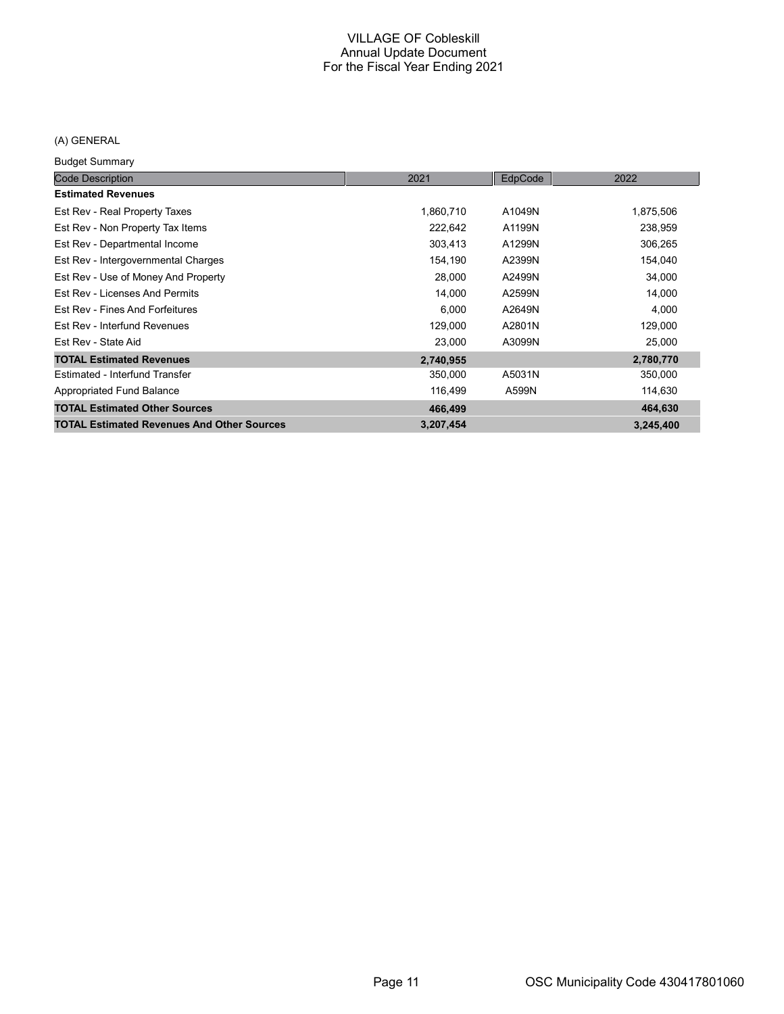## (A) GENERAL

Budget Summary

| baago, bannuary                                   |           |         |           |
|---------------------------------------------------|-----------|---------|-----------|
| <b>Code Description</b>                           | 2021      | EdpCode | 2022      |
| <b>Estimated Revenues</b>                         |           |         |           |
| Est Rev - Real Property Taxes                     | 1,860,710 | A1049N  | 1,875,506 |
| Est Rev - Non Property Tax Items                  | 222,642   | A1199N  | 238,959   |
| Est Rev - Departmental Income                     | 303,413   | A1299N  | 306,265   |
| Est Rev - Intergovernmental Charges               | 154,190   | A2399N  | 154,040   |
| Est Rev - Use of Money And Property               | 28,000    | A2499N  | 34,000    |
| Est Rev - Licenses And Permits                    | 14,000    | A2599N  | 14,000    |
| Est Rev - Fines And Forfeitures                   | 6,000     | A2649N  | 4,000     |
| Est Rev - Interfund Revenues                      | 129,000   | A2801N  | 129,000   |
| Est Rev - State Aid                               | 23,000    | A3099N  | 25,000    |
| <b>TOTAL Estimated Revenues</b>                   | 2,740,955 |         | 2,780,770 |
| Estimated - Interfund Transfer                    | 350,000   | A5031N  | 350,000   |
| Appropriated Fund Balance                         | 116,499   | A599N   | 114,630   |
| <b>TOTAL Estimated Other Sources</b>              | 466,499   |         | 464,630   |
| <b>TOTAL Estimated Revenues And Other Sources</b> | 3,207,454 |         | 3,245,400 |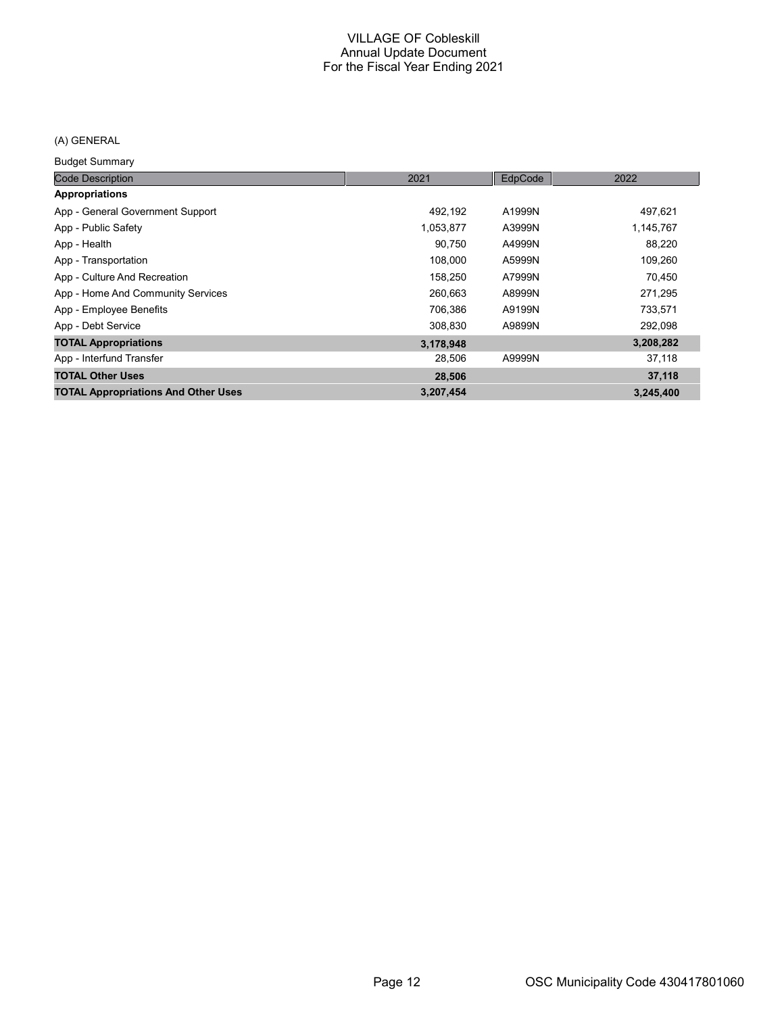## (A) GENERAL

Budget Summary

| <b>Code Description</b>                    | 2021      | EdpCode | 2022      |
|--------------------------------------------|-----------|---------|-----------|
| <b>Appropriations</b>                      |           |         |           |
| App - General Government Support           | 492.192   | A1999N  | 497,621   |
| App - Public Safety                        | 1,053,877 | A3999N  | 1,145,767 |
| App - Health                               | 90,750    | A4999N  | 88,220    |
| App - Transportation                       | 108,000   | A5999N  | 109,260   |
| App - Culture And Recreation               | 158,250   | A7999N  | 70,450    |
| App - Home And Community Services          | 260.663   | A8999N  | 271,295   |
| App - Employee Benefits                    | 706,386   | A9199N  | 733,571   |
| App - Debt Service                         | 308,830   | A9899N  | 292,098   |
| <b>TOTAL Appropriations</b>                | 3,178,948 |         | 3,208,282 |
| App - Interfund Transfer                   | 28,506    | A9999N  | 37,118    |
| <b>TOTAL Other Uses</b>                    | 28,506    |         | 37,118    |
| <b>TOTAL Appropriations And Other Uses</b> | 3,207,454 |         | 3,245,400 |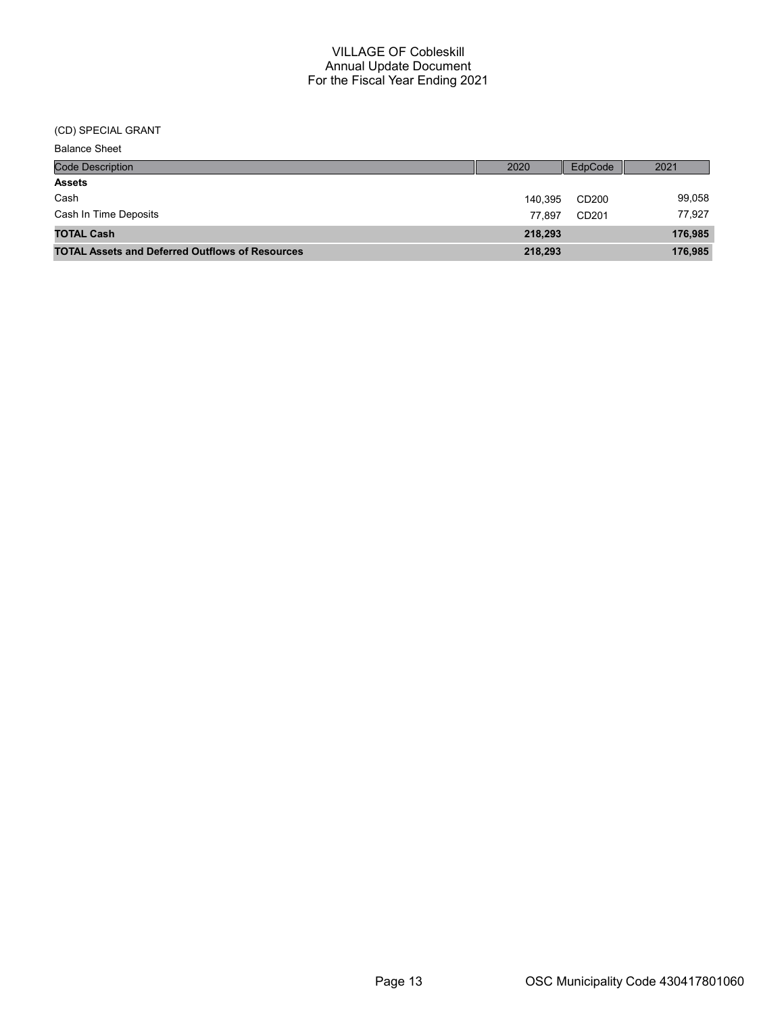(CD) SPECIAL GRANT

| <b>Balance Sheet</b>                                   |         |                   |         |
|--------------------------------------------------------|---------|-------------------|---------|
| <b>Code Description</b>                                | 2020    | EdpCode           | 2021    |
| <b>Assets</b>                                          |         |                   |         |
| Cash                                                   | 140.395 | CD200             | 99,058  |
| Cash In Time Deposits                                  | 77.897  | CD <sub>201</sub> | 77,927  |
| <b>TOTAL Cash</b>                                      | 218,293 |                   | 176,985 |
| <b>TOTAL Assets and Deferred Outflows of Resources</b> | 218,293 |                   | 176,985 |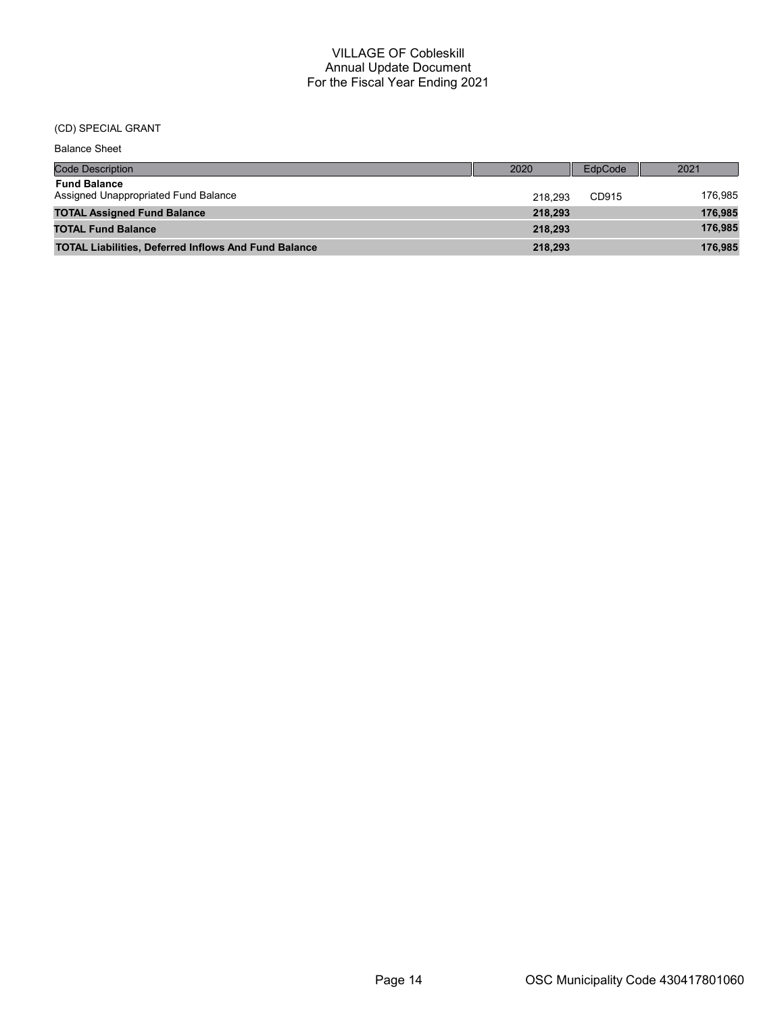#### (CD) SPECIAL GRANT

| <b>Balance Sheet</b>                                        |         |                |         |
|-------------------------------------------------------------|---------|----------------|---------|
| <b>Code Description</b>                                     | 2020    | <b>EdpCode</b> | 2021    |
| <b>Fund Balance</b><br>Assigned Unappropriated Fund Balance | 218.293 | CD915          | 176,985 |
| <b>TOTAL Assigned Fund Balance</b>                          | 218,293 |                | 176,985 |
| <b>TOTAL Fund Balance</b>                                   | 218.293 |                | 176,985 |
| <b>TOTAL Liabilities, Deferred Inflows And Fund Balance</b> | 218.293 |                | 176,985 |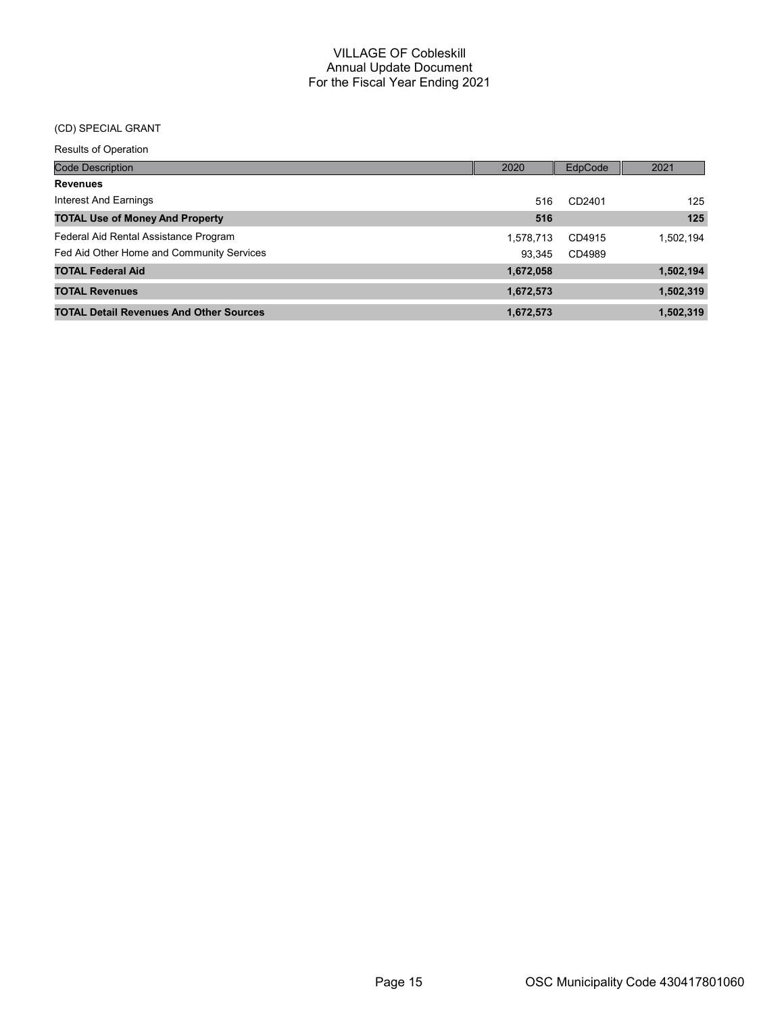## (CD) SPECIAL GRANT

| <b>Code Description</b>                        | 2020      | EdpCode | 2021      |
|------------------------------------------------|-----------|---------|-----------|
| <b>Revenues</b>                                |           |         |           |
| Interest And Earnings                          | 516       | CD2401  | 125       |
| <b>TOTAL Use of Money And Property</b>         | 516       |         | 125       |
| Federal Aid Rental Assistance Program          | 1,578,713 | CD4915  | 1,502,194 |
| Fed Aid Other Home and Community Services      | 93.345    | CD4989  |           |
| <b>TOTAL Federal Aid</b>                       | 1,672,058 |         | 1,502,194 |
| <b>TOTAL Revenues</b>                          | 1,672,573 |         | 1,502,319 |
| <b>TOTAL Detail Revenues And Other Sources</b> | 1,672,573 |         | 1,502,319 |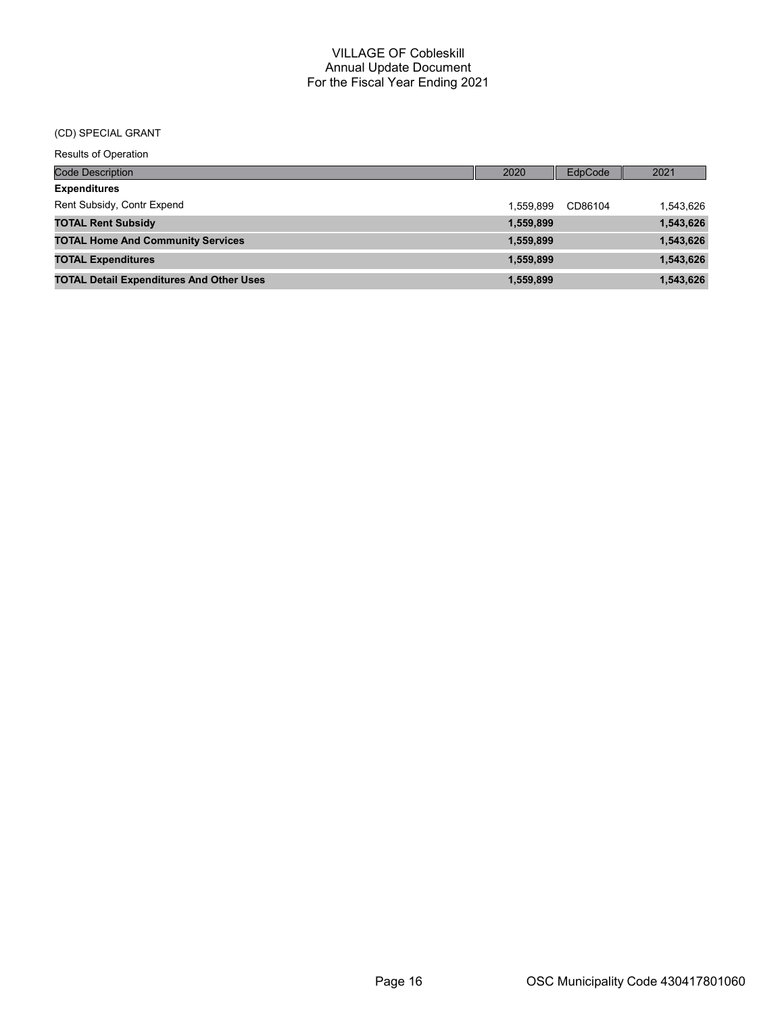#### (CD) SPECIAL GRANT

| <b>Code Description</b>                         | 2020      | EdpCode | 2021      |
|-------------------------------------------------|-----------|---------|-----------|
| <b>Expenditures</b>                             |           |         |           |
| Rent Subsidy, Contr Expend                      | 1.559.899 | CD86104 | 1,543,626 |
| <b>TOTAL Rent Subsidy</b>                       | 1,559,899 |         | 1,543,626 |
| <b>TOTAL Home And Community Services</b>        | 1,559,899 |         | 1,543,626 |
| <b>TOTAL Expenditures</b>                       | 1,559,899 |         | 1,543,626 |
| <b>TOTAL Detail Expenditures And Other Uses</b> | 1,559,899 |         | 1,543,626 |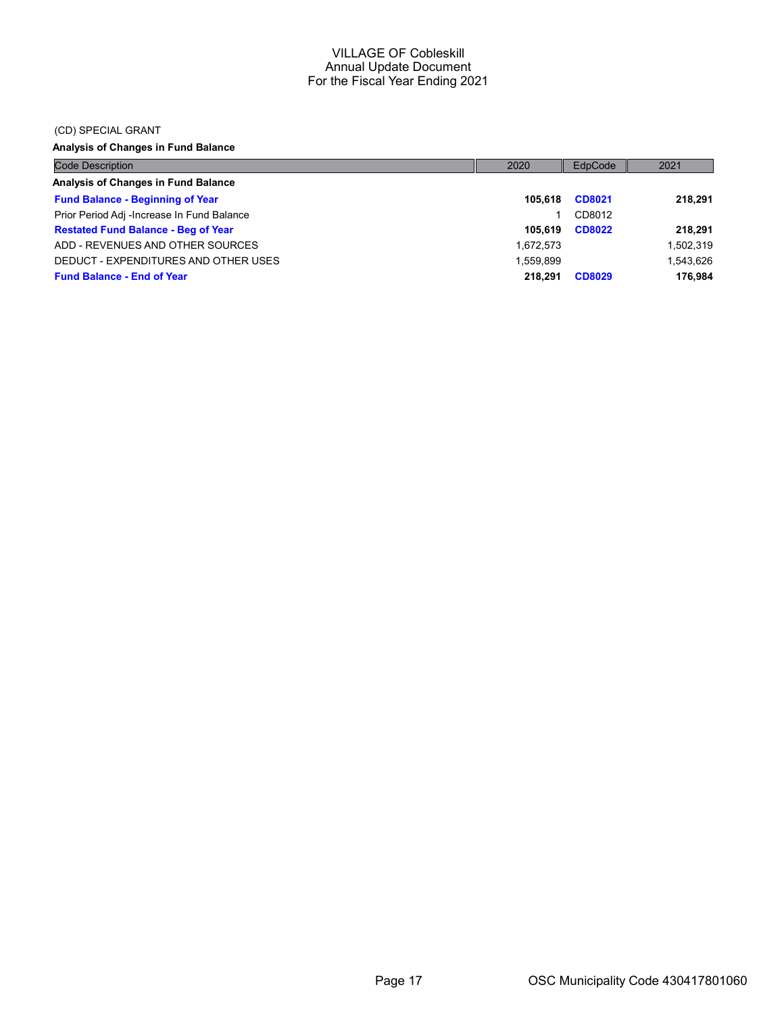#### (CD) SPECIAL GRANT

Analysis of Changes in Fund Balance

| <b>Code Description</b>                    | 2020      | EdpCode       | 2021      |
|--------------------------------------------|-----------|---------------|-----------|
| Analysis of Changes in Fund Balance        |           |               |           |
| <b>Fund Balance - Beginning of Year</b>    | 105.618   | CD8021        | 218.291   |
| Prior Period Adj -Increase In Fund Balance |           | CD8012        |           |
| <b>Restated Fund Balance - Beg of Year</b> | 105.619   | <b>CD8022</b> | 218.291   |
| ADD - REVENUES AND OTHER SOURCES           | 1,672,573 |               | 1,502,319 |
| DEDUCT - EXPENDITURES AND OTHER USES       | 1.559.899 |               | 1.543.626 |
| <b>Fund Balance - End of Year</b>          | 218.291   | <b>CD8029</b> | 176.984   |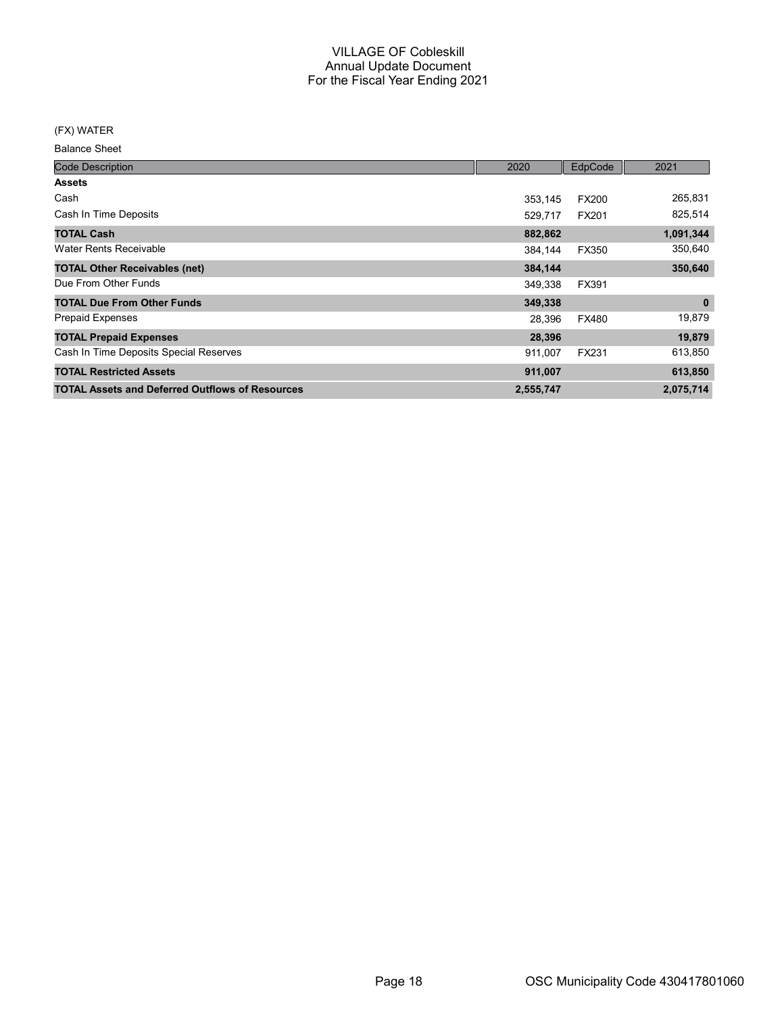#### (FX) WATER

Balance Sheet

| <b>Code Description</b>                                | 2020      | EdpCode      | 2021        |
|--------------------------------------------------------|-----------|--------------|-------------|
| <b>Assets</b>                                          |           |              |             |
| Cash                                                   | 353.145   | <b>FX200</b> | 265,831     |
| Cash In Time Deposits                                  | 529.717   | FX201        | 825,514     |
| <b>TOTAL Cash</b>                                      | 882,862   |              | 1,091,344   |
| <b>Water Rents Receivable</b>                          | 384.144   | <b>FX350</b> | 350,640     |
| <b>TOTAL Other Receivables (net)</b>                   | 384,144   |              | 350,640     |
| Due From Other Funds                                   | 349,338   | FX391        |             |
| <b>TOTAL Due From Other Funds</b>                      | 349,338   |              | $\mathbf 0$ |
| <b>Prepaid Expenses</b>                                | 28,396    | <b>FX480</b> | 19,879      |
| <b>TOTAL Prepaid Expenses</b>                          | 28,396    |              | 19,879      |
| Cash In Time Deposits Special Reserves                 | 911,007   | <b>FX231</b> | 613,850     |
| <b>TOTAL Restricted Assets</b>                         | 911,007   |              | 613,850     |
| <b>TOTAL Assets and Deferred Outflows of Resources</b> | 2,555,747 |              | 2,075,714   |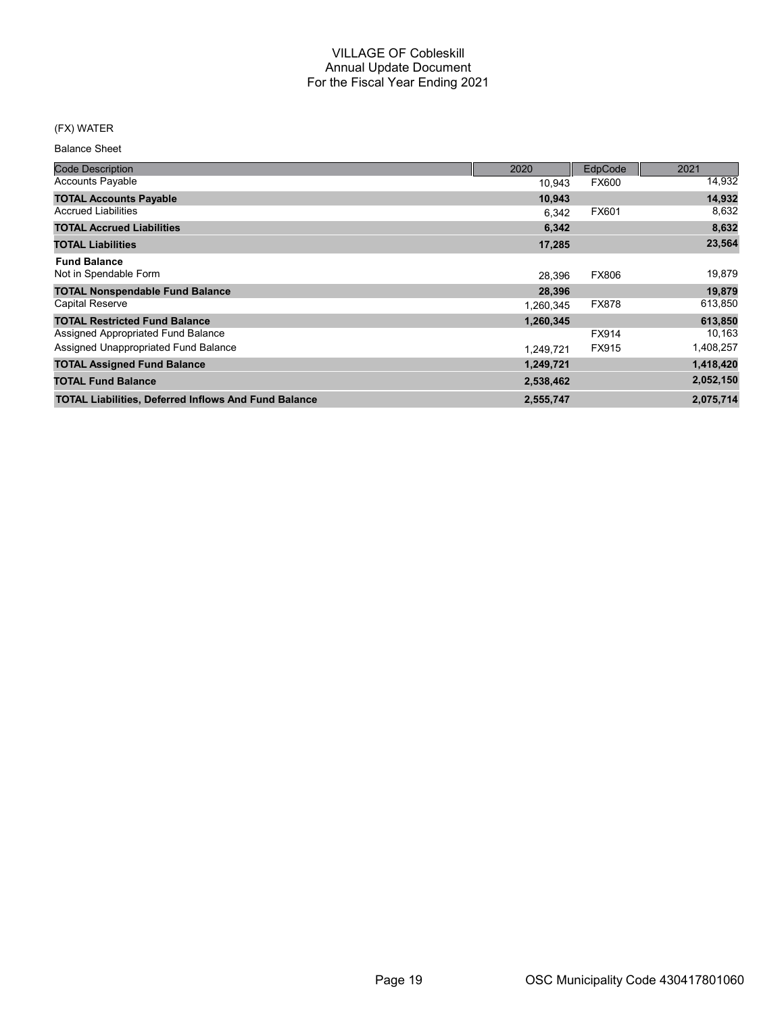## (FX) WATER

Balance Sheet

| <b>Code Description</b>                                     | 2020      | EdpCode      | 2021      |
|-------------------------------------------------------------|-----------|--------------|-----------|
| <b>Accounts Payable</b>                                     | 10,943    | <b>FX600</b> | 14,932    |
| <b>TOTAL Accounts Payable</b>                               | 10,943    |              | 14,932    |
| <b>Accrued Liabilities</b>                                  | 6.342     | FX601        | 8,632     |
| <b>TOTAL Accrued Liabilities</b>                            | 6,342     |              | 8,632     |
| <b>TOTAL Liabilities</b>                                    | 17,285    |              | 23,564    |
| <b>Fund Balance</b>                                         |           |              |           |
| Not in Spendable Form                                       | 28.396    | <b>FX806</b> | 19,879    |
| <b>TOTAL Nonspendable Fund Balance</b>                      | 28,396    |              | 19,879    |
| <b>Capital Reserve</b>                                      | 1,260,345 | <b>FX878</b> | 613,850   |
| <b>TOTAL Restricted Fund Balance</b>                        | 1,260,345 |              | 613,850   |
| Assigned Appropriated Fund Balance                          |           | FX914        | 10,163    |
| Assigned Unappropriated Fund Balance                        | 1.249.721 | FX915        | 1,408,257 |
| <b>TOTAL Assigned Fund Balance</b>                          | 1,249,721 |              | 1,418,420 |
| <b>TOTAL Fund Balance</b>                                   | 2,538,462 |              | 2,052,150 |
| <b>TOTAL Liabilities, Deferred Inflows And Fund Balance</b> | 2,555,747 |              | 2,075,714 |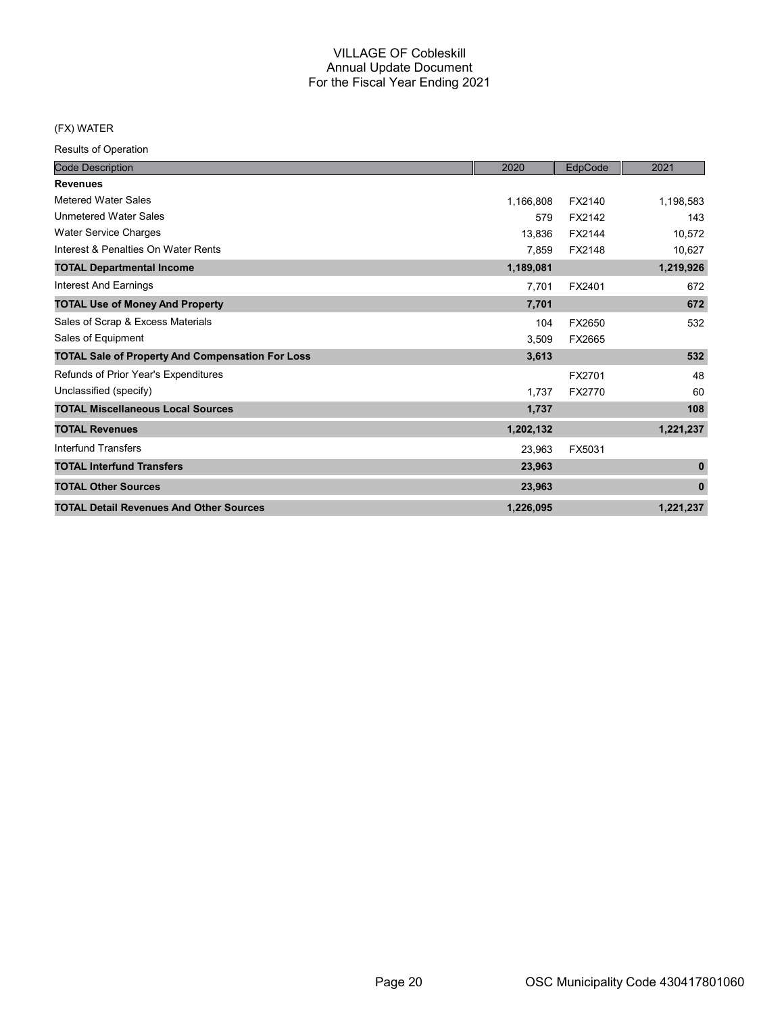## (FX) WATER

| <b>Code Description</b>                                 | 2020      | EdpCode       | 2021         |
|---------------------------------------------------------|-----------|---------------|--------------|
| <b>Revenues</b>                                         |           |               |              |
| <b>Metered Water Sales</b>                              | 1,166,808 | FX2140        | 1,198,583    |
| <b>Unmetered Water Sales</b>                            | 579       | FX2142        | 143          |
| <b>Water Service Charges</b>                            | 13.836    | FX2144        | 10,572       |
| Interest & Penalties On Water Rents                     | 7,859     | FX2148        | 10,627       |
| <b>TOTAL Departmental Income</b>                        | 1,189,081 |               | 1,219,926    |
| Interest And Earnings                                   | 7,701     | FX2401        | 672          |
| <b>TOTAL Use of Money And Property</b>                  | 7,701     |               | 672          |
| Sales of Scrap & Excess Materials                       | 104       | FX2650        | 532          |
| Sales of Equipment                                      | 3,509     | FX2665        |              |
| <b>TOTAL Sale of Property And Compensation For Loss</b> | 3,613     |               | 532          |
| Refunds of Prior Year's Expenditures                    |           | FX2701        | 48           |
| Unclassified (specify)                                  | 1,737     | <b>FX2770</b> | 60           |
| <b>TOTAL Miscellaneous Local Sources</b>                | 1,737     |               | 108          |
| <b>TOTAL Revenues</b>                                   | 1,202,132 |               | 1,221,237    |
| Interfund Transfers                                     | 23,963    | FX5031        |              |
| <b>TOTAL Interfund Transfers</b>                        | 23,963    |               | $\mathbf{0}$ |
| <b>TOTAL Other Sources</b>                              | 23,963    |               | $\mathbf{0}$ |
| <b>TOTAL Detail Revenues And Other Sources</b>          | 1,226,095 |               | 1,221,237    |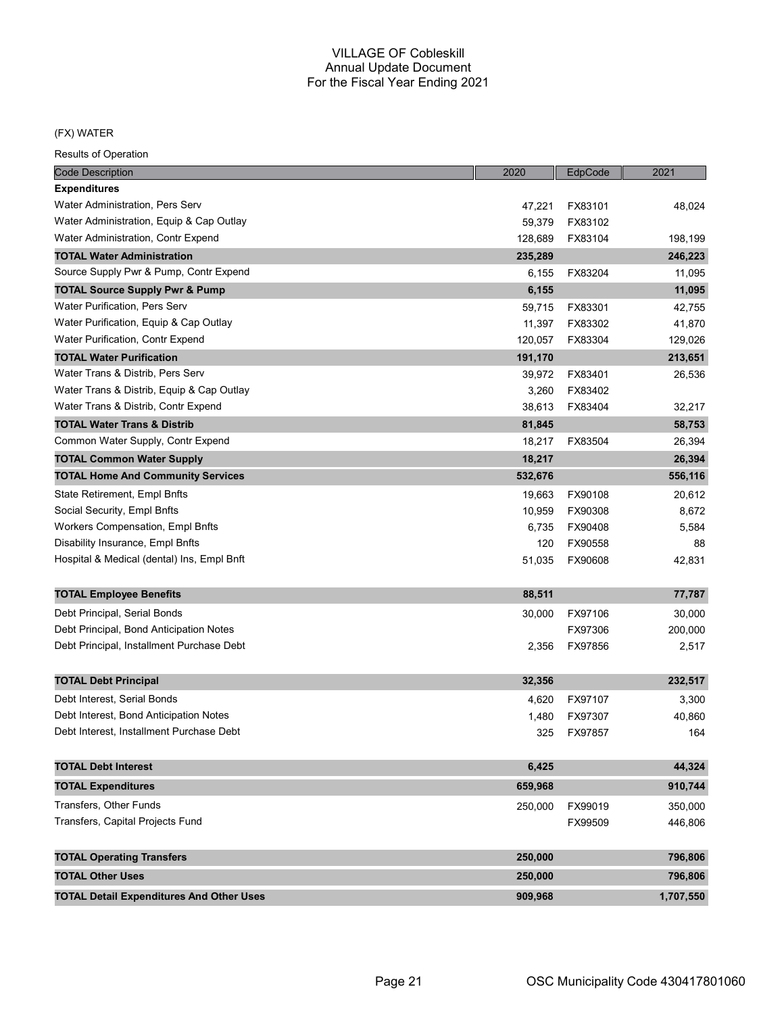#### (FX) WATER

| Code Description                                | 2020    | EdpCode | 2021      |
|-------------------------------------------------|---------|---------|-----------|
| <b>Expenditures</b>                             |         |         |           |
| Water Administration, Pers Serv                 | 47,221  | FX83101 | 48,024    |
| Water Administration, Equip & Cap Outlay        | 59,379  | FX83102 |           |
| Water Administration, Contr Expend              | 128,689 | FX83104 | 198,199   |
| <b>TOTAL Water Administration</b>               | 235,289 |         | 246,223   |
| Source Supply Pwr & Pump, Contr Expend          | 6,155   | FX83204 | 11,095    |
| <b>TOTAL Source Supply Pwr &amp; Pump</b>       | 6,155   |         | 11,095    |
| Water Purification, Pers Serv                   | 59,715  | FX83301 | 42,755    |
| Water Purification, Equip & Cap Outlay          | 11,397  | FX83302 | 41,870    |
| Water Purification, Contr Expend                | 120,057 | FX83304 | 129,026   |
| <b>TOTAL Water Purification</b>                 | 191,170 |         | 213,651   |
| Water Trans & Distrib, Pers Serv                | 39,972  | FX83401 | 26,536    |
| Water Trans & Distrib, Equip & Cap Outlay       | 3,260   | FX83402 |           |
| Water Trans & Distrib, Contr Expend             | 38,613  | FX83404 | 32,217    |
| <b>TOTAL Water Trans &amp; Distrib</b>          | 81,845  |         | 58,753    |
| Common Water Supply, Contr Expend               | 18,217  | FX83504 | 26,394    |
| <b>TOTAL Common Water Supply</b>                | 18,217  |         | 26,394    |
| <b>TOTAL Home And Community Services</b>        | 532,676 |         | 556,116   |
| State Retirement, Empl Bnfts                    | 19,663  | FX90108 | 20,612    |
| Social Security, Empl Bnfts                     | 10,959  | FX90308 | 8,672     |
| <b>Workers Compensation, Empl Bnfts</b>         | 6,735   | FX90408 | 5,584     |
| Disability Insurance, Empl Bnfts                | 120     | FX90558 | 88        |
| Hospital & Medical (dental) Ins, Empl Bnft      | 51,035  | FX90608 | 42,831    |
| <b>TOTAL Employee Benefits</b>                  | 88,511  |         | 77,787    |
| Debt Principal, Serial Bonds                    | 30,000  | FX97106 | 30,000    |
| Debt Principal, Bond Anticipation Notes         |         | FX97306 | 200,000   |
| Debt Principal, Installment Purchase Debt       | 2,356   | FX97856 | 2,517     |
| <b>TOTAL Debt Principal</b>                     | 32,356  |         | 232,517   |
| Debt Interest, Serial Bonds                     | 4,620   | FX97107 | 3,300     |
| Debt Interest, Bond Anticipation Notes          | 1,480   | FX97307 | 40,860    |
| Debt Interest, Installment Purchase Debt        | 325     | FX97857 | 164       |
| <b>TOTAL Debt Interest</b>                      | 6,425   |         | 44,324    |
| <b>TOTAL Expenditures</b>                       | 659,968 |         | 910,744   |
|                                                 |         |         |           |
| Transfers, Other Funds                          | 250,000 | FX99019 | 350,000   |
| Transfers, Capital Projects Fund                |         | FX99509 | 446,806   |
| <b>TOTAL Operating Transfers</b>                | 250,000 |         | 796,806   |
| <b>TOTAL Other Uses</b>                         | 250,000 |         | 796,806   |
| <b>TOTAL Detail Expenditures And Other Uses</b> | 909,968 |         | 1,707,550 |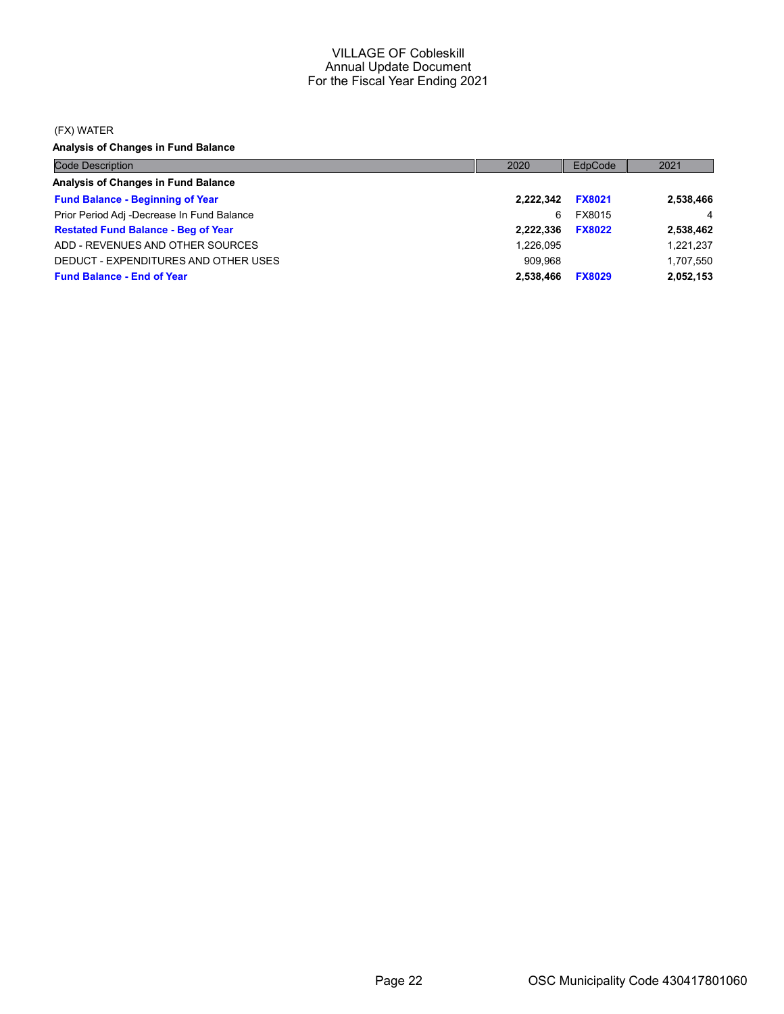#### (FX) WATER

Analysis of Changes in Fund Balance

| <b>Code Description</b>                    | 2020      | EdpCode       | 2021      |
|--------------------------------------------|-----------|---------------|-----------|
| Analysis of Changes in Fund Balance        |           |               |           |
| <b>Fund Balance - Beginning of Year</b>    | 2.222.342 | <b>FX8021</b> | 2,538,466 |
| Prior Period Adj -Decrease In Fund Balance | 6         | FX8015        | 4         |
| <b>Restated Fund Balance - Beg of Year</b> | 2.222.336 | <b>FX8022</b> | 2,538,462 |
| ADD - REVENUES AND OTHER SOURCES           | 1,226,095 |               | 1,221,237 |
| DEDUCT - EXPENDITURES AND OTHER USES       | 909.968   |               | 1,707,550 |
| <b>Fund Balance - End of Year</b>          | 2,538,466 | <b>FX8029</b> | 2,052,153 |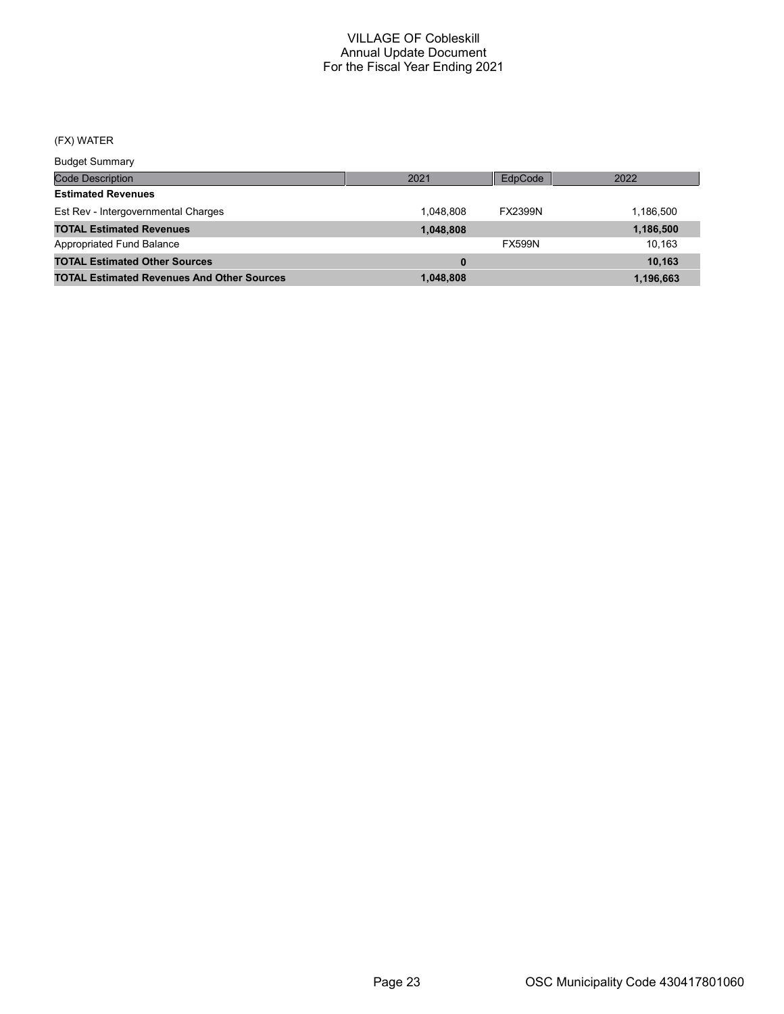## (FX) WATER

Budget Summary

| Duuyot Ourinium y                                 |           |                |           |
|---------------------------------------------------|-----------|----------------|-----------|
| <b>Code Description</b>                           | 2021      | EdpCode        | 2022      |
| <b>Estimated Revenues</b>                         |           |                |           |
| Est Rev - Intergovernmental Charges               | 1.048.808 | <b>FX2399N</b> | 1.186.500 |
| <b>TOTAL Estimated Revenues</b>                   | 1,048,808 |                | 1,186,500 |
| Appropriated Fund Balance                         |           | <b>FX599N</b>  | 10.163    |
| <b>TOTAL Estimated Other Sources</b>              | $\bf{0}$  |                | 10.163    |
| <b>TOTAL Estimated Revenues And Other Sources</b> | 1,048,808 |                | 1,196,663 |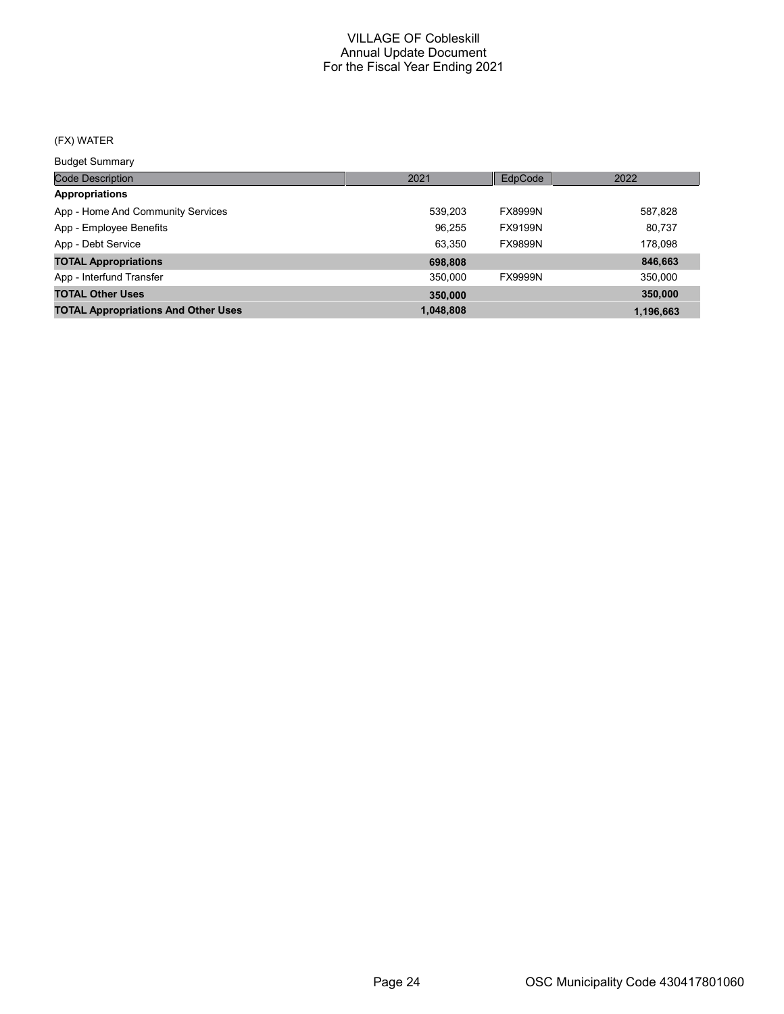## (FX) WATER

Budget Summary

| ___________                                |           |                |           |
|--------------------------------------------|-----------|----------------|-----------|
| <b>Code Description</b>                    | 2021      | EdpCode        | 2022      |
| <b>Appropriations</b>                      |           |                |           |
| App - Home And Community Services          | 539.203   | <b>FX8999N</b> | 587,828   |
| App - Employee Benefits                    | 96.255    | FX9199N        | 80,737    |
| App - Debt Service                         | 63.350    | <b>FX9899N</b> | 178,098   |
| <b>TOTAL Appropriations</b>                | 698,808   |                | 846,663   |
| App - Interfund Transfer                   | 350.000   | <b>FX9999N</b> | 350,000   |
| <b>TOTAL Other Uses</b>                    | 350,000   |                | 350,000   |
| <b>TOTAL Appropriations And Other Uses</b> | 1,048,808 |                | 1.196.663 |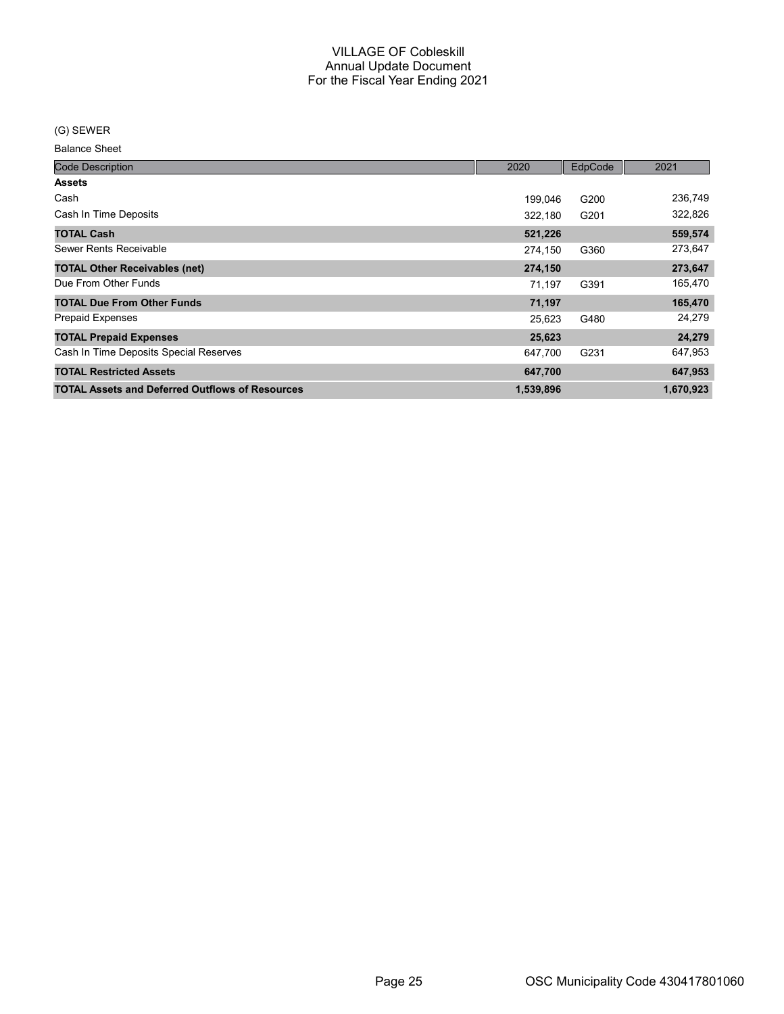#### (G) SEWER

Balance Sheet

| <b>Code Description</b>                                | 2020      | EdpCode | 2021      |
|--------------------------------------------------------|-----------|---------|-----------|
| <b>Assets</b>                                          |           |         |           |
| Cash                                                   | 199,046   | G200    | 236,749   |
| Cash In Time Deposits                                  | 322,180   | G201    | 322,826   |
| <b>TOTAL Cash</b>                                      | 521,226   |         | 559,574   |
| Sewer Rents Receivable                                 | 274,150   | G360    | 273,647   |
| <b>TOTAL Other Receivables (net)</b>                   | 274,150   |         | 273,647   |
| Due From Other Funds                                   | 71.197    | G391    | 165,470   |
| <b>TOTAL Due From Other Funds</b>                      | 71,197    |         | 165,470   |
| <b>Prepaid Expenses</b>                                | 25,623    | G480    | 24,279    |
| <b>TOTAL Prepaid Expenses</b>                          | 25,623    |         | 24,279    |
| Cash In Time Deposits Special Reserves                 | 647,700   | G231    | 647,953   |
| <b>TOTAL Restricted Assets</b>                         | 647,700   |         | 647,953   |
| <b>TOTAL Assets and Deferred Outflows of Resources</b> | 1,539,896 |         | 1,670,923 |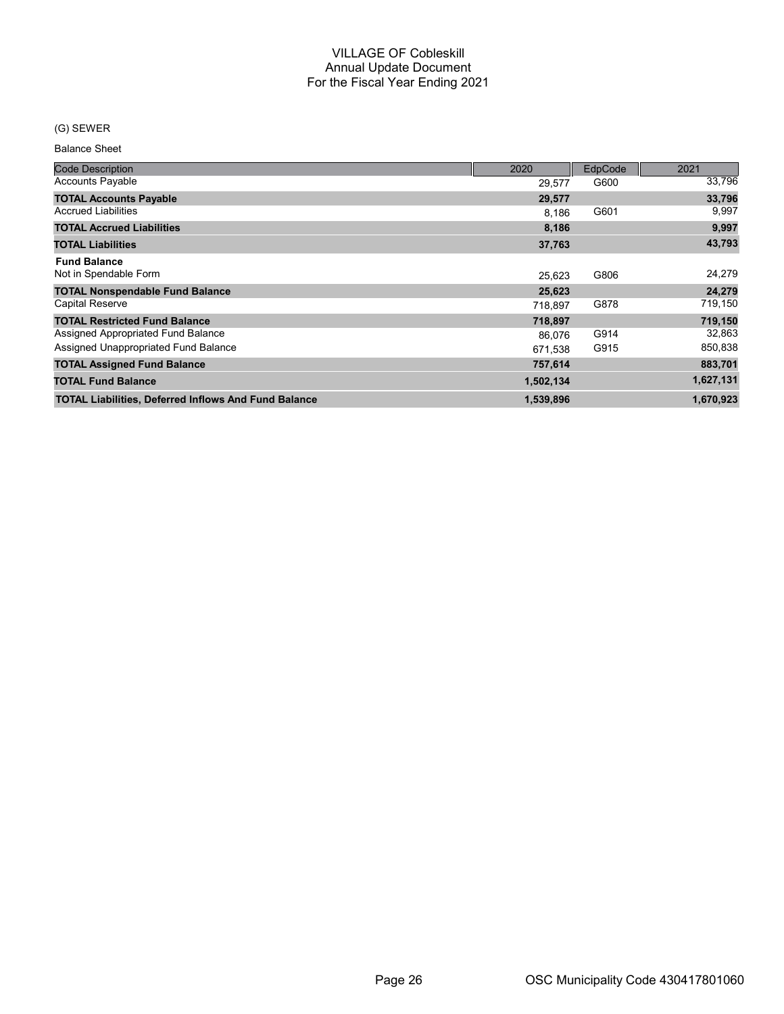## (G) SEWER

Balance Sheet

| <b>Code Description</b>                                     | 2020      | EdpCode <sup>®</sup> | 2021      |
|-------------------------------------------------------------|-----------|----------------------|-----------|
| <b>Accounts Payable</b>                                     | 29,577    | G600                 | 33,796    |
| <b>TOTAL Accounts Payable</b>                               | 29,577    |                      | 33,796    |
| <b>Accrued Liabilities</b>                                  | 8.186     | G601                 | 9,997     |
| <b>TOTAL Accrued Liabilities</b>                            | 8,186     |                      | 9,997     |
| <b>TOTAL Liabilities</b>                                    | 37,763    |                      | 43,793    |
| <b>Fund Balance</b>                                         |           |                      |           |
| Not in Spendable Form                                       | 25,623    | G806                 | 24,279    |
| <b>TOTAL Nonspendable Fund Balance</b>                      | 25,623    |                      | 24,279    |
| Capital Reserve                                             | 718.897   | G878                 | 719,150   |
| <b>TOTAL Restricted Fund Balance</b>                        | 718,897   |                      | 719,150   |
| Assigned Appropriated Fund Balance                          | 86,076    | G914                 | 32,863    |
| Assigned Unappropriated Fund Balance                        | 671,538   | G915                 | 850,838   |
| <b>TOTAL Assigned Fund Balance</b>                          | 757,614   |                      | 883,701   |
| <b>TOTAL Fund Balance</b>                                   | 1,502,134 |                      | 1,627,131 |
| <b>TOTAL Liabilities, Deferred Inflows And Fund Balance</b> | 1,539,896 |                      | 1,670,923 |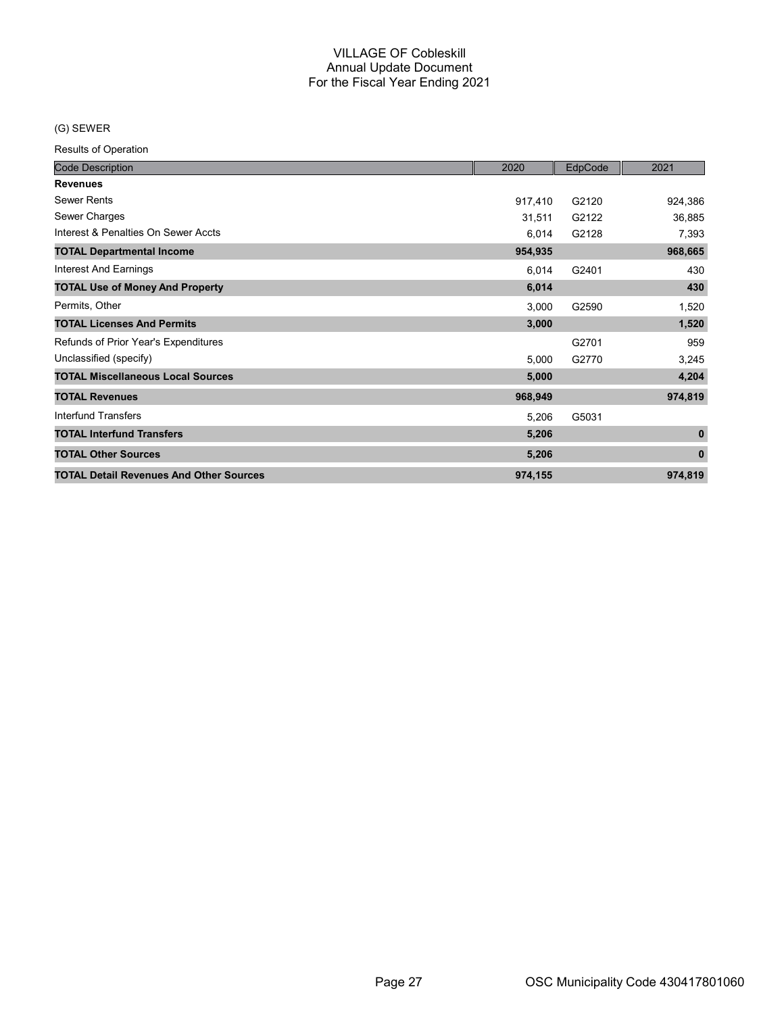## (G) SEWER

| <b>Code Description</b>                        | 2020    | EdpCode | 2021        |
|------------------------------------------------|---------|---------|-------------|
| <b>Revenues</b>                                |         |         |             |
| <b>Sewer Rents</b>                             | 917,410 | G2120   | 924,386     |
| Sewer Charges                                  | 31,511  | G2122   | 36,885      |
| Interest & Penalties On Sewer Accts            | 6,014   | G2128   | 7,393       |
| <b>TOTAL Departmental Income</b>               | 954,935 |         | 968,665     |
| <b>Interest And Earnings</b>                   | 6,014   | G2401   | 430         |
| <b>TOTAL Use of Money And Property</b>         | 6,014   |         | 430         |
| Permits, Other                                 | 3,000   | G2590   | 1,520       |
| <b>TOTAL Licenses And Permits</b>              | 3,000   |         | 1,520       |
| Refunds of Prior Year's Expenditures           |         | G2701   | 959         |
| Unclassified (specify)                         | 5,000   | G2770   | 3,245       |
| <b>TOTAL Miscellaneous Local Sources</b>       | 5,000   |         | 4,204       |
| <b>TOTAL Revenues</b>                          | 968,949 |         | 974,819     |
| <b>Interfund Transfers</b>                     | 5,206   | G5031   |             |
| <b>TOTAL Interfund Transfers</b>               | 5,206   |         | $\mathbf 0$ |
| <b>TOTAL Other Sources</b>                     | 5,206   |         | $\bf{0}$    |
| <b>TOTAL Detail Revenues And Other Sources</b> | 974,155 |         | 974,819     |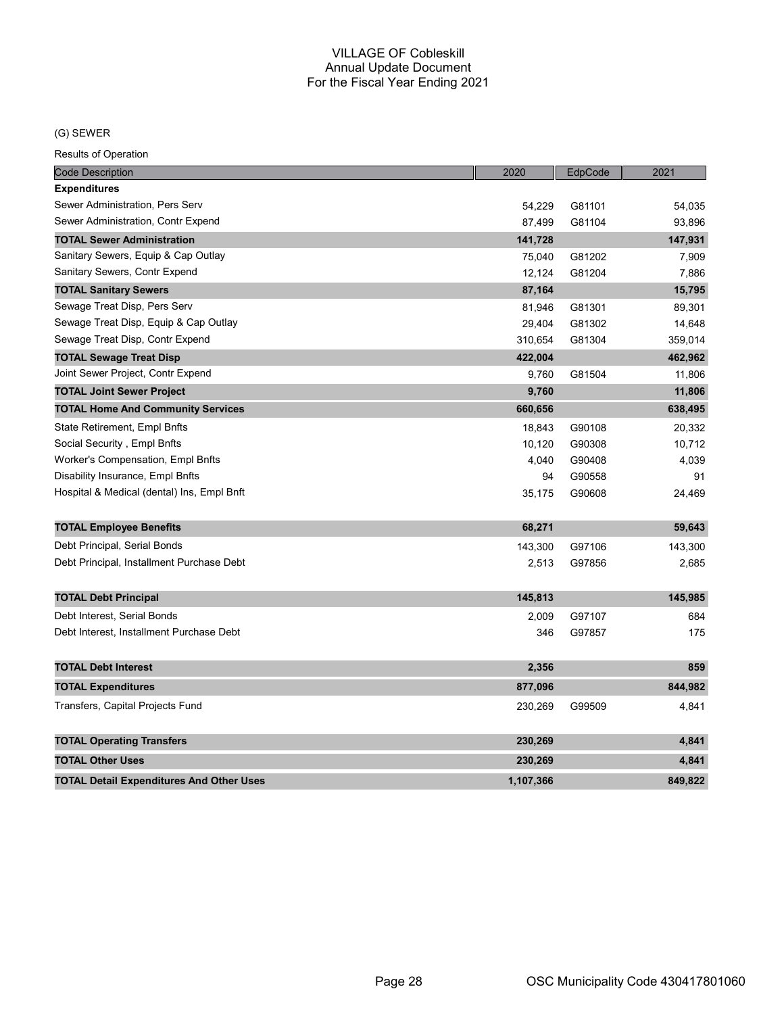## (G) SEWER

| <b>Code Description</b>                         | 2020      | EdpCode | 2021    |
|-------------------------------------------------|-----------|---------|---------|
| <b>Expenditures</b>                             |           |         |         |
| Sewer Administration, Pers Serv                 | 54,229    | G81101  | 54,035  |
| Sewer Administration, Contr Expend              | 87,499    | G81104  | 93,896  |
| <b>TOTAL Sewer Administration</b>               | 141,728   |         | 147,931 |
| Sanitary Sewers, Equip & Cap Outlay             | 75,040    | G81202  | 7,909   |
| Sanitary Sewers, Contr Expend                   | 12,124    | G81204  | 7,886   |
| <b>TOTAL Sanitary Sewers</b>                    | 87,164    |         | 15,795  |
| Sewage Treat Disp, Pers Serv                    | 81,946    | G81301  | 89,301  |
| Sewage Treat Disp, Equip & Cap Outlay           | 29,404    | G81302  | 14,648  |
| Sewage Treat Disp, Contr Expend                 | 310,654   | G81304  | 359,014 |
| <b>TOTAL Sewage Treat Disp</b>                  | 422,004   |         | 462,962 |
| Joint Sewer Project, Contr Expend               | 9,760     | G81504  | 11,806  |
| <b>TOTAL Joint Sewer Project</b>                | 9,760     |         | 11,806  |
| <b>TOTAL Home And Community Services</b>        | 660,656   |         | 638,495 |
| State Retirement, Empl Bnfts                    | 18,843    | G90108  | 20,332  |
| Social Security , Empl Bnfts                    | 10,120    | G90308  | 10,712  |
| Worker's Compensation, Empl Bnfts               | 4,040     | G90408  | 4,039   |
| Disability Insurance, Empl Bnfts                | 94        | G90558  | 91      |
| Hospital & Medical (dental) Ins, Empl Bnft      | 35,175    | G90608  | 24,469  |
| <b>TOTAL Employee Benefits</b>                  | 68,271    |         | 59,643  |
| Debt Principal, Serial Bonds                    | 143,300   | G97106  | 143,300 |
| Debt Principal, Installment Purchase Debt       | 2,513     | G97856  | 2,685   |
|                                                 |           |         |         |
| <b>TOTAL Debt Principal</b>                     | 145,813   |         | 145,985 |
| Debt Interest, Serial Bonds                     | 2,009     | G97107  | 684     |
| Debt Interest, Installment Purchase Debt        | 346       | G97857  | 175     |
| <b>TOTAL Debt Interest</b>                      | 2,356     |         | 859     |
| <b>TOTAL Expenditures</b>                       | 877,096   |         | 844,982 |
| Transfers, Capital Projects Fund                | 230,269   | G99509  | 4,841   |
| <b>TOTAL Operating Transfers</b>                | 230,269   |         | 4,841   |
| <b>TOTAL Other Uses</b>                         | 230,269   |         | 4,841   |
| <b>TOTAL Detail Expenditures And Other Uses</b> | 1.107.366 |         | 849.822 |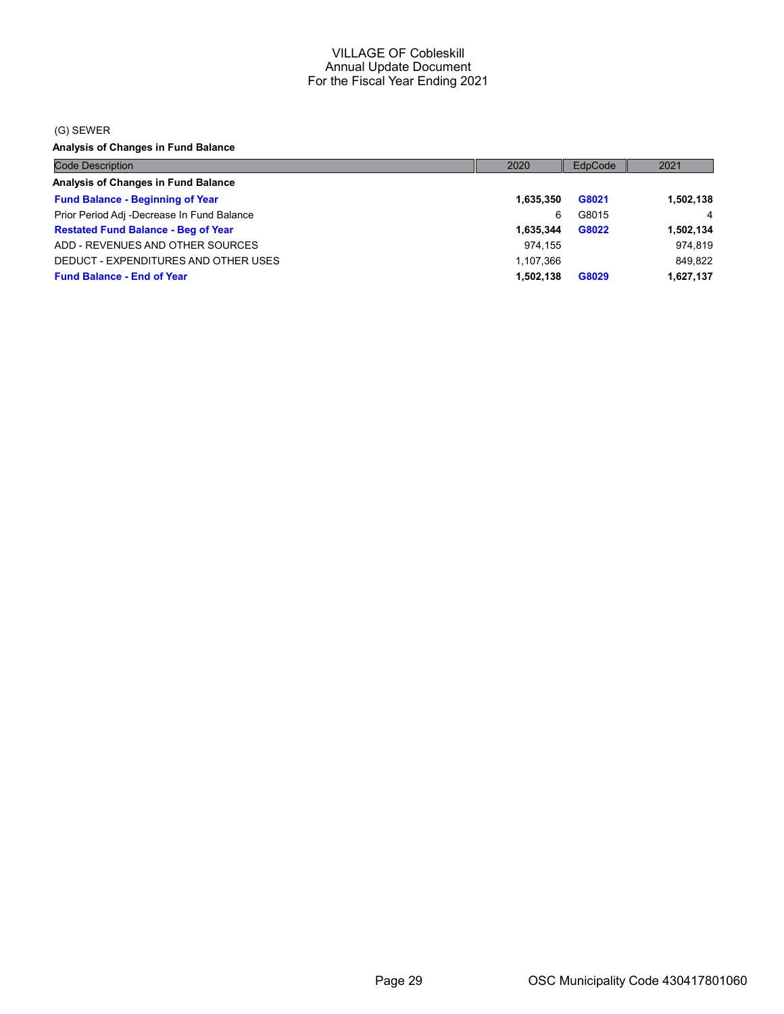#### (G) SEWER

Analysis of Changes in Fund Balance

| <b>Code Description</b>                    | 2020      | EdpCode | 2021      |
|--------------------------------------------|-----------|---------|-----------|
| Analysis of Changes in Fund Balance        |           |         |           |
| <b>Fund Balance - Beginning of Year</b>    | 1,635,350 | G8021   | 1,502,138 |
| Prior Period Adj -Decrease In Fund Balance | 6         | G8015   | 4         |
| <b>Restated Fund Balance - Beg of Year</b> | 1.635.344 | G8022   | 1,502,134 |
| ADD - REVENUES AND OTHER SOURCES           | 974.155   |         | 974.819   |
| DEDUCT - EXPENDITURES AND OTHER USES       | 1,107,366 |         | 849,822   |
| <b>Fund Balance - End of Year</b>          | 1,502,138 | G8029   | 1,627,137 |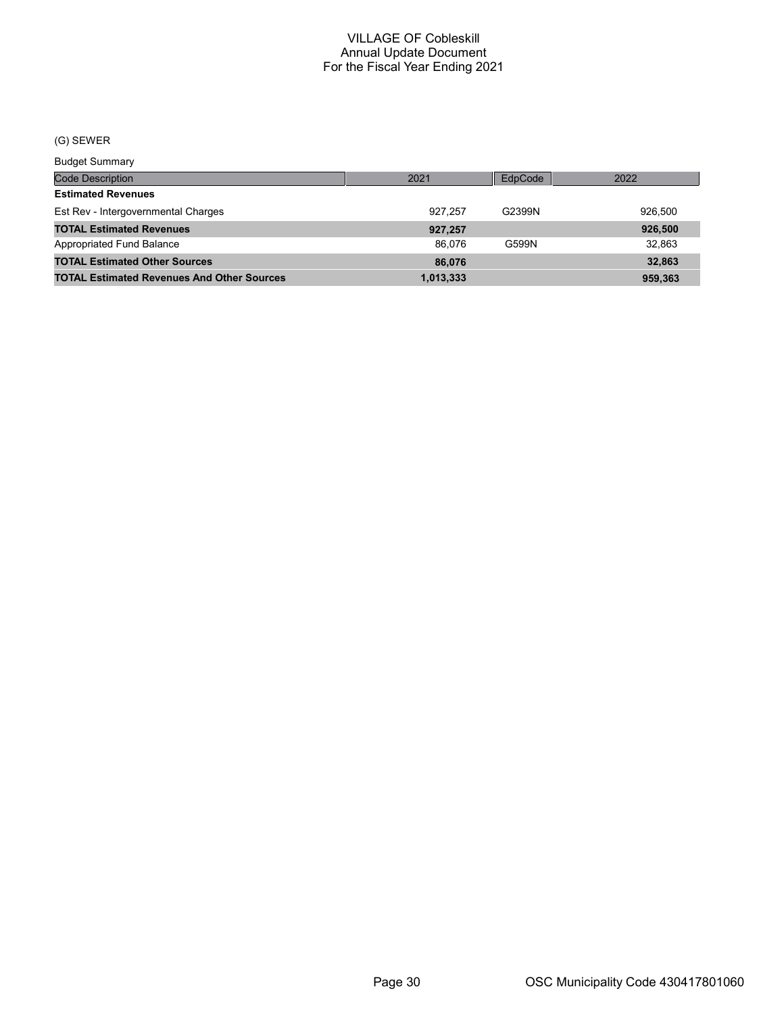## (G) SEWER

Budget Summary

| <u>Baagot Sariiriar</u>                           |           |         |         |
|---------------------------------------------------|-----------|---------|---------|
| Code Description                                  | 2021      | EdpCode | 2022    |
| <b>Estimated Revenues</b>                         |           |         |         |
| Est Rev - Intergovernmental Charges               | 927.257   | G2399N  | 926.500 |
| <b>TOTAL Estimated Revenues</b>                   | 927,257   |         | 926,500 |
| Appropriated Fund Balance                         | 86.076    | G599N   | 32.863  |
| <b>TOTAL Estimated Other Sources</b>              | 86,076    |         | 32,863  |
| <b>TOTAL Estimated Revenues And Other Sources</b> | 1,013,333 |         | 959.363 |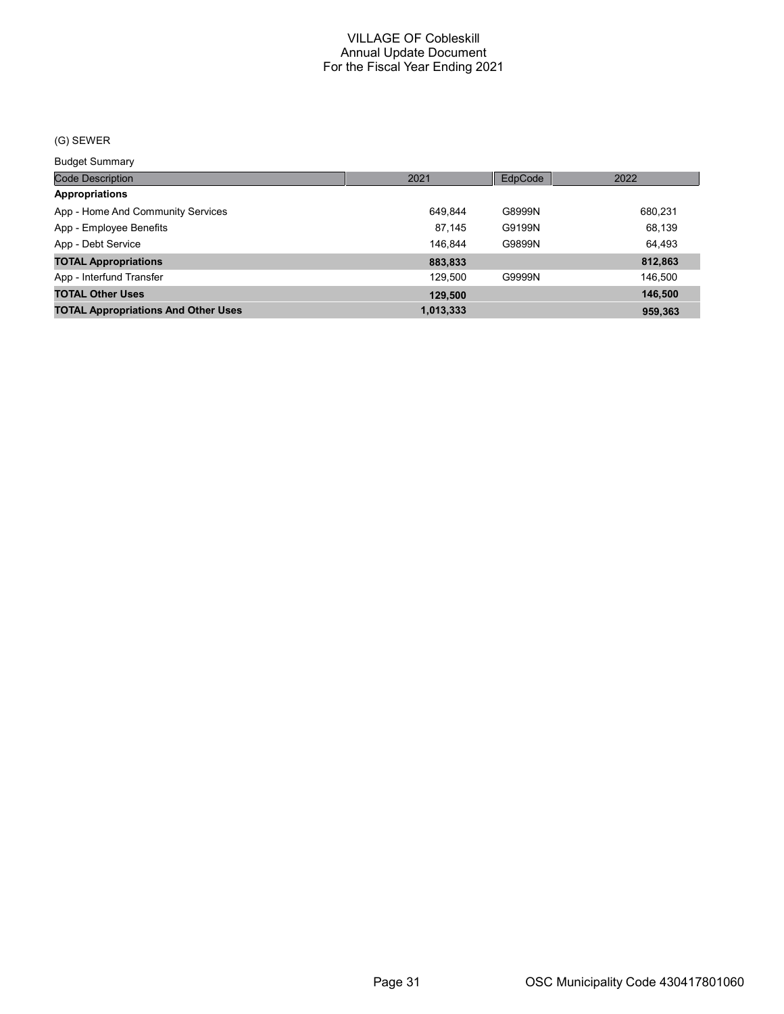## (G) SEWER

Budget Summary

| ___________                                |           |         |         |
|--------------------------------------------|-----------|---------|---------|
| <b>Code Description</b>                    | 2021      | EdpCode | 2022    |
| <b>Appropriations</b>                      |           |         |         |
| App - Home And Community Services          | 649.844   | G8999N  | 680,231 |
| App - Employee Benefits                    | 87.145    | G9199N  | 68,139  |
| App - Debt Service                         | 146.844   | G9899N  | 64.493  |
| <b>TOTAL Appropriations</b>                | 883,833   |         | 812,863 |
| App - Interfund Transfer                   | 129.500   | G9999N  | 146,500 |
| <b>TOTAL Other Uses</b>                    | 129,500   |         | 146,500 |
| <b>TOTAL Appropriations And Other Uses</b> | 1,013,333 |         | 959.363 |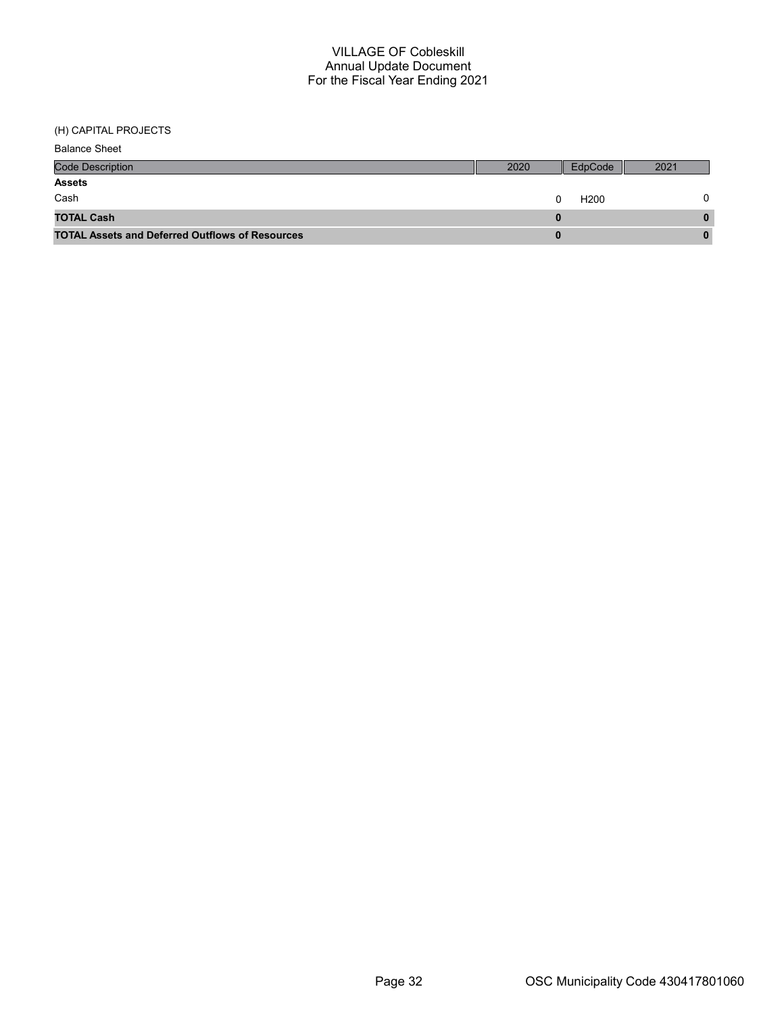(H) CAPITAL PROJECTS

| <b>Balance Sheet</b>                                   |      |                  |      |
|--------------------------------------------------------|------|------------------|------|
| <b>Code Description</b>                                | 2020 | EdpCode          | 2021 |
| <b>Assets</b>                                          |      |                  |      |
| Cash                                                   |      | H <sub>200</sub> |      |
| <b>TOTAL Cash</b>                                      |      |                  | 0    |
| <b>TOTAL Assets and Deferred Outflows of Resources</b> |      |                  |      |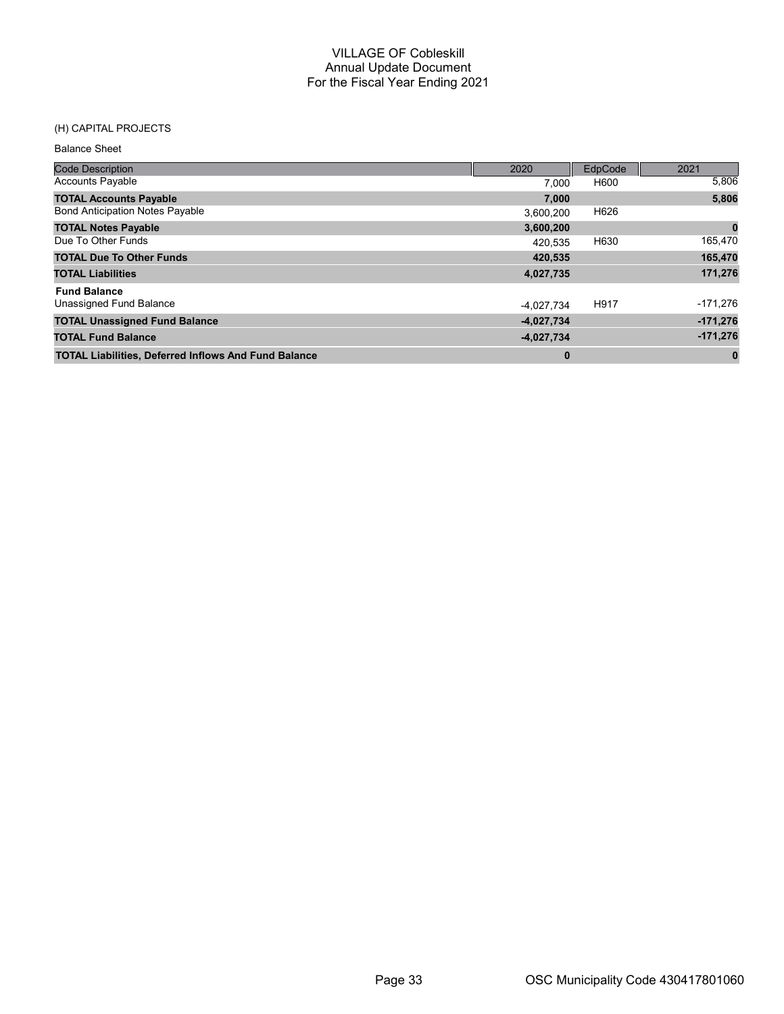## (H) CAPITAL PROJECTS

Balance Sheet

| <b>Code Description</b>                                     | 2020         | EdpCode | 2021       |
|-------------------------------------------------------------|--------------|---------|------------|
| <b>Accounts Payable</b>                                     | 7.000        | H600    | 5,806      |
| <b>TOTAL Accounts Payable</b>                               | 7,000        |         | 5,806      |
| <b>Bond Anticipation Notes Payable</b>                      | 3,600,200    | H626    |            |
| <b>TOTAL Notes Payable</b>                                  | 3,600,200    |         | 0          |
| Due To Other Funds                                          | 420.535      | H630    | 165,470    |
| <b>TOTAL Due To Other Funds</b>                             | 420,535      |         | 165,470    |
| <b>TOTAL Liabilities</b>                                    | 4,027,735    |         | 171,276    |
| <b>Fund Balance</b>                                         |              |         |            |
| Unassigned Fund Balance                                     | -4,027,734   | H917    | -171,276   |
| <b>TOTAL Unassigned Fund Balance</b>                        | $-4,027,734$ |         | $-171,276$ |
| <b>TOTAL Fund Balance</b>                                   | $-4,027,734$ |         | $-171,276$ |
| <b>TOTAL Liabilities, Deferred Inflows And Fund Balance</b> | $\bf{0}$     |         | $\bf{0}$   |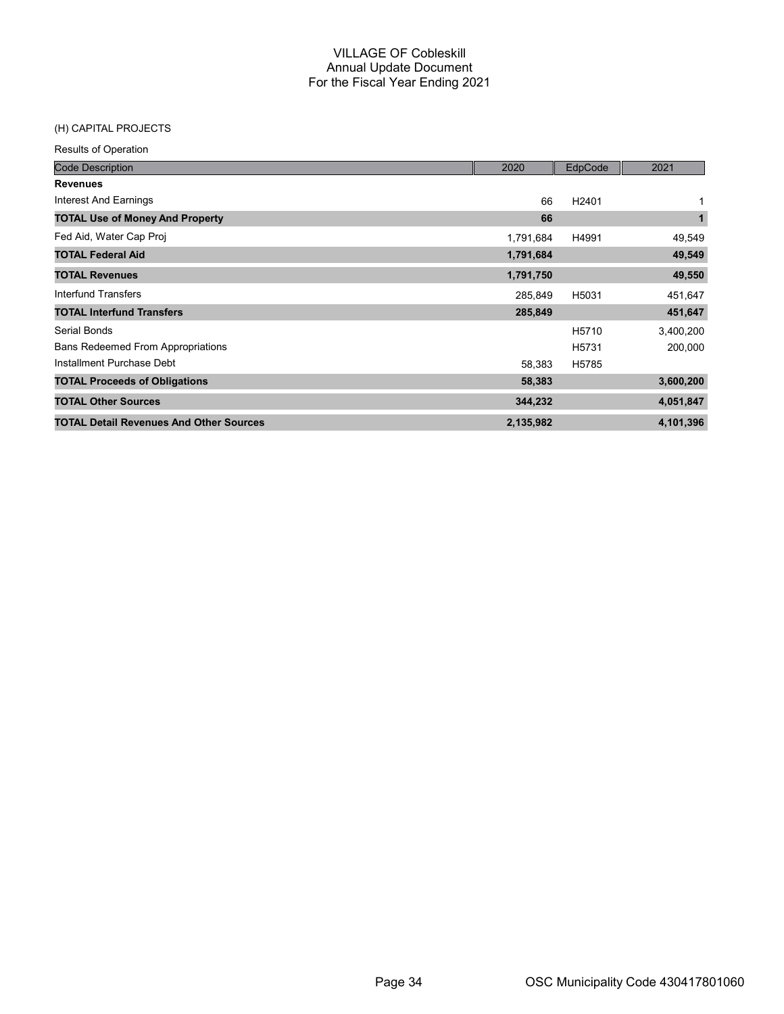## (H) CAPITAL PROJECTS

| <b>Code Description</b>                        | 2020      | EdpCode           | 2021         |
|------------------------------------------------|-----------|-------------------|--------------|
| <b>Revenues</b>                                |           |                   |              |
| Interest And Earnings                          | 66        | H <sub>2401</sub> |              |
| <b>TOTAL Use of Money And Property</b>         | 66        |                   | $\mathbf{1}$ |
| Fed Aid, Water Cap Proj                        | 1,791,684 | H4991             | 49,549       |
| <b>TOTAL Federal Aid</b>                       | 1,791,684 |                   | 49,549       |
| <b>TOTAL Revenues</b>                          | 1,791,750 |                   | 49,550       |
| Interfund Transfers                            | 285.849   | H5031             | 451,647      |
| <b>TOTAL Interfund Transfers</b>               | 285,849   |                   | 451,647      |
| Serial Bonds                                   |           | H <sub>5710</sub> | 3,400,200    |
| <b>Bans Redeemed From Appropriations</b>       |           | H <sub>5731</sub> | 200,000      |
| Installment Purchase Debt                      | 58,383    | H5785             |              |
| <b>TOTAL Proceeds of Obligations</b>           | 58,383    |                   | 3,600,200    |
| <b>TOTAL Other Sources</b>                     | 344,232   |                   | 4,051,847    |
| <b>TOTAL Detail Revenues And Other Sources</b> | 2,135,982 |                   | 4,101,396    |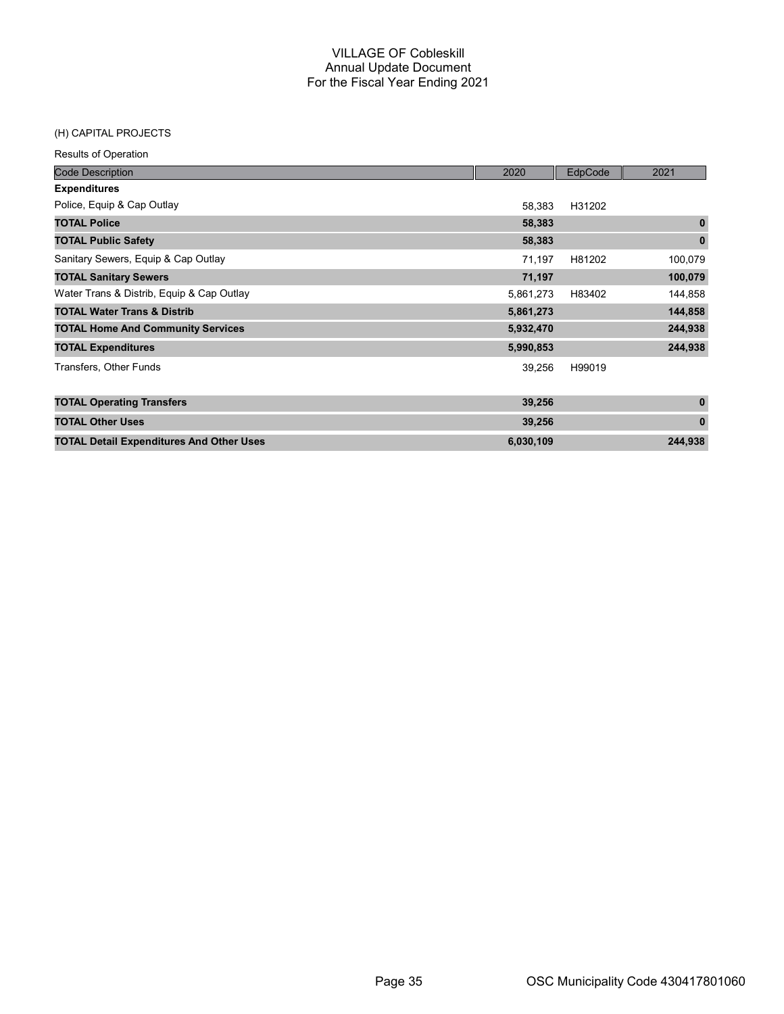#### (H) CAPITAL PROJECTS

| <b>Code Description</b>                         | 2020      | EdpCode | 2021         |
|-------------------------------------------------|-----------|---------|--------------|
| <b>Expenditures</b>                             |           |         |              |
| Police, Equip & Cap Outlay                      | 58,383    | H31202  |              |
| <b>TOTAL Police</b>                             | 58,383    |         | $\mathbf{0}$ |
| <b>TOTAL Public Safety</b>                      | 58,383    |         | $\bf{0}$     |
| Sanitary Sewers, Equip & Cap Outlay             | 71,197    | H81202  | 100,079      |
| <b>TOTAL Sanitary Sewers</b>                    | 71,197    |         | 100,079      |
| Water Trans & Distrib, Equip & Cap Outlay       | 5,861,273 | H83402  | 144,858      |
| <b>TOTAL Water Trans &amp; Distrib</b>          | 5,861,273 |         | 144,858      |
| <b>TOTAL Home And Community Services</b>        | 5,932,470 |         | 244,938      |
| <b>TOTAL Expenditures</b>                       | 5,990,853 |         | 244,938      |
| Transfers, Other Funds                          | 39,256    | H99019  |              |
| <b>TOTAL Operating Transfers</b>                | 39,256    |         | $\mathbf{0}$ |
| <b>TOTAL Other Uses</b>                         | 39,256    |         | $\mathbf{0}$ |
| <b>TOTAL Detail Expenditures And Other Uses</b> | 6,030,109 |         | 244,938      |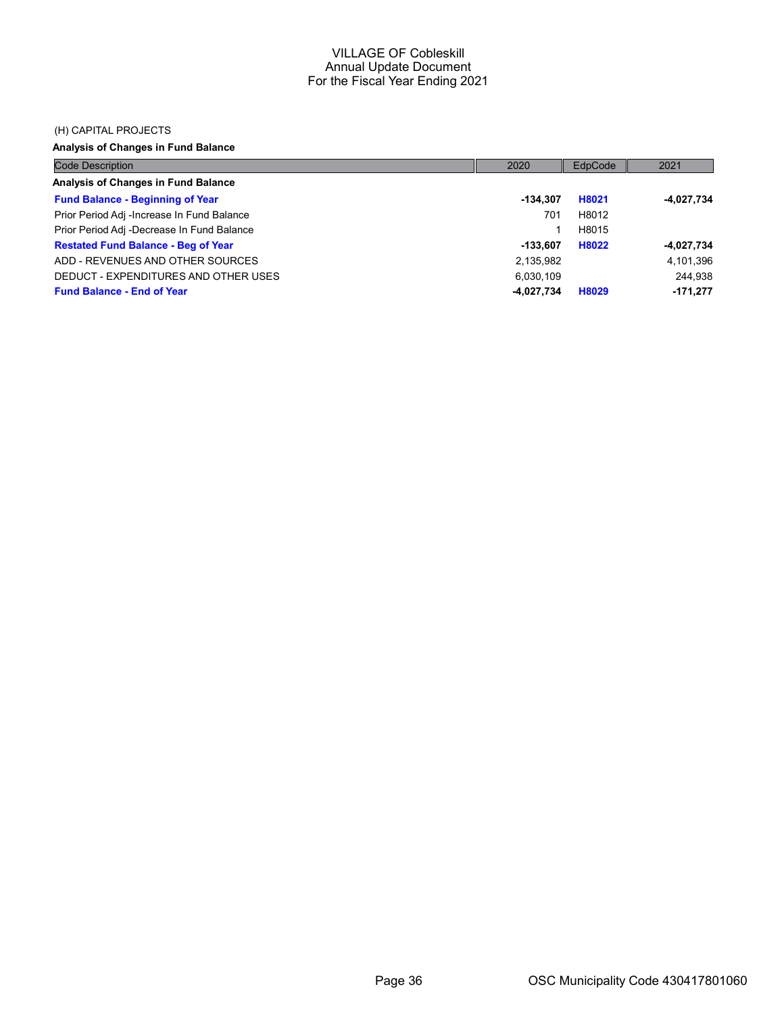#### (H) CAPITAL PROJECTS

## Analysis of Changes in Fund Balance

| <b>Code Description</b>                    | 2020       | EdpCode | 2021         |
|--------------------------------------------|------------|---------|--------------|
| Analysis of Changes in Fund Balance        |            |         |              |
| <b>Fund Balance - Beginning of Year</b>    | -134.307   | H8021   | $-4,027,734$ |
| Prior Period Adj -Increase In Fund Balance | 701        | H8012   |              |
| Prior Period Adj -Decrease In Fund Balance |            | H8015   |              |
| <b>Restated Fund Balance - Beg of Year</b> | -133.607   | H8022   | $-4,027,734$ |
| ADD - REVENUES AND OTHER SOURCES           | 2,135,982  |         | 4,101,396    |
| DEDUCT - EXPENDITURES AND OTHER USES       | 6.030.109  |         | 244.938      |
| <b>Fund Balance - End of Year</b>          | -4,027,734 | H8029   | $-171.277$   |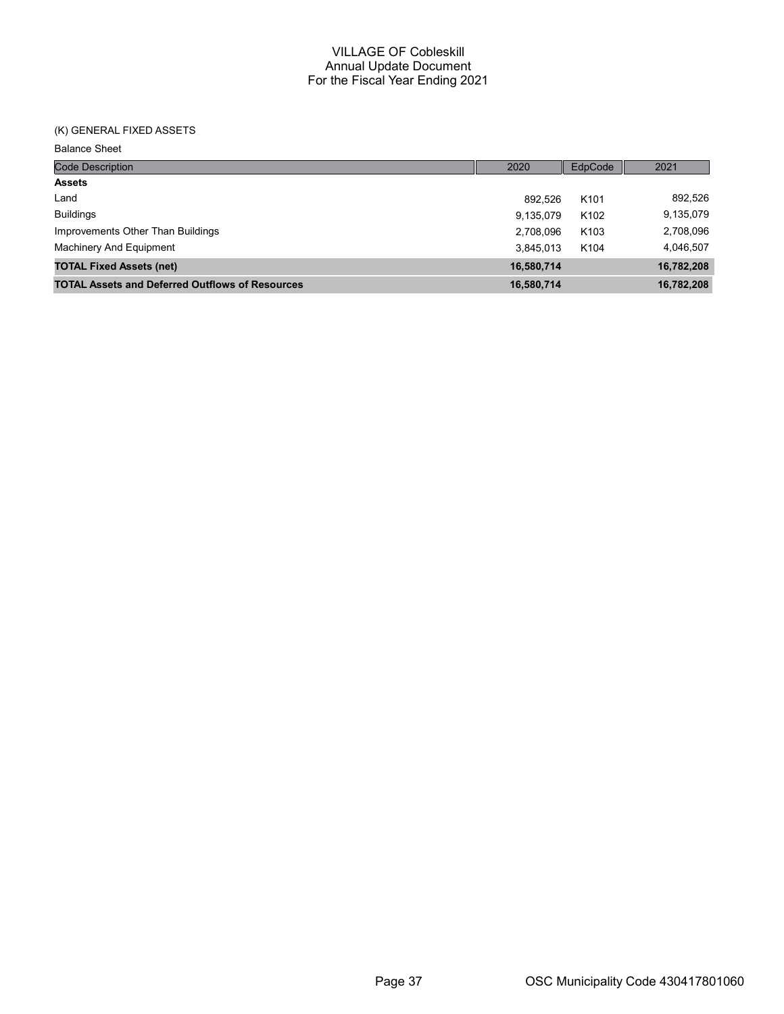## (K) GENERAL FIXED ASSETS

Balance Sheet

| <b>Code Description</b>                                | 2020       | EdpCode          | 2021       |
|--------------------------------------------------------|------------|------------------|------------|
| <b>Assets</b>                                          |            |                  |            |
| Land                                                   | 892.526    | K <sub>101</sub> | 892,526    |
| <b>Buildings</b>                                       | 9,135,079  | K <sub>102</sub> | 9,135,079  |
| Improvements Other Than Buildings                      | 2.708.096  | K <sub>103</sub> | 2,708,096  |
| Machinery And Equipment                                | 3.845.013  | K <sub>104</sub> | 4,046,507  |
| <b>TOTAL Fixed Assets (net)</b>                        | 16,580,714 |                  | 16,782,208 |
| <b>TOTAL Assets and Deferred Outflows of Resources</b> | 16,580,714 |                  | 16,782,208 |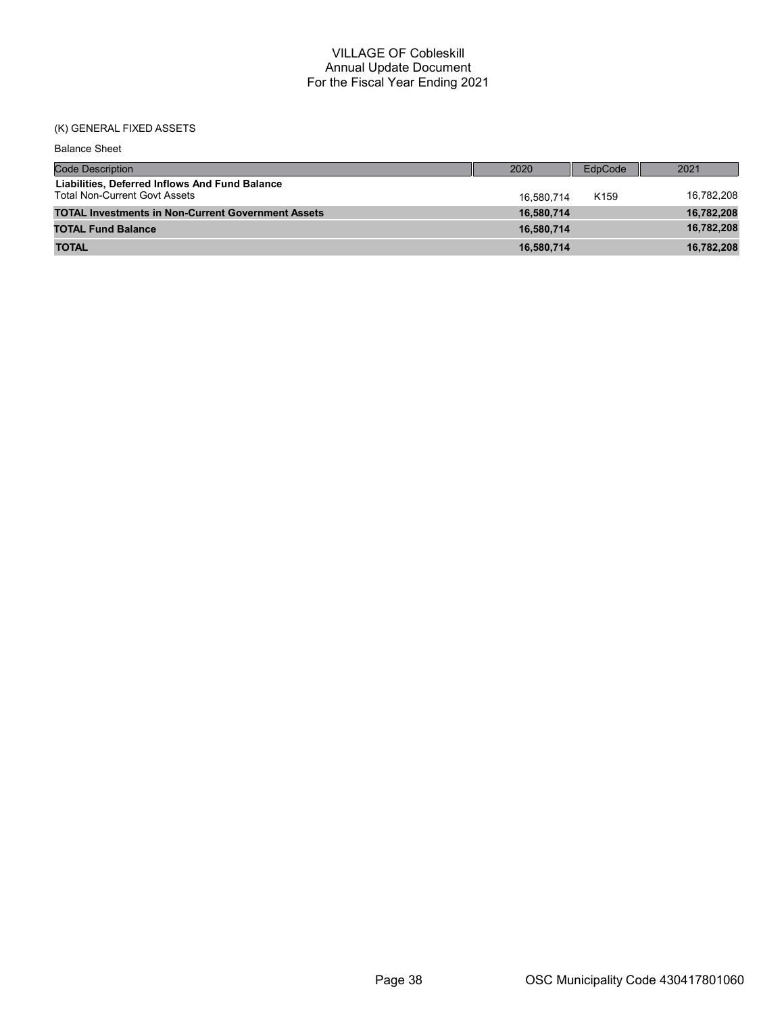## (K) GENERAL FIXED ASSETS

| <b>Balance Sheet</b>                                                                   |            |                  |            |
|----------------------------------------------------------------------------------------|------------|------------------|------------|
| <b>Code Description</b>                                                                | 2020       | EdpCode          | 2021       |
| Liabilities, Deferred Inflows And Fund Balance<br><b>Total Non-Current Govt Assets</b> | 16.580.714 | K <sub>159</sub> | 16,782,208 |
| <b>TOTAL Investments in Non-Current Government Assets</b>                              | 16,580,714 |                  | 16,782,208 |
| <b>TOTAL Fund Balance</b>                                                              | 16.580.714 |                  | 16,782,208 |
| <b>TOTAL</b>                                                                           | 16,580,714 |                  | 16,782,208 |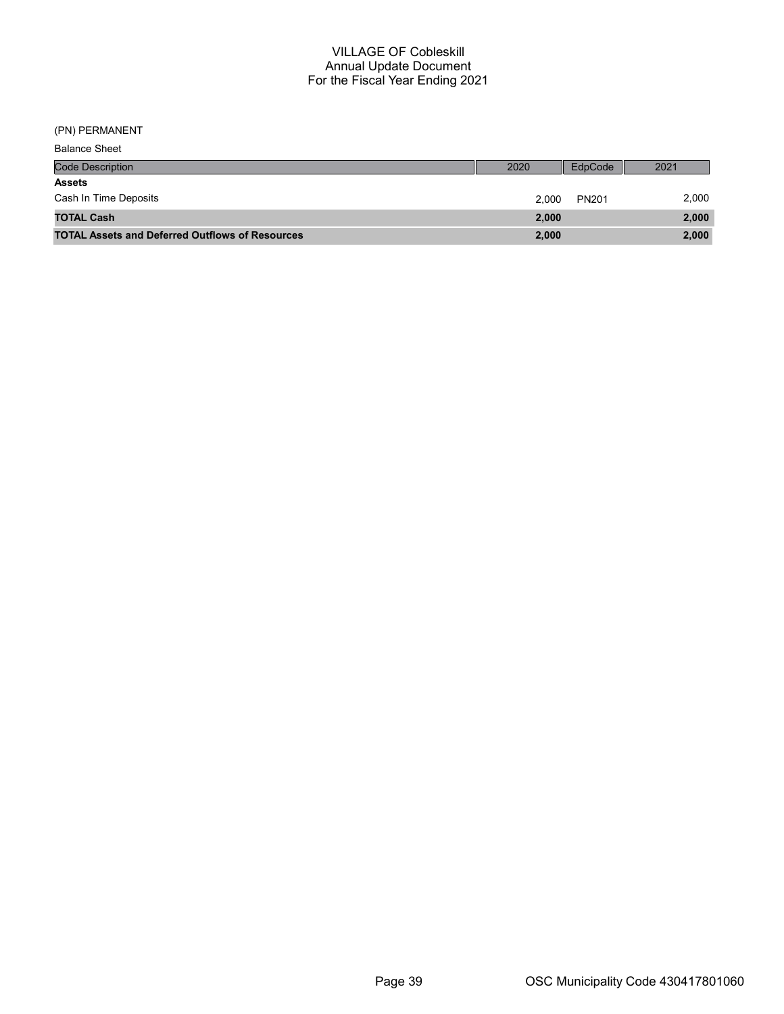(PN) PERMANENT

| <b>Balance Sheet</b>                                   |       |              |       |
|--------------------------------------------------------|-------|--------------|-------|
| <b>Code Description</b>                                | 2020  | EdpCode      | 2021  |
| <b>Assets</b>                                          |       |              |       |
| Cash In Time Deposits                                  | 2.000 | <b>PN201</b> | 2,000 |
| <b>TOTAL Cash</b>                                      | 2,000 |              | 2,000 |
| <b>TOTAL Assets and Deferred Outflows of Resources</b> | 2,000 |              | 2,000 |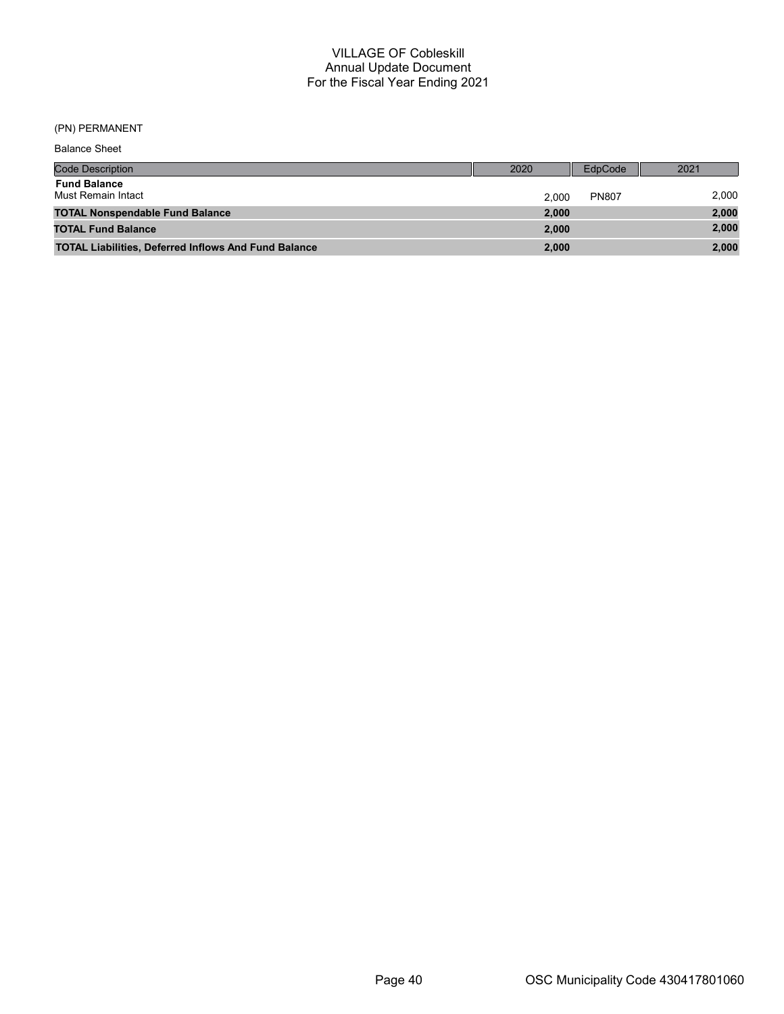## (PN) PERMANENT

| <b>Balance Sheet</b>                                        |       |              |       |
|-------------------------------------------------------------|-------|--------------|-------|
| <b>Code Description</b>                                     | 2020  | EdpCode      | 2021  |
| <b>Fund Balance</b><br>Must Remain Intact                   | 2.000 | <b>PN807</b> | 2,000 |
| <b>TOTAL Nonspendable Fund Balance</b>                      | 2,000 |              | 2,000 |
| <b>TOTAL Fund Balance</b>                                   | 2.000 |              | 2,000 |
| <b>TOTAL Liabilities, Deferred Inflows And Fund Balance</b> | 2,000 |              | 2,000 |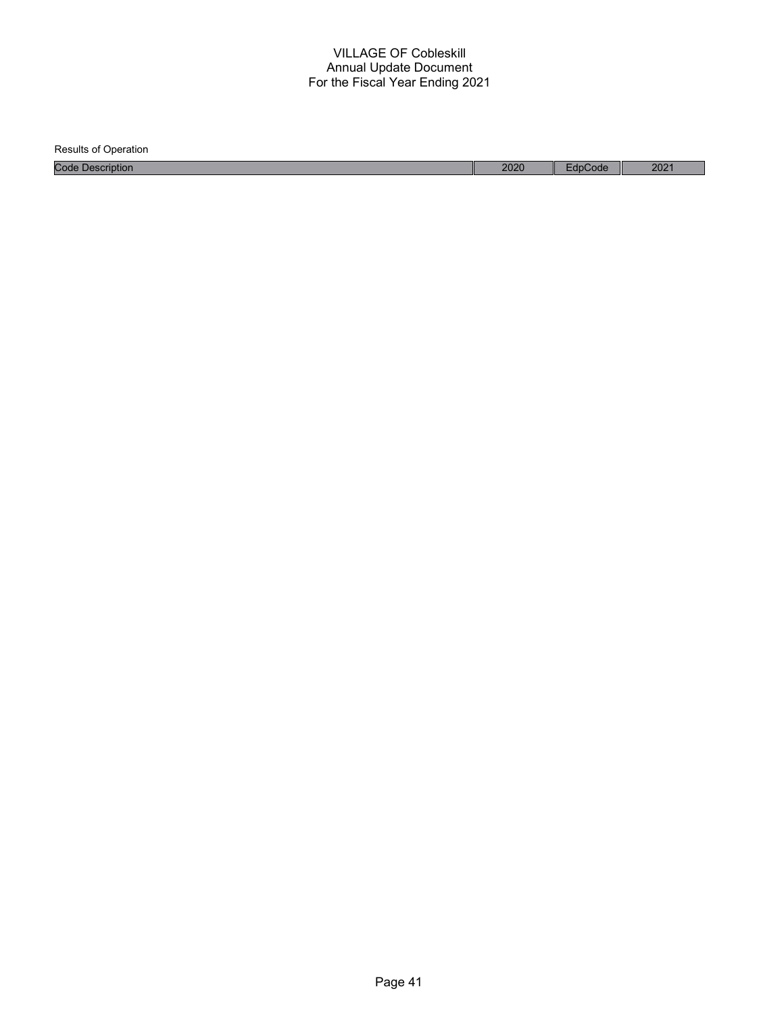Results of Operation Code Description 2020 EdpCode 2021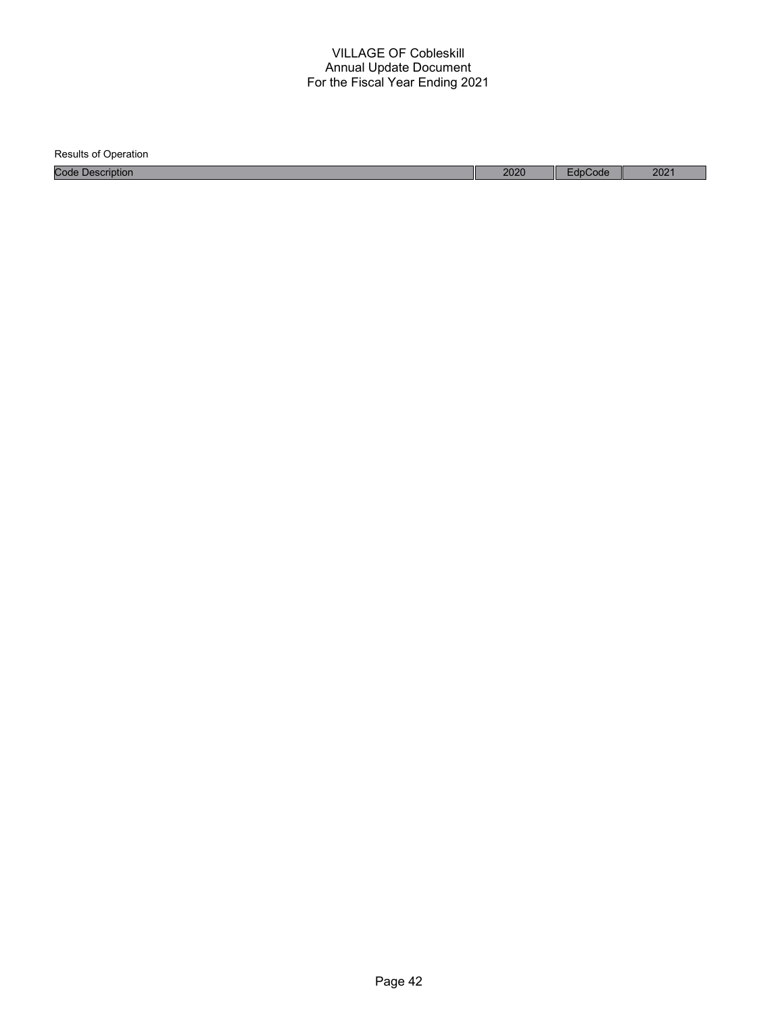| <b>Results of Operation</b> |      |         |      |
|-----------------------------|------|---------|------|
| <b>Code Description</b>     | 2020 | EdpCode | 2021 |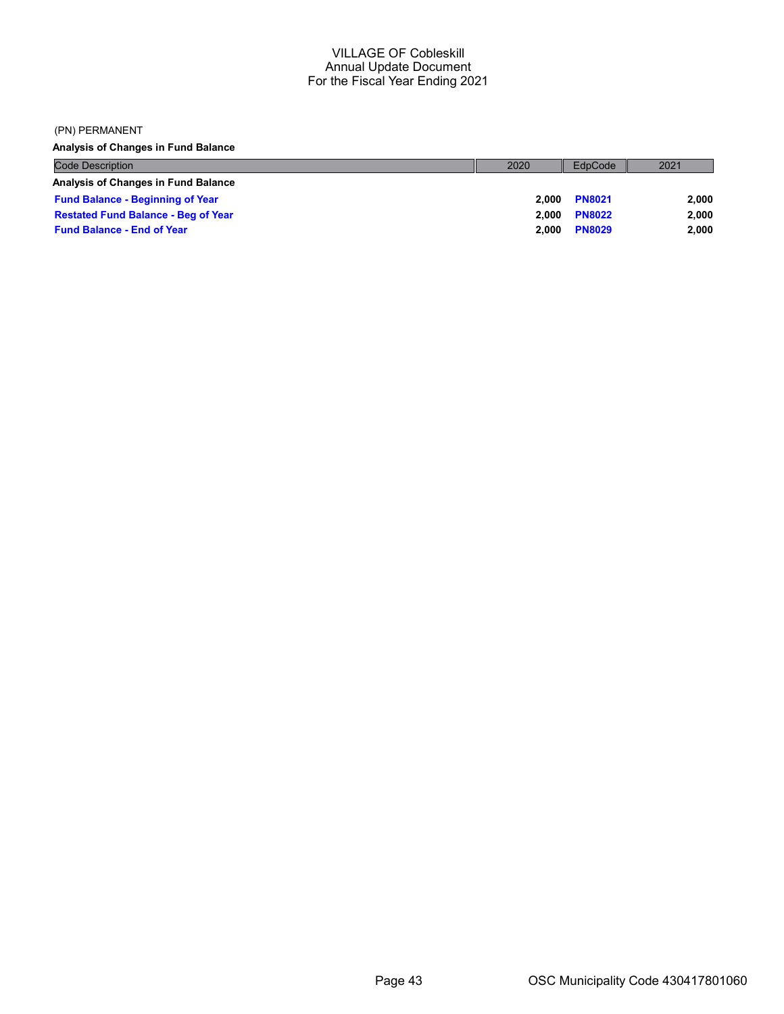#### (PN) PERMANENT

Analysis of Changes in Fund Balance

| <b>Code Description</b>                    | 2020  | EdpCode       | 2021  |
|--------------------------------------------|-------|---------------|-------|
| <b>Analysis of Changes in Fund Balance</b> |       |               |       |
| <b>Fund Balance - Beginning of Year</b>    | 2.000 | <b>PN8021</b> | 2.000 |
| <b>Restated Fund Balance - Beg of Year</b> | 2.000 | <b>PN8022</b> | 2.000 |
| <b>Fund Balance - End of Year</b>          | 2.000 | <b>PN8029</b> | 2,000 |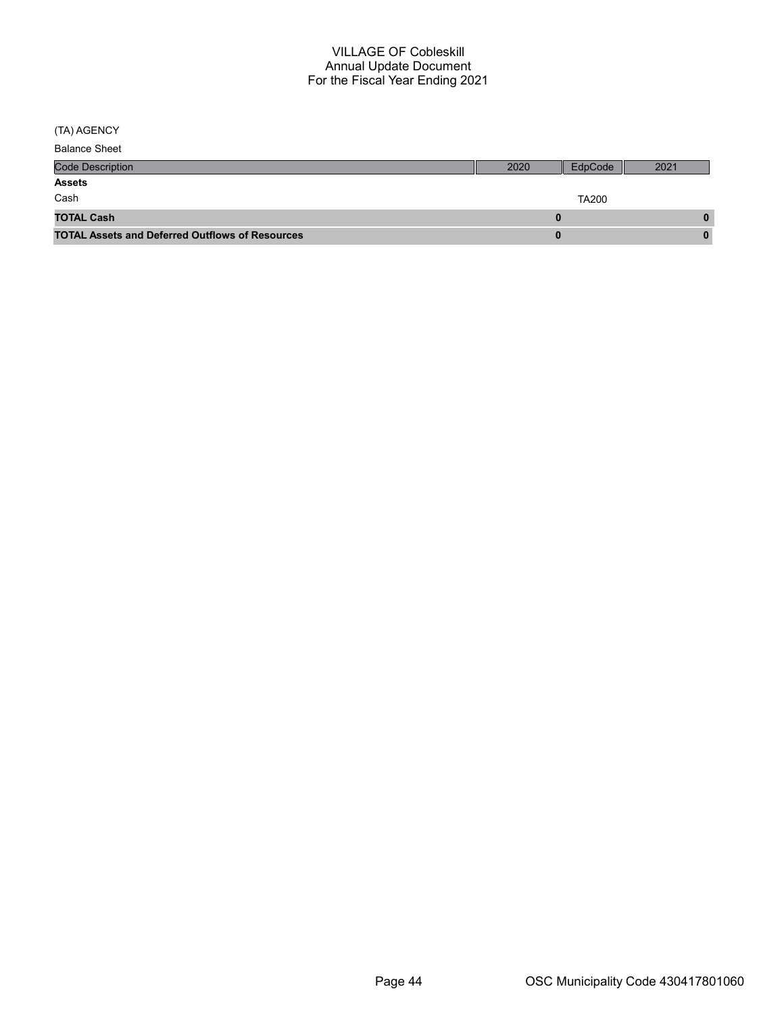(TA) AGENCY

| <b>Balance Sheet</b>                                   |      |              |      |
|--------------------------------------------------------|------|--------------|------|
| <b>Code Description</b>                                | 2020 | EdpCode      | 2021 |
| <b>Assets</b>                                          |      |              |      |
| Cash                                                   |      | <b>TA200</b> |      |
| <b>TOTAL Cash</b>                                      |      |              | 0    |
| <b>TOTAL Assets and Deferred Outflows of Resources</b> |      |              | 0    |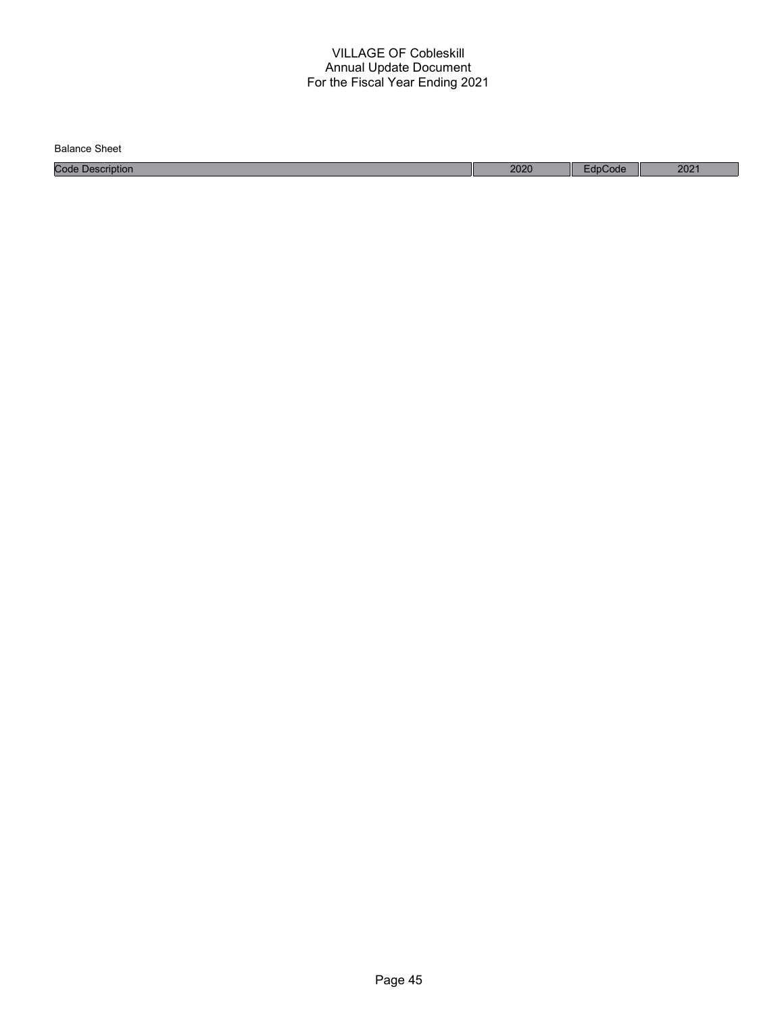| Balance<br>Sheet    |      |       |      |
|---------------------|------|-------|------|
| Code<br>Description | 2020 | Code: | 2021 |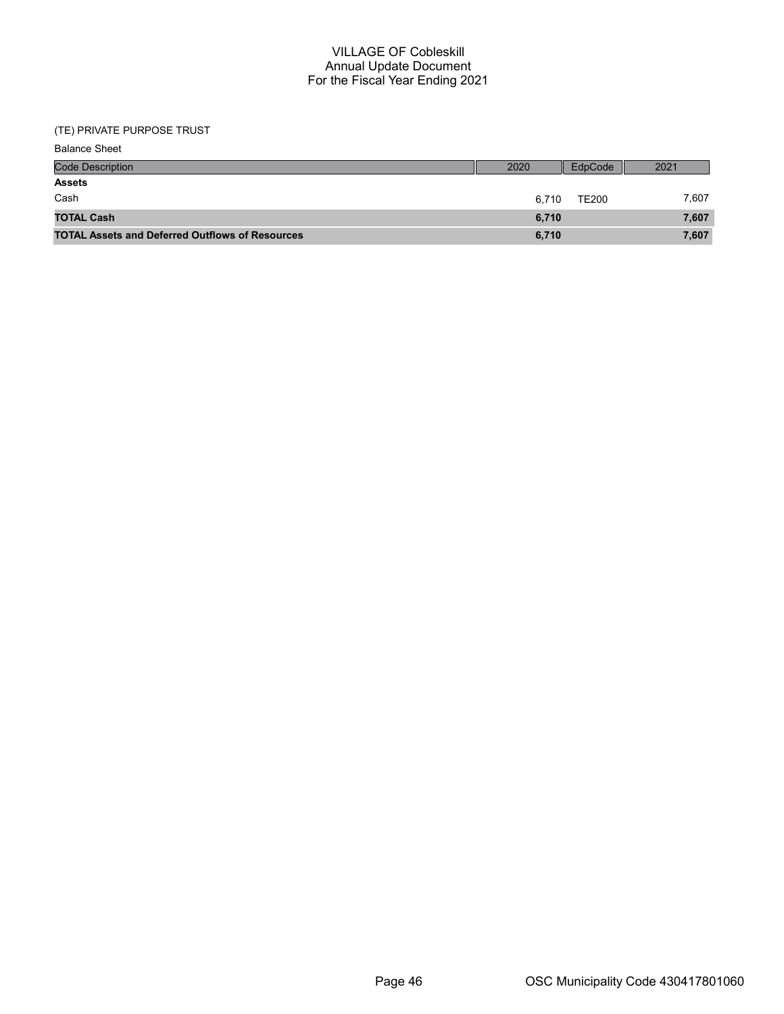## (TE) PRIVATE PURPOSE TRUST

| <b>Code Description</b>                                | 2020  | EdpCode      | 2021  |
|--------------------------------------------------------|-------|--------------|-------|
| <b>Assets</b>                                          |       |              |       |
| Cash                                                   | 6.710 | <b>TE200</b> | 7.607 |
| <b>TOTAL Cash</b>                                      | 6.710 |              | 7,607 |
| <b>TOTAL Assets and Deferred Outflows of Resources</b> | 6,710 |              | 7,607 |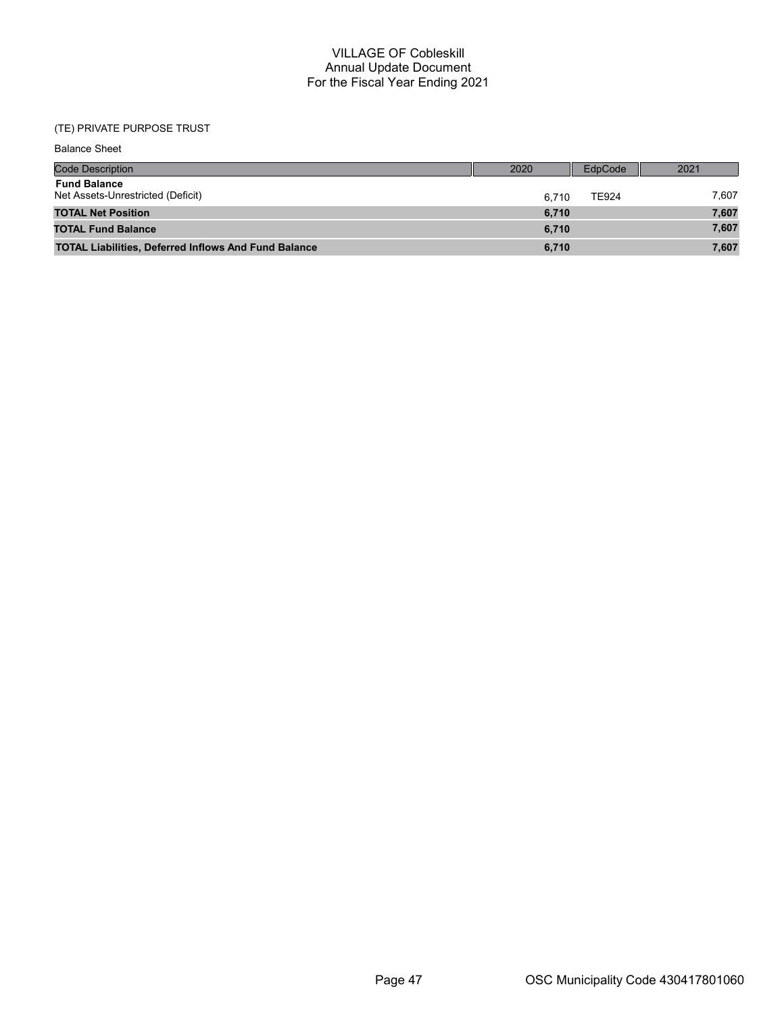## (TE) PRIVATE PURPOSE TRUST

| <b>Balance Sheet</b>                                        |       |              |       |
|-------------------------------------------------------------|-------|--------------|-------|
| <b>Code Description</b>                                     | 2020  | EdpCode      | 2021  |
| <b>Fund Balance</b><br>Net Assets-Unrestricted (Deficit)    | 6.710 | <b>TE924</b> | 7,607 |
| <b>TOTAL Net Position</b>                                   | 6,710 |              | 7,607 |
| <b>TOTAL Fund Balance</b>                                   | 6,710 |              | 7,607 |
| <b>TOTAL Liabilities, Deferred Inflows And Fund Balance</b> | 6,710 |              | 7,607 |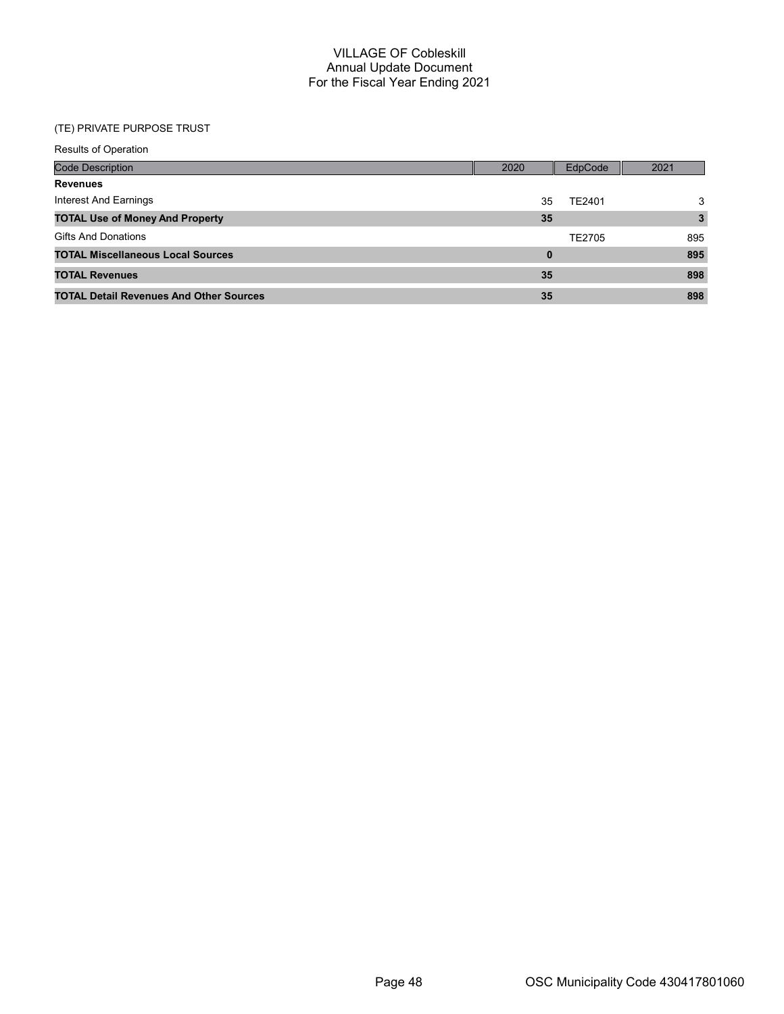## (TE) PRIVATE PURPOSE TRUST

| <b>Results of Operation</b>                    |          |         |      |
|------------------------------------------------|----------|---------|------|
| <b>Code Description</b>                        | 2020     | EdpCode | 2021 |
| <b>Revenues</b>                                |          |         |      |
| Interest And Earnings                          | 35       | TE2401  | 3    |
| <b>TOTAL Use of Money And Property</b>         | 35       |         | 3    |
| <b>Gifts And Donations</b>                     |          | TE2705  | 895  |
| <b>TOTAL Miscellaneous Local Sources</b>       | $\bf{0}$ |         | 895  |
| <b>TOTAL Revenues</b>                          | 35       |         | 898  |
| <b>TOTAL Detail Revenues And Other Sources</b> | 35       |         | 898  |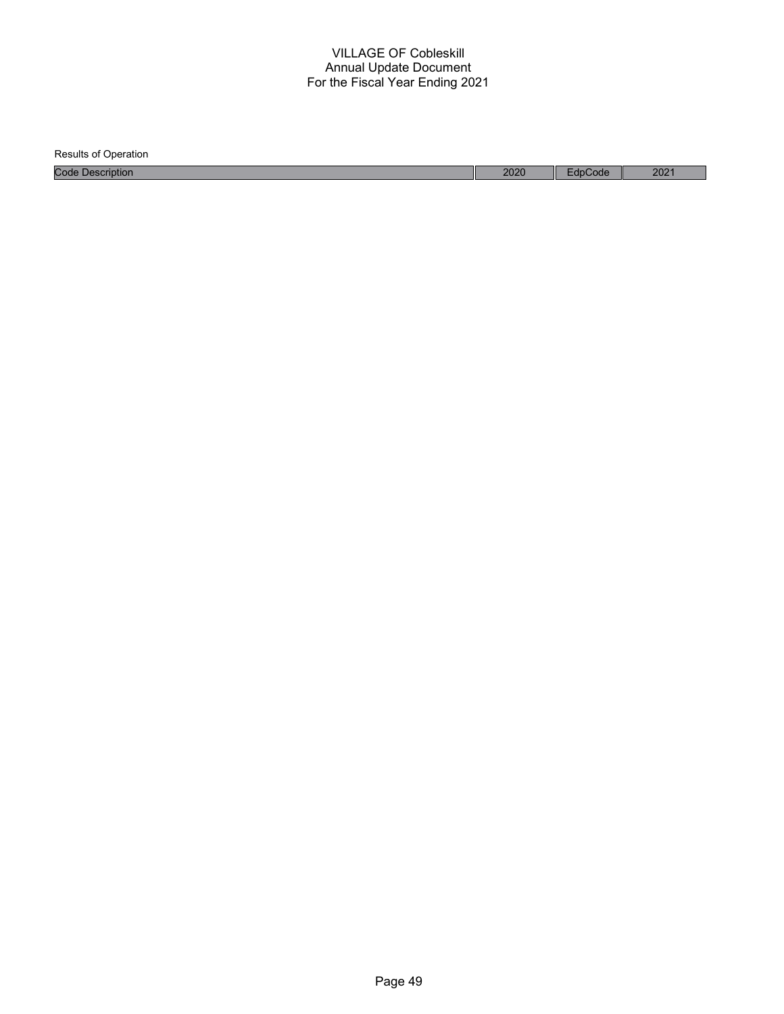| <b>Results of Operation</b> |      |         |      |
|-----------------------------|------|---------|------|
| <b>Code Description</b>     | 2020 | EdpCode | 2021 |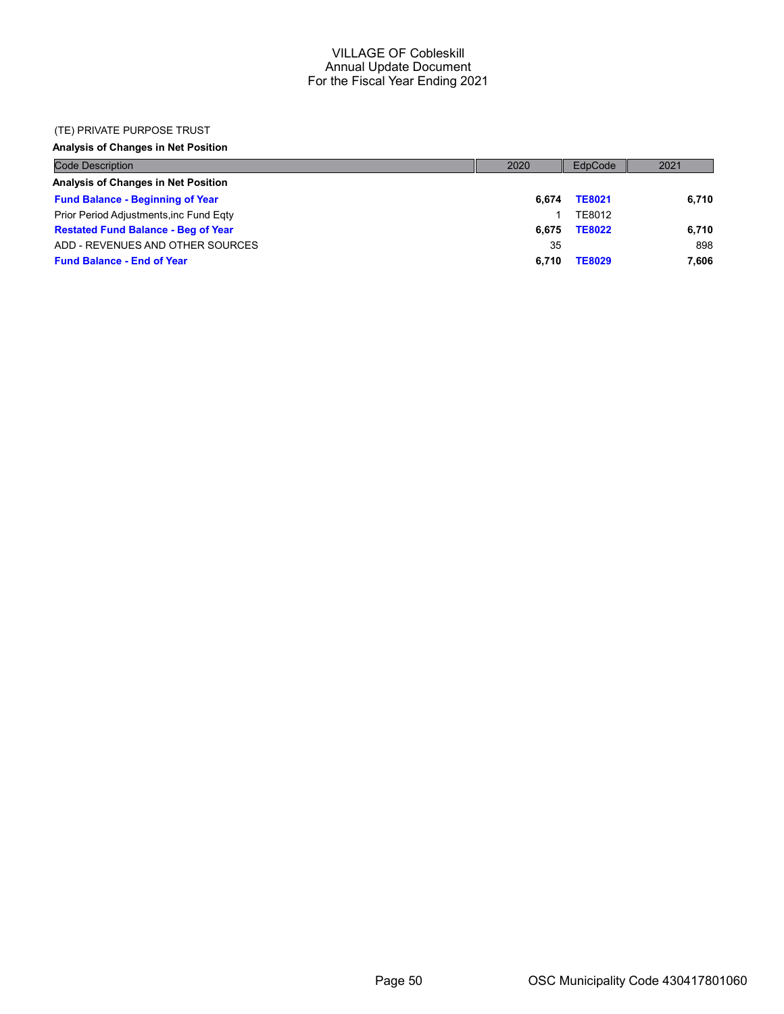#### (TE) PRIVATE PURPOSE TRUST

## Analysis of Changes in Net Position

| <b>Code Description</b>                    | 2020  | EdpCode       | 2021  |
|--------------------------------------------|-------|---------------|-------|
| Analysis of Changes in Net Position        |       |               |       |
| <b>Fund Balance - Beginning of Year</b>    | 6.674 | <b>TE8021</b> | 6,710 |
| Prior Period Adjustments, inc Fund Egty    |       | TE8012        |       |
| <b>Restated Fund Balance - Beg of Year</b> | 6.675 | <b>TE8022</b> | 6,710 |
| ADD - REVENUES AND OTHER SOURCES           | 35    |               | 898   |
| <b>Fund Balance - End of Year</b>          | 6.710 | <b>TE8029</b> | 7.606 |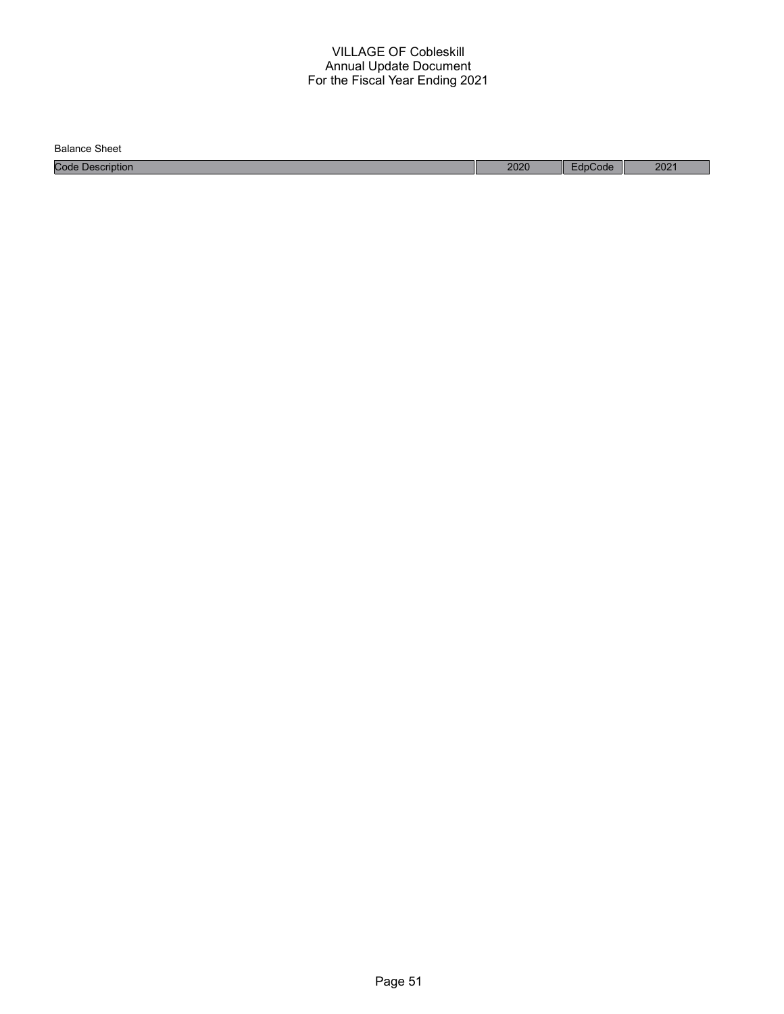Balance Sheet

Code Description 2020 EdpCode 2021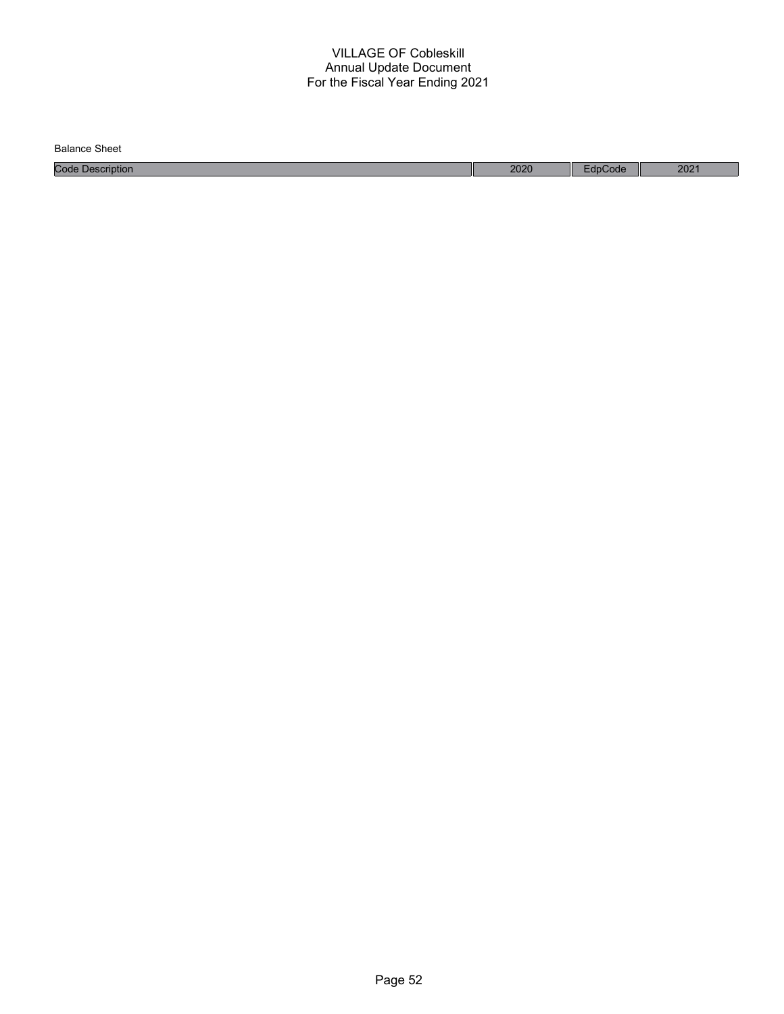| Balance<br>Sheet    |      |       |      |
|---------------------|------|-------|------|
| Code<br>Description | 2020 | Code: | 2021 |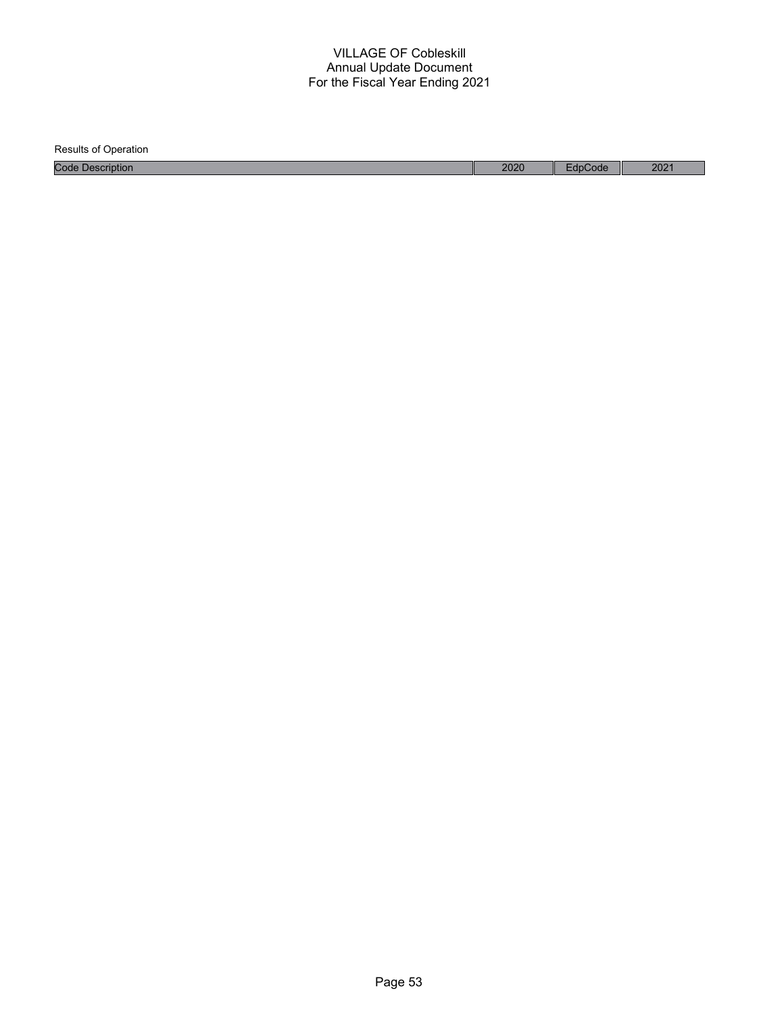Results of Operation Code Description 2020 EdpCode 2021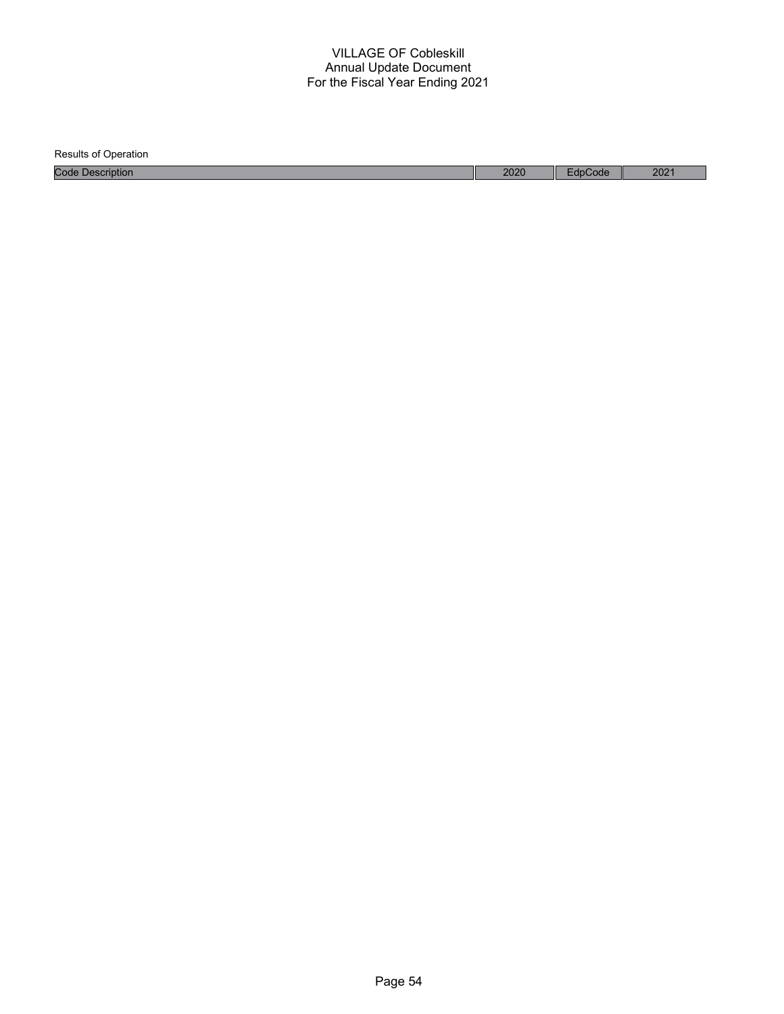| <b>Results of Operation</b> |      |         |      |
|-----------------------------|------|---------|------|
| <b>Code Description</b>     | 2020 | EdpCode | 2021 |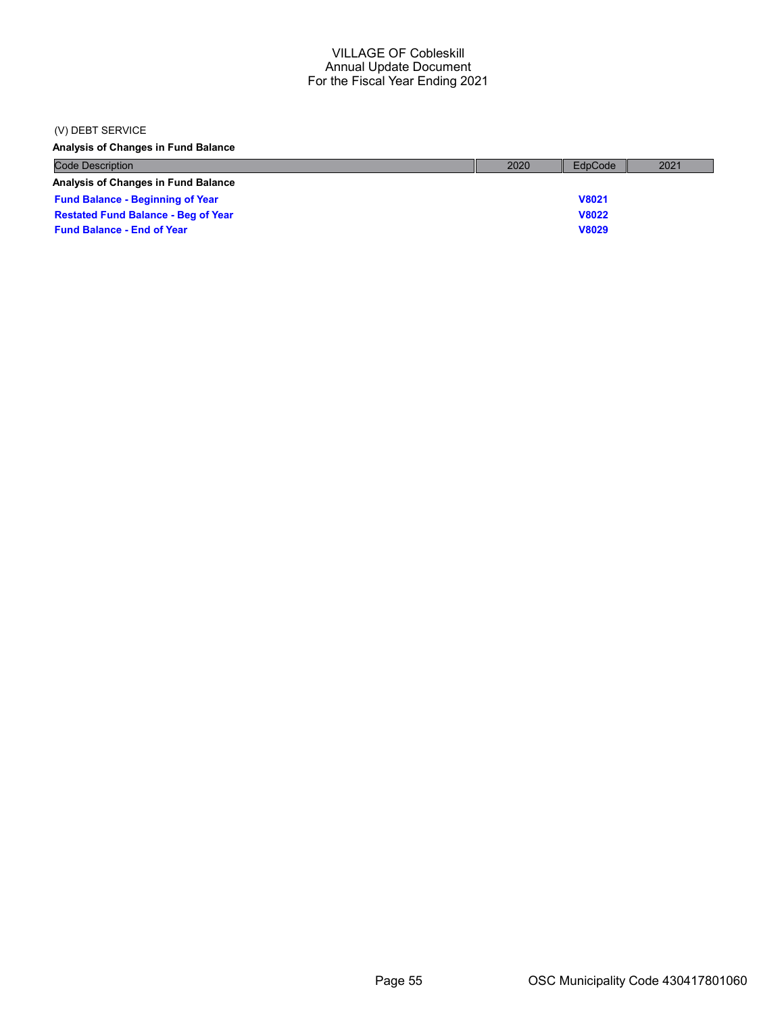#### (V) DEBT SERVICE

Analysis of Changes in Fund Balance

| <b>Code Description</b>                    | 2020 | EdpCode      | 2021 |
|--------------------------------------------|------|--------------|------|
| <b>Analysis of Changes in Fund Balance</b> |      |              |      |
| <b>Fund Balance - Beginning of Year</b>    |      | <b>V8021</b> |      |
| <b>Restated Fund Balance - Beg of Year</b> |      | <b>V8022</b> |      |
| <b>Fund Balance - End of Year</b>          |      | <b>V8029</b> |      |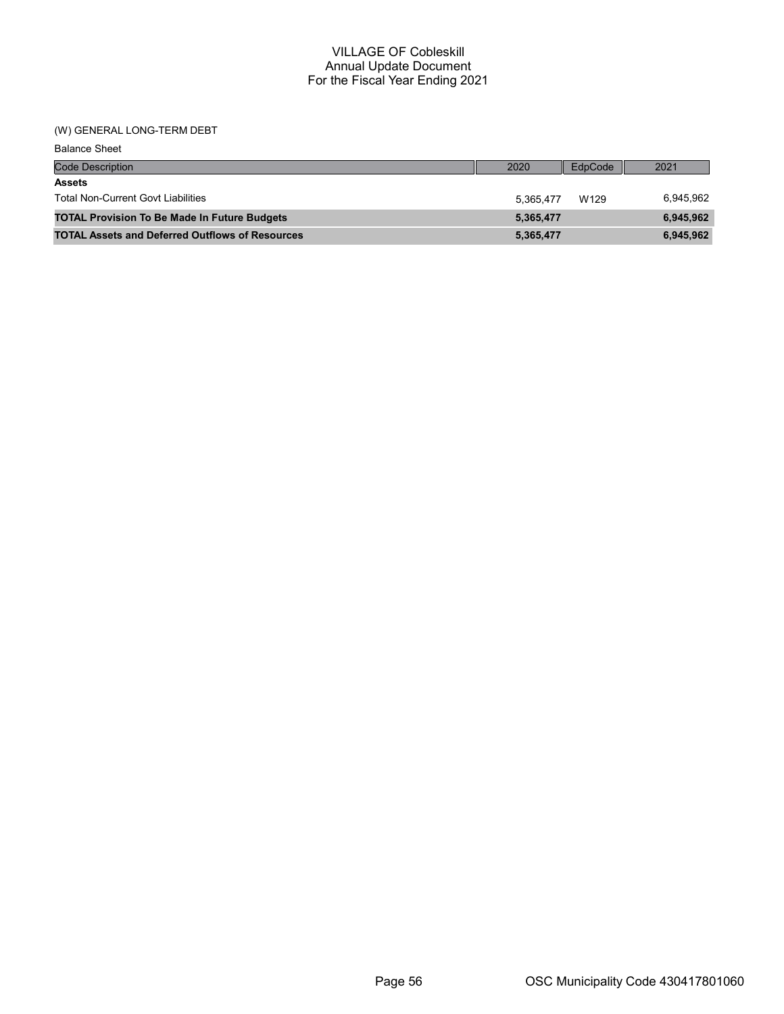## (W) GENERAL LONG-TERM DEBT

| <b>Balance Sheet</b>                                   |           |         |           |
|--------------------------------------------------------|-----------|---------|-----------|
| <b>Code Description</b>                                | 2020      | EdpCode | 2021      |
| <b>Assets</b>                                          |           |         |           |
| <b>Total Non-Current Govt Liabilities</b>              | 5.365.477 | W129    | 6,945,962 |
| <b>TOTAL Provision To Be Made In Future Budgets</b>    | 5,365,477 |         | 6,945,962 |
| <b>TOTAL Assets and Deferred Outflows of Resources</b> | 5,365,477 |         | 6,945,962 |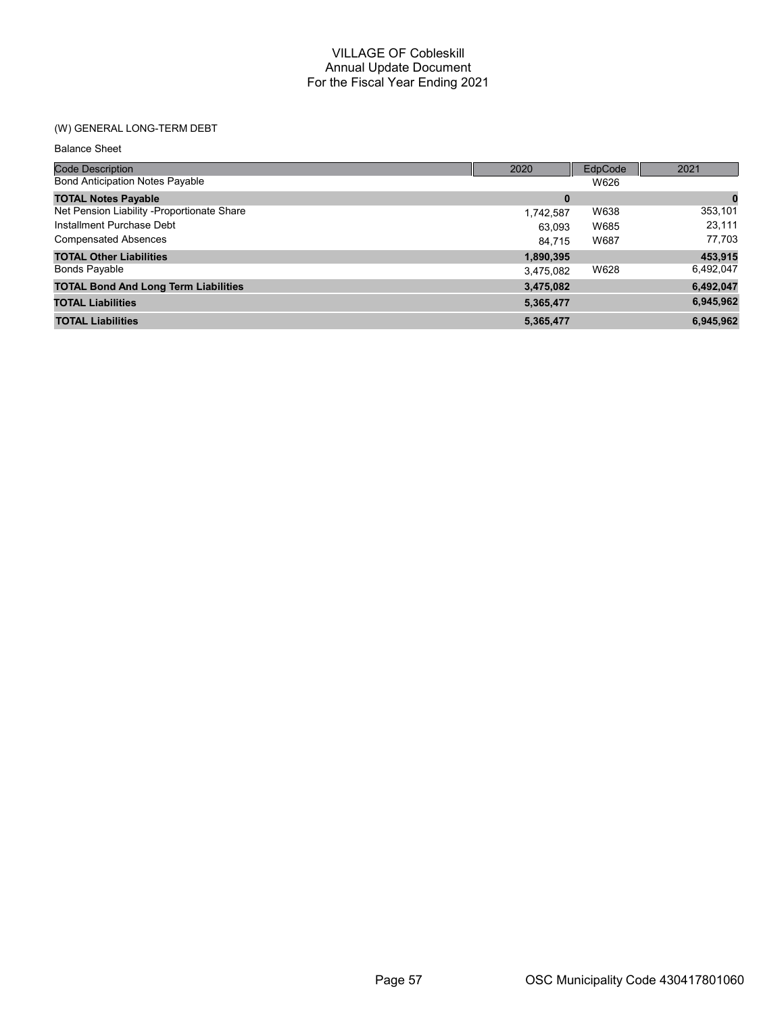## (W) GENERAL LONG-TERM DEBT

| <b>Balance Sheet</b>                        |           |         |           |
|---------------------------------------------|-----------|---------|-----------|
| <b>Code Description</b>                     | 2020      | EdpCode | 2021      |
| <b>Bond Anticipation Notes Payable</b>      |           | W626    |           |
| <b>TOTAL Notes Payable</b>                  | $\bf{0}$  |         | 0         |
| Net Pension Liability -Proportionate Share  | 1,742,587 | W638    | 353,101   |
| Installment Purchase Debt                   | 63,093    | W685    | 23,111    |
| <b>Compensated Absences</b>                 | 84.715    | W687    | 77,703    |
| <b>TOTAL Other Liabilities</b>              | 1,890,395 |         | 453,915   |
| <b>Bonds Payable</b>                        | 3,475,082 | W628    | 6,492,047 |
| <b>TOTAL Bond And Long Term Liabilities</b> | 3,475,082 |         | 6,492,047 |
| <b>TOTAL Liabilities</b>                    | 5,365,477 |         | 6,945,962 |
| <b>TOTAL Liabilities</b>                    | 5,365,477 |         | 6,945,962 |
|                                             |           |         |           |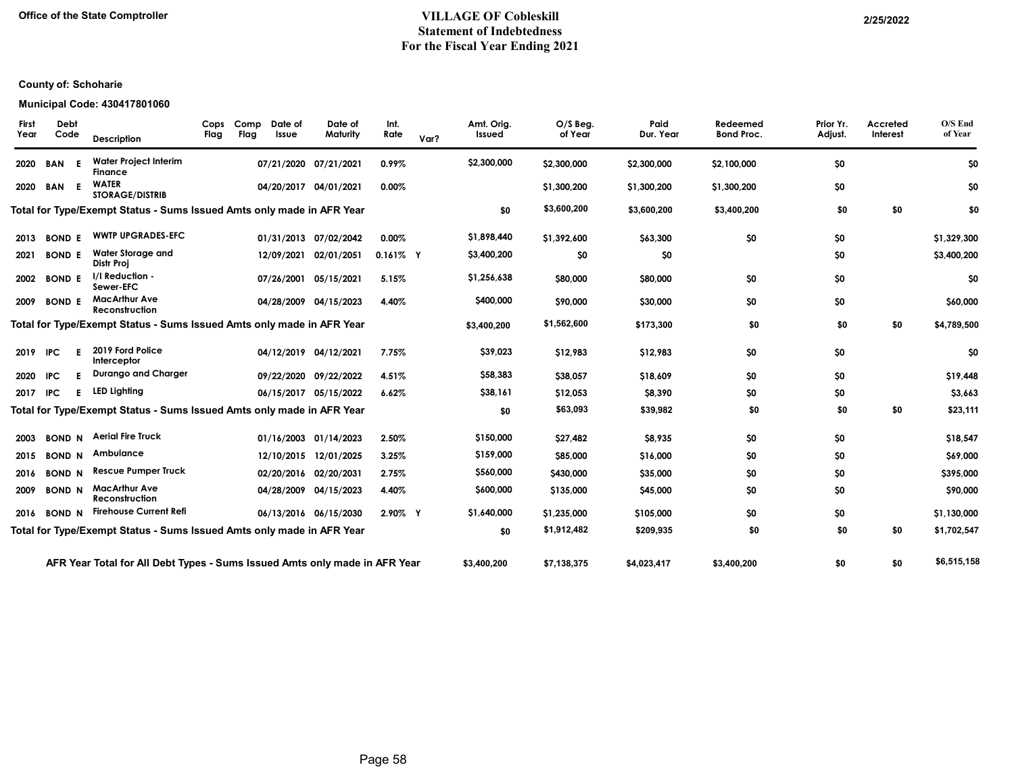## Office of the State Comptroller 2/25/2022 Statement of Indebtedness For the Fiscal Year Ending 2021

## County of: Schoharie

#### Municipal Code: 430417801060

|            | Description                                                                                                                                                                                | Cops<br>Flag                                                                                                                                                                | Flag | Date of<br>Issue | Date of<br>Maturity | Int.<br>Rate                                                                                                                                                                                                                                                                                                                                                                                                                                                                                                                                                                                                                                        | Var? | Amt. Orig.<br>Issued                                                                                 | $O/S$ Beg.<br>of Year | Paid<br>Dur. Year | Redeemed<br><b>Bond Proc.</b> | Prior Yr.<br>Adjust. | Accreted<br>Interest | O/S End<br>of Year |
|------------|--------------------------------------------------------------------------------------------------------------------------------------------------------------------------------------------|-----------------------------------------------------------------------------------------------------------------------------------------------------------------------------|------|------------------|---------------------|-----------------------------------------------------------------------------------------------------------------------------------------------------------------------------------------------------------------------------------------------------------------------------------------------------------------------------------------------------------------------------------------------------------------------------------------------------------------------------------------------------------------------------------------------------------------------------------------------------------------------------------------------------|------|------------------------------------------------------------------------------------------------------|-----------------------|-------------------|-------------------------------|----------------------|----------------------|--------------------|
| <b>BAN</b> | <b>Water Project Interim</b><br>Finance                                                                                                                                                    |                                                                                                                                                                             |      |                  |                     | 0.99%                                                                                                                                                                                                                                                                                                                                                                                                                                                                                                                                                                                                                                               |      | \$2,300,000                                                                                          | \$2,300,000           | \$2,300,000       | \$2,100,000                   | \$0                  |                      | \$0                |
|            | <b>WATER</b><br><b>STORAGE/DISTRIB</b>                                                                                                                                                     |                                                                                                                                                                             |      |                  |                     | 0.00%                                                                                                                                                                                                                                                                                                                                                                                                                                                                                                                                                                                                                                               |      |                                                                                                      | \$1,300,200           | \$1,300,200       | \$1,300,200                   | \$0                  |                      | \$0                |
|            |                                                                                                                                                                                            |                                                                                                                                                                             |      |                  |                     |                                                                                                                                                                                                                                                                                                                                                                                                                                                                                                                                                                                                                                                     |      | \$0                                                                                                  | \$3,600,200           | \$3,600,200       | \$3,400,200                   | \$0                  | \$0                  | \$0                |
|            | <b>WWTP UPGRADES-EFC</b>                                                                                                                                                                   |                                                                                                                                                                             |      |                  |                     | $0.00\%$                                                                                                                                                                                                                                                                                                                                                                                                                                                                                                                                                                                                                                            |      | \$1,898,440                                                                                          | \$1,392,600           | \$63,300          | \$0                           | \$0                  |                      | \$1,329,300        |
|            | <b>Water Storage and</b><br>Distr Proi                                                                                                                                                     |                                                                                                                                                                             |      |                  | 02/01/2051          |                                                                                                                                                                                                                                                                                                                                                                                                                                                                                                                                                                                                                                                     |      | \$3,400,200                                                                                          | \$0                   | \$0               |                               | \$0                  |                      | \$3,400,200        |
|            | I/I Reduction -<br>Sewer-EFC                                                                                                                                                               |                                                                                                                                                                             |      |                  |                     | 5.15%                                                                                                                                                                                                                                                                                                                                                                                                                                                                                                                                                                                                                                               |      | \$1,256,638                                                                                          | \$80,000              | \$80,000          | \$0                           | \$0                  |                      | \$0                |
|            | Reconstruction                                                                                                                                                                             |                                                                                                                                                                             |      |                  |                     | 4.40%                                                                                                                                                                                                                                                                                                                                                                                                                                                                                                                                                                                                                                               |      | \$400,000                                                                                            | \$90,000              | \$30,000          | \$0                           | \$0                  |                      | \$60,000           |
|            |                                                                                                                                                                                            |                                                                                                                                                                             |      |                  |                     |                                                                                                                                                                                                                                                                                                                                                                                                                                                                                                                                                                                                                                                     |      | \$3,400,200                                                                                          | \$1,562,600           | \$173,300         | \$0                           | \$0                  | \$0                  | \$4,789,500        |
| <b>IPC</b> | 2019 Ford Police<br>Interceptor                                                                                                                                                            |                                                                                                                                                                             |      |                  |                     | 7.75%                                                                                                                                                                                                                                                                                                                                                                                                                                                                                                                                                                                                                                               |      | \$39,023                                                                                             | \$12,983              | \$12,983          | \$0                           | \$0                  |                      | \$0                |
| <b>IPC</b> | <b>Durango and Charger</b>                                                                                                                                                                 |                                                                                                                                                                             |      |                  |                     | 4.51%                                                                                                                                                                                                                                                                                                                                                                                                                                                                                                                                                                                                                                               |      | \$58,383                                                                                             | \$38,057              | \$18,609          | \$0                           | \$0                  |                      | \$19,448           |
| <b>IPC</b> |                                                                                                                                                                                            |                                                                                                                                                                             |      |                  |                     | 6.62%                                                                                                                                                                                                                                                                                                                                                                                                                                                                                                                                                                                                                                               |      | \$38,161                                                                                             | \$12,053              | \$8,390           | \$0                           | \$0                  |                      | \$3,663            |
|            |                                                                                                                                                                                            |                                                                                                                                                                             |      |                  |                     |                                                                                                                                                                                                                                                                                                                                                                                                                                                                                                                                                                                                                                                     |      | \$0                                                                                                  | \$63,093              | \$39,982          | \$0                           | \$0                  | \$0                  | \$23,111           |
|            |                                                                                                                                                                                            |                                                                                                                                                                             |      |                  |                     | 2.50%                                                                                                                                                                                                                                                                                                                                                                                                                                                                                                                                                                                                                                               |      | \$150,000                                                                                            | \$27,482              | \$8,935           | \$0                           | \$0                  |                      | \$18,547           |
|            |                                                                                                                                                                                            |                                                                                                                                                                             |      |                  |                     | 3.25%                                                                                                                                                                                                                                                                                                                                                                                                                                                                                                                                                                                                                                               |      | \$159,000                                                                                            | \$85,000              | \$16,000          | \$0                           | \$0                  |                      | \$69,000           |
|            |                                                                                                                                                                                            |                                                                                                                                                                             |      |                  |                     | 2.75%                                                                                                                                                                                                                                                                                                                                                                                                                                                                                                                                                                                                                                               |      | \$560,000                                                                                            | \$430,000             | \$35,000          | \$0                           | \$0                  |                      | \$395,000          |
|            | Reconstruction                                                                                                                                                                             |                                                                                                                                                                             |      |                  |                     | 4.40%                                                                                                                                                                                                                                                                                                                                                                                                                                                                                                                                                                                                                                               |      | \$600,000                                                                                            | \$135,000             | \$45,000          | \$0                           | \$0                  |                      | \$90,000           |
|            |                                                                                                                                                                                            |                                                                                                                                                                             |      |                  |                     |                                                                                                                                                                                                                                                                                                                                                                                                                                                                                                                                                                                                                                                     |      | \$1,640,000                                                                                          | \$1,235,000           | \$105,000         | \$0                           | \$0                  |                      | \$1,130,000        |
|            |                                                                                                                                                                                            |                                                                                                                                                                             |      |                  |                     |                                                                                                                                                                                                                                                                                                                                                                                                                                                                                                                                                                                                                                                     |      | \$0                                                                                                  | \$1,912,482           | \$209,935         | \$0                           | \$0                  | \$0                  | \$1,702,547        |
|            |                                                                                                                                                                                            |                                                                                                                                                                             |      |                  |                     |                                                                                                                                                                                                                                                                                                                                                                                                                                                                                                                                                                                                                                                     |      | \$3,400,200                                                                                          | \$7,138,375           | \$4,023,417       | \$3,400,200                   | \$0                  | \$0                  | \$6,515,158        |
|            | Debt<br>Code<br><b>BAN E</b><br><b>BOND E</b><br><b>BOND E</b><br><b>BOND E</b><br><b>BOND E</b><br>F<br><b>BOND N</b><br><b>BOND N</b><br><b>BOND N</b><br><b>BOND N</b><br><b>BOND N</b> | <b>MacArthur Ave</b><br><b>LED Lighting</b><br><b>Aerial Fire Truck</b><br>Ambulance<br><b>Rescue Pumper Truck</b><br><b>MacArthur Ave</b><br><b>Firehouse Current Refi</b> |      |                  | Comp                | 07/21/2020 07/21/2021<br>04/20/2017 04/01/2021<br>Total for Type/Exempt Status - Sums Issued Amts only made in AFR Year<br>01/31/2013 07/02/2042<br>12/09/2021<br>07/26/2001 05/15/2021<br>04/28/2009 04/15/2023<br>Total for Type/Exempt Status - Sums Issued Amts only made in AFR Year<br>04/12/2019 04/12/2021<br>09/22/2020 09/22/2022<br>06/15/2017 05/15/2022<br>Total for Type/Exempt Status - Sums Issued Amts only made in AFR Year<br>01/16/2003 01/14/2023<br>12/10/2015 12/01/2025<br>02/20/2016 02/20/2031<br>04/28/2009 04/15/2023<br>06/13/2016 06/15/2030<br>Total for Type/Exempt Status - Sums Issued Amts only made in AFR Year |      | $0.161\%$ Y<br>2.90% Y<br>AFR Year Total for All Debt Types - Sums Issued Amts only made in AFR Year |                       |                   |                               |                      |                      |                    |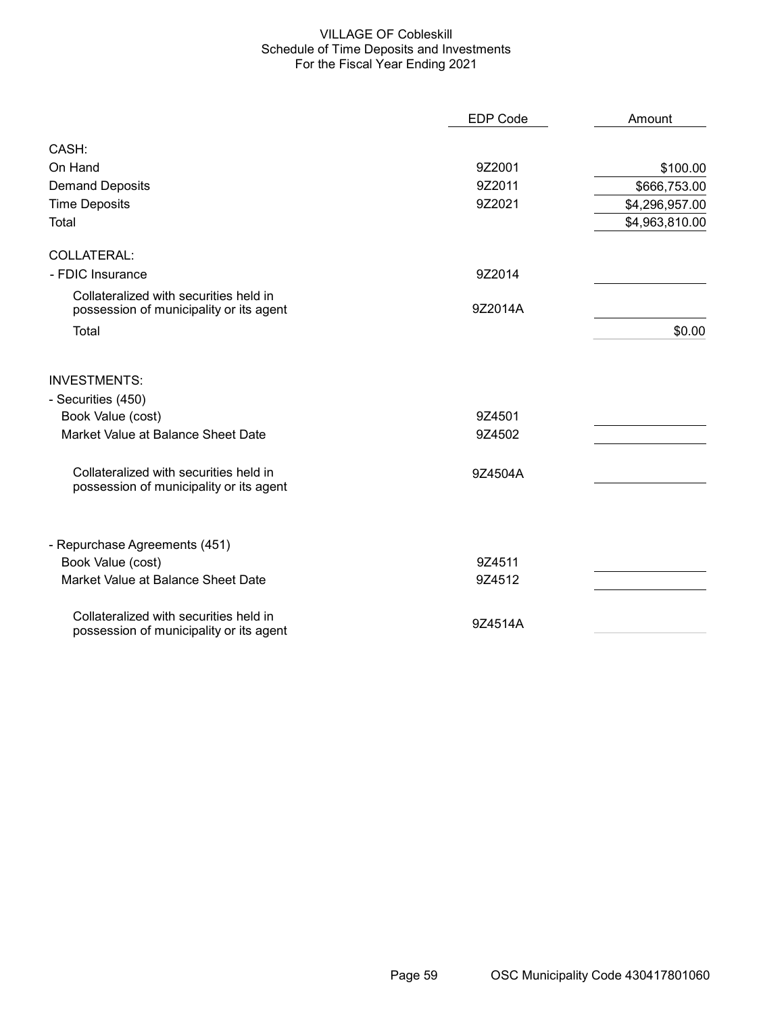## VILLAGE OF Cobleskill Schedule of Time Deposits and Investments For the Fiscal Year Ending 2021

|                                                                                   | <b>EDP Code</b> | Amount         |
|-----------------------------------------------------------------------------------|-----------------|----------------|
| CASH:                                                                             |                 |                |
| On Hand                                                                           | 9Z2001          | \$100.00       |
| <b>Demand Deposits</b>                                                            | 9Z2011          | \$666,753.00   |
| <b>Time Deposits</b>                                                              | 9Z2021          | \$4,296,957.00 |
| Total                                                                             |                 | \$4,963,810.00 |
| <b>COLLATERAL:</b>                                                                |                 |                |
| - FDIC Insurance                                                                  | 9Z2014          |                |
| Collateralized with securities held in<br>possession of municipality or its agent | 9Z2014A         |                |
| Total                                                                             |                 | \$0.00         |
| <b>INVESTMENTS:</b>                                                               |                 |                |
| - Securities (450)                                                                |                 |                |
| Book Value (cost)                                                                 | 9Z4501          |                |
| Market Value at Balance Sheet Date                                                | 9Z4502          |                |
| Collateralized with securities held in<br>possession of municipality or its agent | 9Z4504A         |                |
| - Repurchase Agreements (451)                                                     |                 |                |
| Book Value (cost)                                                                 | 9Z4511          |                |
| Market Value at Balance Sheet Date                                                | 9Z4512          |                |
| Collateralized with securities held in<br>possession of municipality or its agent | 9Z4514A         |                |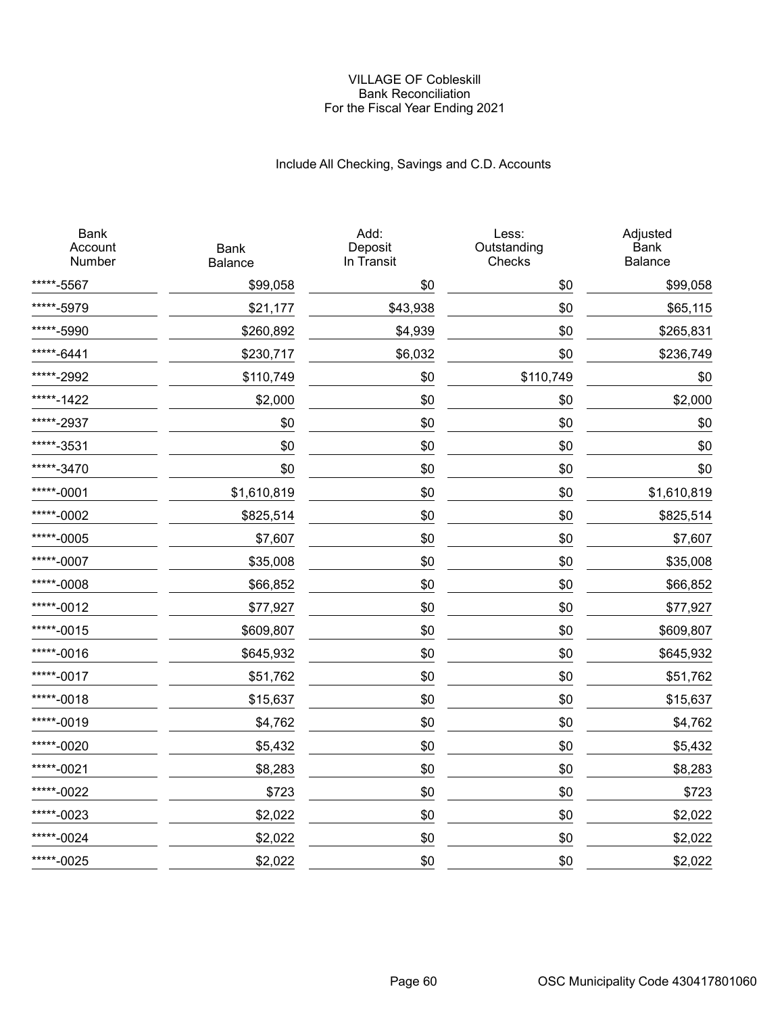#### VILLAGE OF Cobleskill Bank Reconciliation For the Fiscal Year Ending 2021

# Include All Checking, Savings and C.D. Accounts

| <b>Bank</b><br>Account<br>Number | <b>Bank</b><br>Balance | Add:<br>Deposit<br>In Transit | Less:<br>Outstanding<br>Checks | Adjusted<br><b>Bank</b><br>Balance |
|----------------------------------|------------------------|-------------------------------|--------------------------------|------------------------------------|
| *****-5567                       | \$99,058               | \$0                           | \$0                            | \$99,058                           |
| *****-5979                       | \$21,177               | \$43,938                      | \$0                            | \$65,115                           |
| *****-5990                       | \$260,892              | \$4,939                       | \$0                            | \$265,831                          |
| *****-6441                       | \$230,717              | \$6,032                       | \$0                            | \$236,749                          |
| *****-2992                       | \$110,749              | \$0                           | \$110,749                      | \$0                                |
| *****-1422                       | \$2,000                | \$0                           | \$0                            | \$2,000                            |
| *****-2937                       | \$0                    | \$0                           | \$0                            | \$0                                |
| *****-3531                       | \$0                    | \$0                           | \$0                            | \$0                                |
| *****-3470                       | \$0                    | \$0                           | \$0                            | \$0                                |
| *****-0001                       | \$1,610,819            | \$0                           | \$0                            | \$1,610,819                        |
| *****-0002                       | \$825,514              | \$0                           | \$0                            | \$825,514                          |
| *****-0005                       | \$7,607                | \$0                           | \$0                            | \$7,607                            |
| *****-0007                       | \$35,008               | \$0                           | \$0                            | \$35,008                           |
| *****-0008                       | \$66,852               | \$0                           | \$0                            | \$66,852                           |
| *****-0012                       | \$77,927               | \$0                           | \$0                            | \$77,927                           |
| *****-0015                       | \$609,807              | \$0                           | \$0                            | \$609,807                          |
| *****-0016                       | \$645,932              | \$0                           | \$0                            | \$645,932                          |
| *****-0017                       | \$51,762               | \$0                           | \$0                            | \$51,762                           |
| *****-0018                       | \$15,637               | \$0                           | \$0                            | \$15,637                           |
| *****-0019                       | \$4,762                | \$0                           | \$0                            | \$4,762                            |
| *****-0020                       | \$5,432                | \$0                           | \$0                            | \$5,432                            |
| *****-0021                       | \$8,283                | \$0                           | \$0                            | \$8,283                            |
| *****-0022                       | \$723                  | \$0                           | \$0                            | \$723                              |
| *****-0023                       | \$2,022                | \$0                           | \$0                            | \$2,022                            |
| *****-0024                       | \$2,022                | \$0                           | \$0                            | \$2,022                            |
| *****-0025                       | \$2,022                | \$0                           | \$0                            | \$2,022                            |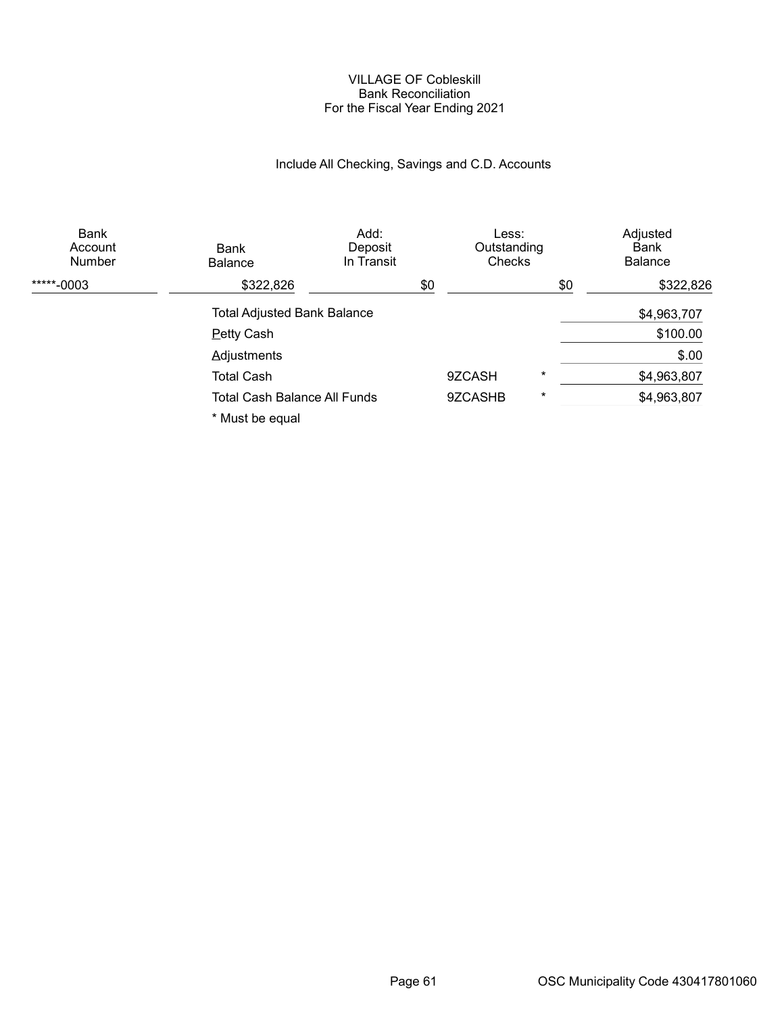#### VILLAGE OF Cobleskill Bank Reconciliation For the Fiscal Year Ending 2021

# Include All Checking, Savings and C.D. Accounts

| Bank<br>Account<br>Number | Bank<br><b>Balance</b>              | Add:<br>Deposit<br>In Transit | Less:<br>Outstanding<br>Checks |          | Adjusted<br>Bank<br><b>Balance</b> |
|---------------------------|-------------------------------------|-------------------------------|--------------------------------|----------|------------------------------------|
| *****-0003                | \$322,826                           |                               | \$0                            | \$0      | \$322,826                          |
|                           | <b>Total Adjusted Bank Balance</b>  |                               |                                |          | \$4,963,707                        |
|                           | <b>Petty Cash</b>                   |                               |                                |          | \$100.00                           |
|                           | <b>Adjustments</b>                  |                               |                                |          | \$.00                              |
|                           | <b>Total Cash</b>                   |                               | 9ZCASH                         | $\star$  | \$4,963,807                        |
|                           | <b>Total Cash Balance All Funds</b> |                               | 9ZCASHB                        | $^\star$ | \$4,963,807                        |
|                           | * Must be equal                     |                               |                                |          |                                    |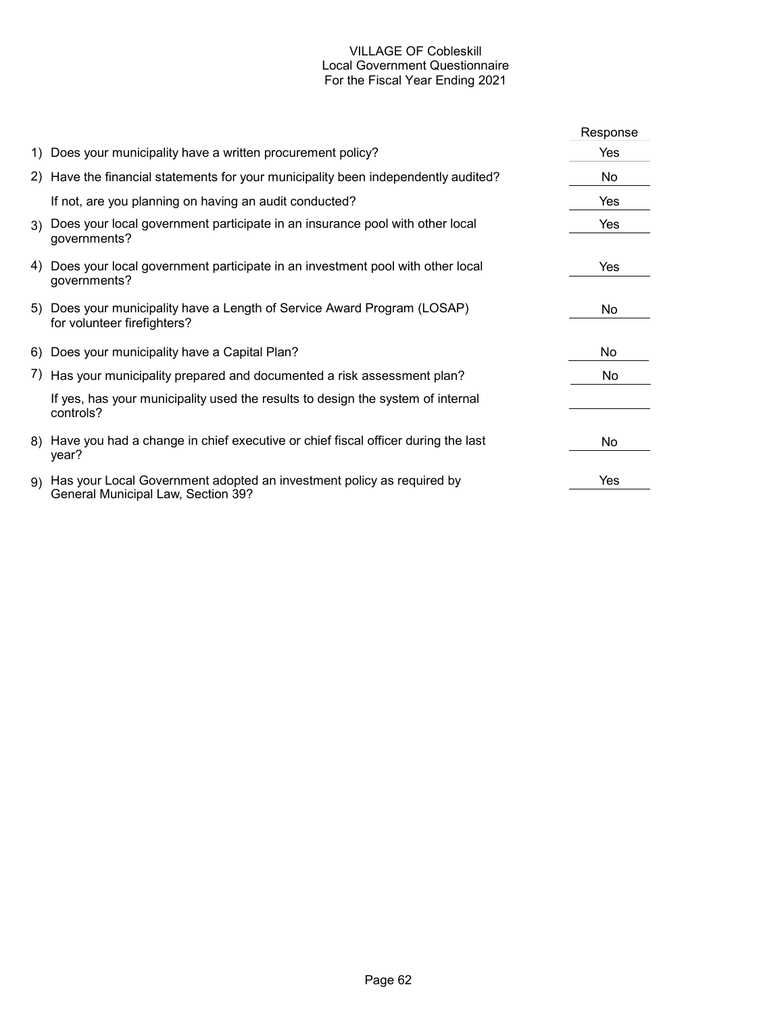## VILLAGE OF Cobleskill Local Government Questionnaire For the Fiscal Year Ending 2021

|                                                                                                                | Response |
|----------------------------------------------------------------------------------------------------------------|----------|
| 1) Does your municipality have a written procurement policy?                                                   | Yes      |
| 2) Have the financial statements for your municipality been independently audited?                             | No       |
| If not, are you planning on having an audit conducted?                                                         | Yes      |
| 3) Does your local government participate in an insurance pool with other local<br>governments?                | Yes      |
| 4) Does your local government participate in an investment pool with other local<br>governments?               | Yes      |
| 5) Does your municipality have a Length of Service Award Program (LOSAP)<br>for volunteer firefighters?        | No.      |
| 6) Does your municipality have a Capital Plan?                                                                 | No.      |
| 7) Has your municipality prepared and documented a risk assessment plan?                                       | No.      |
| If yes, has your municipality used the results to design the system of internal<br>controls?                   |          |
| 8) Have you had a change in chief executive or chief fiscal officer during the last<br>year?                   | No       |
| 9) Has your Local Government adopted an investment policy as required by<br>General Municipal Law, Section 39? | Yes      |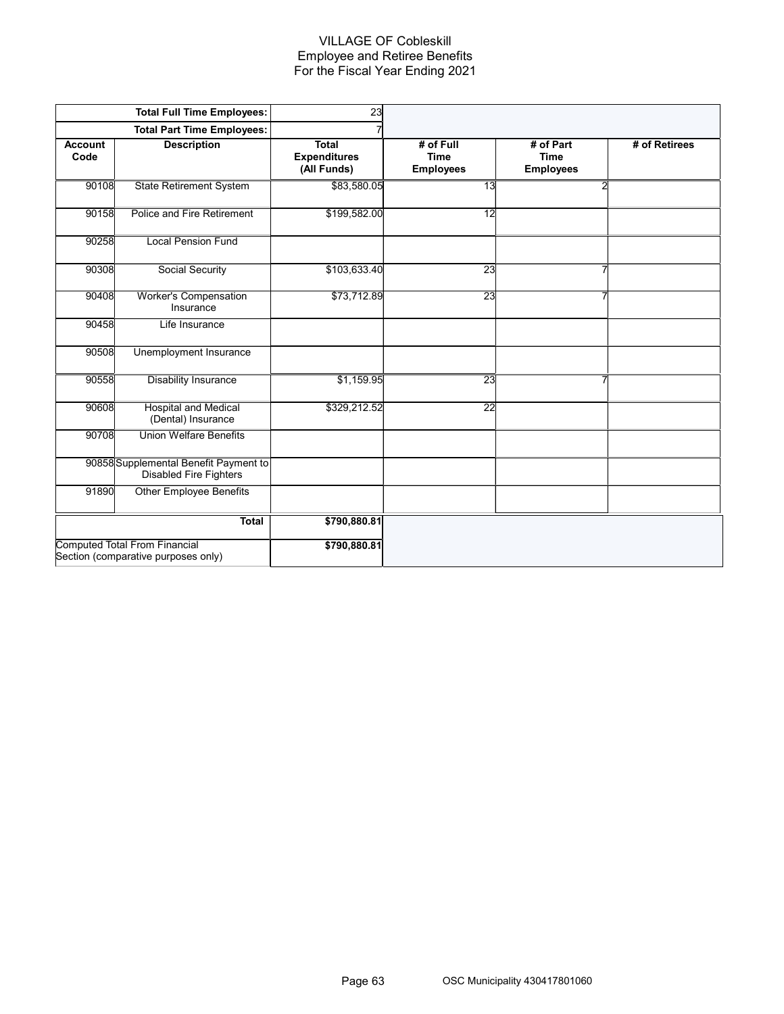## VILLAGE OF Cobleskill Employee and Retiree Benefits For the Fiscal Year Ending 2021

|                        | <b>Total Full Time Employees:</b>                                           | 23                                                 |                                              |                                              |               |
|------------------------|-----------------------------------------------------------------------------|----------------------------------------------------|----------------------------------------------|----------------------------------------------|---------------|
|                        | <b>Total Part Time Employees:</b>                                           |                                                    |                                              |                                              |               |
| <b>Account</b><br>Code | <b>Description</b>                                                          | <b>Total</b><br><b>Expenditures</b><br>(All Funds) | # of Full<br><b>Time</b><br><b>Employees</b> | # of Part<br><b>Time</b><br><b>Employees</b> | # of Retirees |
| 90108                  | <b>State Retirement System</b>                                              | \$83,580.05                                        | 13                                           | $\overline{2}$                               |               |
| 90158                  | Police and Fire Retirement                                                  | \$199,582.00                                       | 12                                           |                                              |               |
| 90258                  | <b>Local Pension Fund</b>                                                   |                                                    |                                              |                                              |               |
| 90308                  | Social Security                                                             | \$103,633.40                                       | 23                                           | 7                                            |               |
| 90408                  | <b>Worker's Compensation</b><br>Insurance                                   | \$73,712.89                                        | 23                                           | 7                                            |               |
| 90458                  | Life Insurance                                                              |                                                    |                                              |                                              |               |
| 90508                  | Unemployment Insurance                                                      |                                                    |                                              |                                              |               |
| 90558                  | <b>Disability Insurance</b>                                                 | \$1,159.95                                         | 23                                           | 7                                            |               |
| 90608                  | <b>Hospital and Medical</b><br>(Dental) Insurance                           | \$329,212.52                                       | $\overline{22}$                              |                                              |               |
| 90708                  | <b>Union Welfare Benefits</b>                                               |                                                    |                                              |                                              |               |
|                        | 90858 Supplemental Benefit Payment to<br><b>Disabled Fire Fighters</b>      |                                                    |                                              |                                              |               |
| 91890                  | <b>Other Employee Benefits</b>                                              |                                                    |                                              |                                              |               |
|                        | <b>Total</b>                                                                | \$790,880.81                                       |                                              |                                              |               |
|                        | <b>Computed Total From Financial</b><br>Section (comparative purposes only) | \$790,880.81                                       |                                              |                                              |               |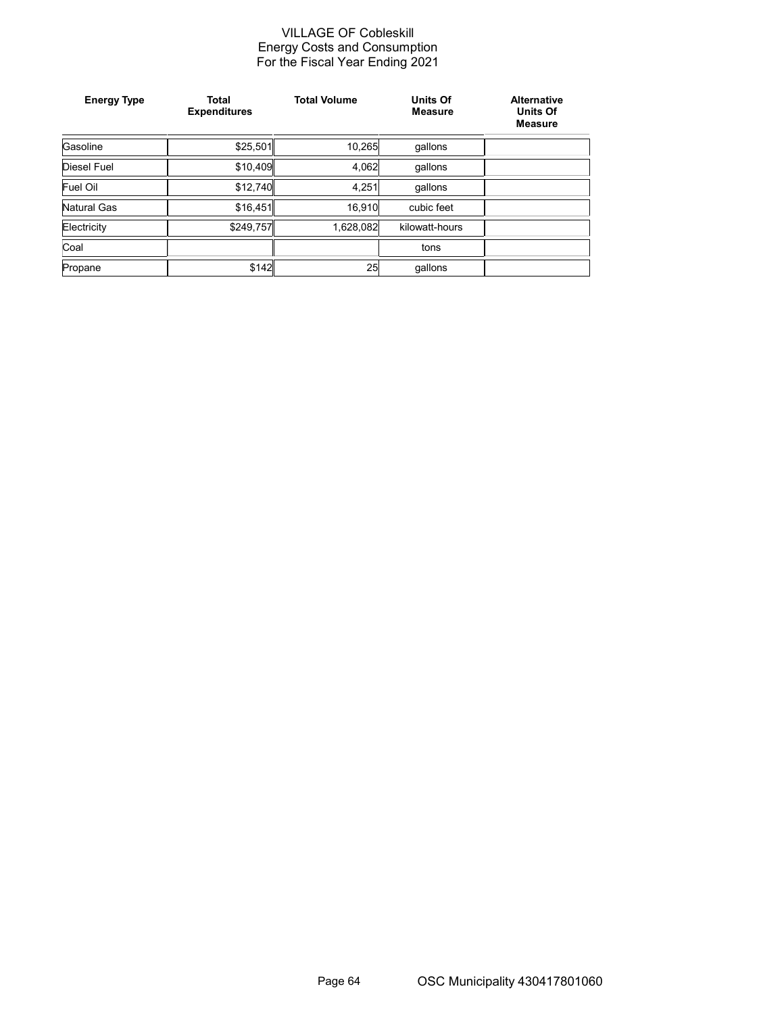#### VILLAGE OF Cobleskill Energy Costs and Consumption For the Fiscal Year Ending 2021

| <b>Energy Type</b> | <b>Total</b><br><b>Expenditures</b> | <b>Total Volume</b> | <b>Units Of</b><br><b>Measure</b> | <b>Alternative</b><br><b>Units Of</b><br><b>Measure</b> |
|--------------------|-------------------------------------|---------------------|-----------------------------------|---------------------------------------------------------|
| Gasoline           | \$25,501                            | 10,265              | gallons                           |                                                         |
| Diesel Fuel        | \$10,409                            | 4.062               | qallons                           |                                                         |
| Fuel Oil           | \$12,740                            | 4.251               | qallons                           |                                                         |
| Natural Gas        | \$16,451                            | 16.910              | cubic feet                        |                                                         |
| Electricity        | \$249,757                           | 1,628,082           | kilowatt-hours                    |                                                         |
| Coal               |                                     |                     | tons                              |                                                         |
| Propane            | \$142                               | 25                  | qallons                           |                                                         |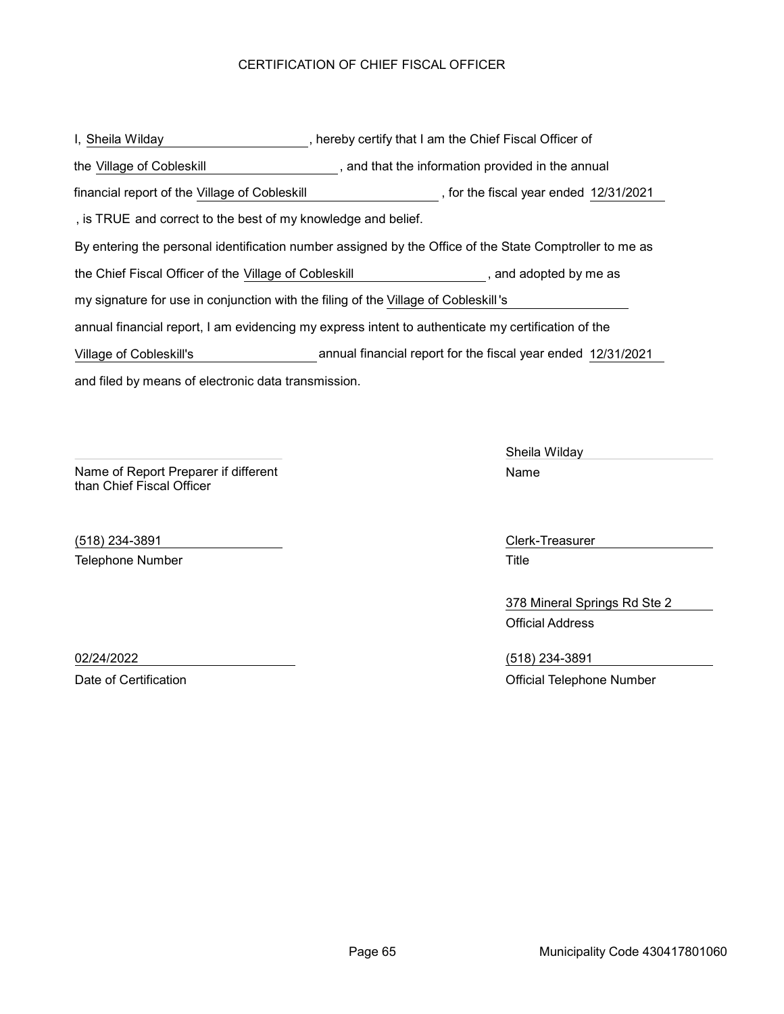## CERTIFICATION OF CHIEF FISCAL OFFICER

and filed by means of electronic data transmission. I, Sheila Wilday **Sheuter All and Stephen Chief Fiscal Officer of** the Chief Fiscal Officer of By entering the personal identification number assigned by the Office of the State Comptroller to me as Village of Cobleskill , and that the information provided in the annual the the Chief Fiscal Officer of the Village of Cobleskill , and adopted by me as annual financial report, I am evidencing my express intent to authenticate my certification of the my signature for use in conjunction with the filing of the Village of Cobleskill's , is TRUE and correct to the best of my knowledge and belief. financial report of the Village of Cobleskill **Summan Coronal Communisty**, for the fiscal year ended 12/31/2021 Village of Cobleskill's annual financial report for the fiscal year ended 12/31/2021

Name of Report Preparer if different than Chief Fiscal Officer

(518) 234-3891 Clerk-Treasurer Telephone Number **Title** 

Sheila Wilday Name

378 Mineral Springs Rd Ste 2 Official Address

02/24/2022 (518) 234-3891 Date of Certification **Date of Certification** Official Telephone Number